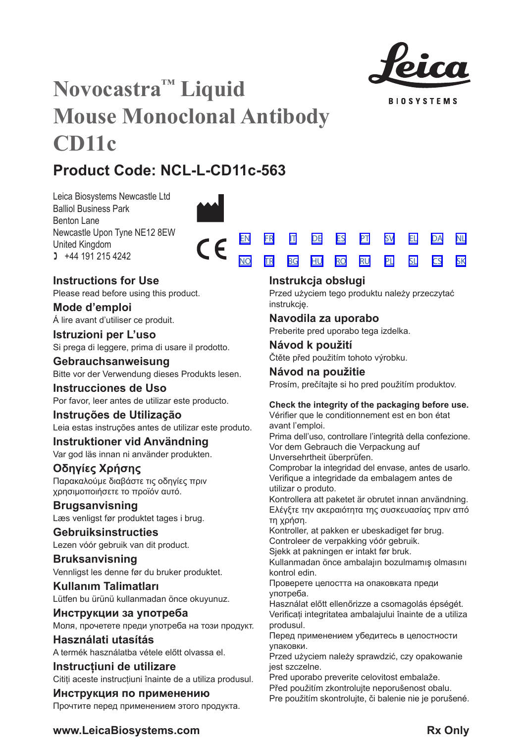

**BIOSYSTEMS** 

# **Novocastra™ Liquid Mouse Monoclonal Antibody CD11c**

# **Product Code: NCL-L-CD11c-563**

Leica Biosystems Newcastle Ltd Balliol Business Park Benton Lane Newcastle Upon Tyne NE12 8EW United Kingdom  $1 +44 191 215 4242$ 



# **Instructions for Use**

Please read before using this product.

**Mode d'emploi** Á lire avant d'utiliser ce produit.

**Istruzioni per L'uso** Si prega di leggere, prima di usare il prodotto.

# **Gebrauchsanweisung** Bitte vor der Verwendung dieses Produkts lesen.

**Instrucciones de Uso** Por favor, leer antes de utilizar este producto.

# **Instruções de Utilização**

Leia estas instruções antes de utilizar este produto.

# **Instruktioner vid Användning** Var god läs innan ni använder produkten.

**Οδηγίες Χρήσης** Παρακαλούμε διαβάστε τις οδηγίες πριν χρησιμοποιήσετε το προϊόν αυτό.

**Brugsanvisning** Læs venligst før produktet tages i brug.

# **Gebruiksinstructies** Lezen vóór gebruik van dit product.

**Bruksanvisning** Vennligst les denne før du bruker produktet.

**Kullanım Talimatları** Lütfen bu ürünü kullanmadan önce okuyunuz.

**Инструкции за употреба** Моля, прочетете преди употреба на този продукт.

**Használati utasítás** A termék használatba vétele előtt olvassa el.

**Instrucțiuni de utilizare** Citiți aceste instrucțiuni înainte de a utiliza produsul.

# **Инструкция по применению**

Прочтите перед применением этого продукта.

|  |  | <u>EN FRAIT DE ES PT SV EL DA NL</u>   |  |  |
|--|--|----------------------------------------|--|--|
|  |  | <u>NO TRE BGEHUERO RUEPLE SLECS SK</u> |  |  |

# **Instrukcja obsługi**

Przed użyciem tego produktu należy przeczytać instrukcję.

# **Navodila za uporabo**

Preberite pred uporabo tega izdelka.

**Návod k použití** Čtěte před použitím tohoto výrobku.

# **Návod na použitie** Prosím, prečítajte si ho pred použitím produktov.

# **Check the integrity of the packaging before use.**

Vérifier que le conditionnement est en bon état avant l'emploi.

Prima dell'uso, controllare l'integrità della confezione. Vor dem Gebrauch die Verpackung auf Unversehrtheit überprüfen.

Comprobar la integridad del envase, antes de usarlo. Verifique a integridade da embalagem antes de utilizar o produto.

Kontrollera att paketet är obrutet innan användning. Ελέγξτε την ακεραιότητα της συσκευασίας πριν από τη χρήση.

Kontroller, at pakken er ubeskadiget før brug.

Controleer de verpakking vóór gebruik.

Sjekk at pakningen er intakt før bruk. Kullanmadan önce ambalajın bozulmamış olmasını

kontrol edin.

Проверете целостта на опаковката преди употреба.

Használat előtt ellenőrizze a csomagolás épségét. Verificați integritatea ambalajului înainte de a utiliza produsul.

Перед применением убедитесь в целостности упаковки.

Przed użyciem należy sprawdzić, czy opakowanie jest szczelne.

Pred uporabo preverite celovitost embalaže.

Před použitím zkontroluite neporušenost obalu.

Pre použitím skontrolujte, či balenie nie je porušené.

**www.LeicaBiosystems.com Rx** Only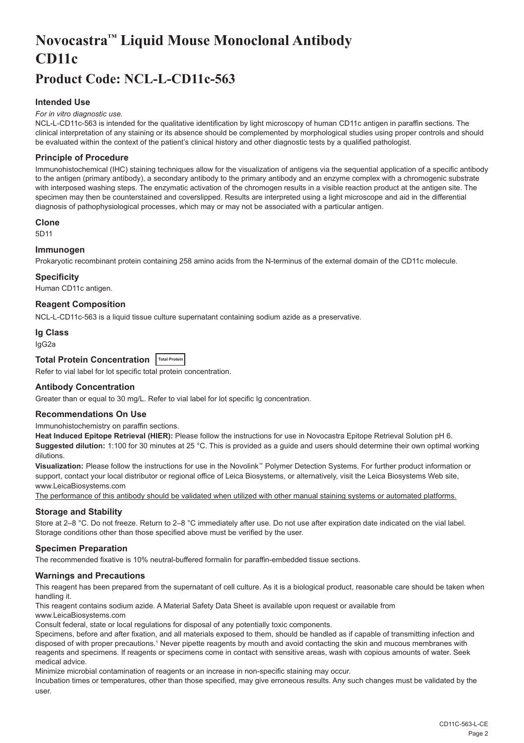# <span id="page-2-0"></span>**Novocastra™ Liquid Mouse Monoclonal Antibody CD11c**

# **Product Code: NCL-L-CD11c-563**

# **Intended Use**

#### *For in vitro diagnostic use.*

NCL-L-CD11c-563 is intended for the qualitative identification by light microscopy of human CD11c antigen in paraffin sections. The clinical interpretation of any staining or its absence should be complemented by morphological studies using proper controls and should be evaluated within the context of the patient's clinical history and other diagnostic tests by a qualified pathologist.

#### **Principle of Procedure**

Immunohistochemical (IHC) staining techniques allow for the visualization of antigens via the sequential application of a specific antibody to the antigen (primary antibody), a secondary antibody to the primary antibody and an enzyme complex with a chromogenic substrate with interposed washing steps. The enzymatic activation of the chromogen results in a visible reaction product at the antigen site. The specimen may then be counterstained and coverslipped. Results are interpreted using a light microscope and aid in the differential diagnosis of pathophysiological processes, which may or may not be associated with a particular antigen.

#### **Clone**

5D11

# **Immunogen**

Prokaryotic recombinant protein containing 258 amino acids from the N-terminus of the external domain of the CD11c molecule.

#### **Specificity**

Human CD11c antigen.

# **Reagent Composition**

NCL-L-CD11c-563 is a liquid tissue culture supernatant containing sodium azide as a preservative.

#### **Ig Class**

IgG2a

# **Total Protein Concentration Total Protein**

Refer to vial label for lot specific total protein concentration.

#### **Antibody Concentration**

Greater than or equal to 30 mg/L. Refer to vial label for lot specific Ig concentration.

## **Recommendations On Use**

Immunohistochemistry on paraffin sections.

**Heat Induced Epitope Retrieval (HIER):** Please follow the instructions for use in Novocastra Epitope Retrieval Solution pH 6. **Suggested dilution:** 1:100 for 30 minutes at 25 °C. This is provided as a guide and users should determine their own optimal working dilutions.

**Visualization:** Please follow the instructions for use in the Novolink™ Polymer Detection Systems. For further product information or support, contact your local distributor or regional office of Leica Biosystems, or alternatively, visit the Leica Biosystems Web site, www.LeicaBiosystems.com

The performance of this antibody should be validated when utilized with other manual staining systems or automated platforms.

# **Storage and Stability**

Store at 2–8 °C. Do not freeze. Return to 2–8 °C immediately after use. Do not use after expiration date indicated on the vial label. Storage conditions other than those specified above must be verified by the user.

#### **Specimen Preparation**

The recommended fixative is 10% neutral-buffered formalin for paraffin-embedded tissue sections.

#### **Warnings and Precautions**

This reagent has been prepared from the supernatant of cell culture. As it is a biological product, reasonable care should be taken when handling it.

This reagent contains sodium azide. A Material Safety Data Sheet is available upon request or available from

www.LeicaBiosystems.com

Consult federal, state or local regulations for disposal of any potentially toxic components.

Specimens, before and after fixation, and all materials exposed to them, should be handled as if capable of transmitting infection and disposed of with proper precautions.1 Never pipette reagents by mouth and avoid contacting the skin and mucous membranes with reagents and specimens. If reagents or specimens come in contact with sensitive areas, wash with copious amounts of water. Seek medical advice.

Minimize microbial contamination of reagents or an increase in non-specific staining may occur.

Incubation times or temperatures, other than those specified, may give erroneous results. Any such changes must be validated by the user.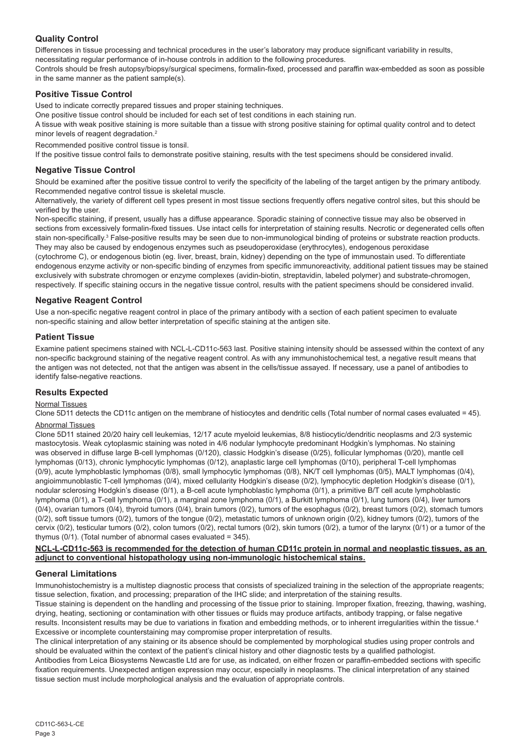# **Quality Control**

Differences in tissue processing and technical procedures in the user's laboratory may produce significant variability in results, necessitating regular performance of in-house controls in addition to the following procedures.

Controls should be fresh autopsy/biopsy/surgical specimens, formalin-fixed, processed and paraffin wax-embedded as soon as possible in the same manner as the patient sample(s).

# **Positive Tissue Control**

Used to indicate correctly prepared tissues and proper staining techniques.

One positive tissue control should be included for each set of test conditions in each staining run.

A tissue with weak positive staining is more suitable than a tissue with strong positive staining for optimal quality control and to detect minor levels of reagent degradation.<sup>2</sup>

Recommended positive control tissue is tonsil.

If the positive tissue control fails to demonstrate positive staining, results with the test specimens should be considered invalid.

# **Negative Tissue Control**

Should be examined after the positive tissue control to verify the specificity of the labeling of the target antigen by the primary antibody. Recommended negative control tissue is skeletal muscle.

Alternatively, the variety of different cell types present in most tissue sections frequently offers negative control sites, but this should be verified by the user.

Non-specific staining, if present, usually has a diffuse appearance. Sporadic staining of connective tissue may also be observed in sections from excessively formalin-fixed tissues. Use intact cells for interpretation of staining results. Necrotic or degenerated cells often stain non-specifically.<sup>3</sup> False-positive results may be seen due to non-immunological binding of proteins or substrate reaction products. They may also be caused by endogenous enzymes such as pseudoperoxidase (erythrocytes), endogenous peroxidase

(cytochrome C), or endogenous biotin (eg. liver, breast, brain, kidney) depending on the type of immunostain used. To differentiate endogenous enzyme activity or non-specific binding of enzymes from specific immunoreactivity, additional patient tissues may be stained exclusively with substrate chromogen or enzyme complexes (avidin-biotin, streptavidin, labeled polymer) and substrate-chromogen, respectively. If specific staining occurs in the negative tissue control, results with the patient specimens should be considered invalid.

# **Negative Reagent Control**

Use a non-specific negative reagent control in place of the primary antibody with a section of each patient specimen to evaluate non-specific staining and allow better interpretation of specific staining at the antigen site.

# **Patient Tissue**

Examine patient specimens stained with NCL-L-CD11c-563 last. Positive staining intensity should be assessed within the context of any non-specific background staining of the negative reagent control. As with any immunohistochemical test, a negative result means that the antigen was not detected, not that the antigen was absent in the cells/tissue assayed. If necessary, use a panel of antibodies to identify false-negative reactions.

# **Results Expected**

# Normal Tissues

Clone 5D11 detects the CD11c antigen on the membrane of histiocytes and dendritic cells (Total number of normal cases evaluated = 45). Abnormal Tissues

Clone 5D11 stained 20/20 hairy cell leukemias, 12/17 acute myeloid leukemias, 8/8 histiocytic/dendritic neoplasms and 2/3 systemic mastocytosis. Weak cytoplasmic staining was noted in 4/6 nodular lymphocyte predominant Hodgkin's lymphomas. No staining was observed in diffuse large B-cell lymphomas (0/120), classic Hodgkin's disease (0/25), follicular lymphomas (0/20), mantle cell lymphomas (0/13), chronic lymphocytic lymphomas (0/12), anaplastic large cell lymphomas (0/10), peripheral T-cell lymphomas (0/9), acute lymphoblastic lymphomas (0/8), small lymphocytic lymphomas (0/8), NK/T cell lymphomas (0/5), MALT lymphomas (0/4), angioimmunoblastic T-cell lymphomas (0/4), mixed cellularity Hodgkin's disease (0/2), lymphocytic depletion Hodgkin's disease (0/1), nodular sclerosing Hodgkin's disease (0/1), a B-cell acute lymphoblastic lymphoma (0/1), a primitive B/T cell acute lymphoblastic lymphoma (0/1), a T-cell lymphoma (0/1), a marginal zone lymphoma (0/1), a Burkitt lymphoma (0/1), lung tumors (0/4), liver tumors (0/4), ovarian tumors (0/4), thyroid tumors (0/4), brain tumors (0/2), tumors of the esophagus (0/2), breast tumors (0/2), stomach tumors  $(0/2)$ , soft tissue tumors  $(0/2)$ , tumors of the tongue  $(0/2)$ , metastatic tumors of unknown origin  $(0/2)$ , kidney tumors  $(0/2)$ , tumors of the cervix (0/2), testicular tumors (0/2), colon tumors (0/2), rectal tumors (0/2), skin tumors (0/2), a tumor of the larynx (0/1) or a tumor of the thymus (0/1). (Total number of abnormal cases evaluated = 345).

#### **NCL-L-CD11c-563 is recommended for the detection of human CD11c protein in normal and neoplastic tissues, as an adjunct to conventional histopathology using non-immunologic histochemical stains.**

# **General Limitations**

Immunohistochemistry is a multistep diagnostic process that consists of specialized training in the selection of the appropriate reagents; tissue selection, fixation, and processing; preparation of the IHC slide; and interpretation of the staining results.

Tissue staining is dependent on the handling and processing of the tissue prior to staining. Improper fixation, freezing, thawing, washing, drying, heating, sectioning or contamination with other tissues or fluids may produce artifacts, antibody trapping, or false negative results. Inconsistent results may be due to variations in fixation and embedding methods, or to inherent irregularities within the tissue.4 Excessive or incomplete counterstaining may compromise proper interpretation of results.

The clinical interpretation of any staining or its absence should be complemented by morphological studies using proper controls and should be evaluated within the context of the patient's clinical history and other diagnostic tests by a qualified pathologist. Antibodies from Leica Biosystems Newcastle Ltd are for use, as indicated, on either frozen or paraffin-embedded sections with specific

fixation requirements. Unexpected antigen expression may occur, especially in neoplasms. The clinical interpretation of any stained tissue section must include morphological analysis and the evaluation of appropriate controls.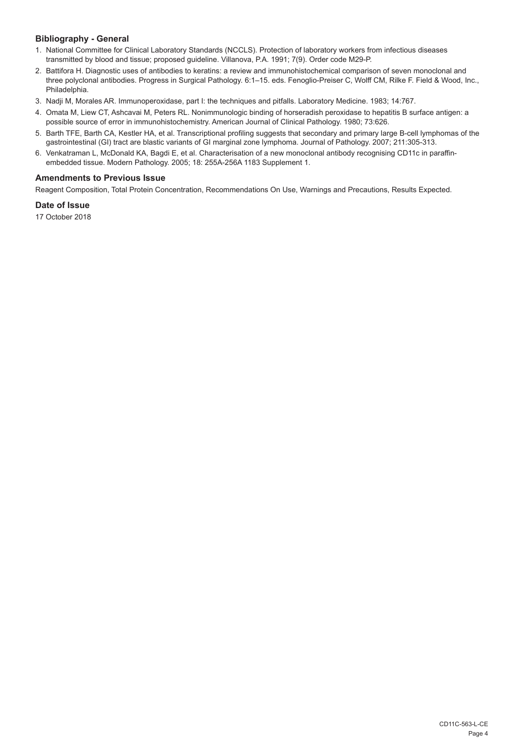# **Bibliography - General**

- 1. National Committee for Clinical Laboratory Standards (NCCLS). Protection of laboratory workers from infectious diseases transmitted by blood and tissue; proposed guideline. Villanova, P.A. 1991; 7(9). Order code M29-P.
- 2. Battifora H. Diagnostic uses of antibodies to keratins: a review and immunohistochemical comparison of seven monoclonal and three polyclonal antibodies. Progress in Surgical Pathology. 6:1–15. eds. Fenoglio-Preiser C, Wolff CM, Rilke F. Field & Wood, Inc., Philadelphia.
- 3. Nadji M, Morales AR. Immunoperoxidase, part I: the techniques and pitfalls. Laboratory Medicine. 1983; 14:767.
- 4. Omata M, Liew CT, Ashcavai M, Peters RL. Nonimmunologic binding of horseradish peroxidase to hepatitis B surface antigen: a possible source of error in immunohistochemistry. American Journal of Clinical Pathology. 1980; 73:626.
- 5. Barth TFE, Barth CA, Kestler HA, et al. Transcriptional profiling suggests that secondary and primary large B-cell lymphomas of the gastrointestinal (GI) tract are blastic variants of GI marginal zone lymphoma. Journal of Pathology. 2007; 211:305-313.
- 6. Venkatraman L, McDonald KA, Bagdi E, et al. Characterisation of a new monoclonal antibody recognising CD11c in paraffinembedded tissue. Modern Pathology. 2005; 18: 255A-256A 1183 Supplement 1.

# **Amendments to Previous Issue**

Reagent Composition, Total Protein Concentration, Recommendations On Use, Warnings and Precautions, Results Expected.

#### **Date of Issue**

17 October 2018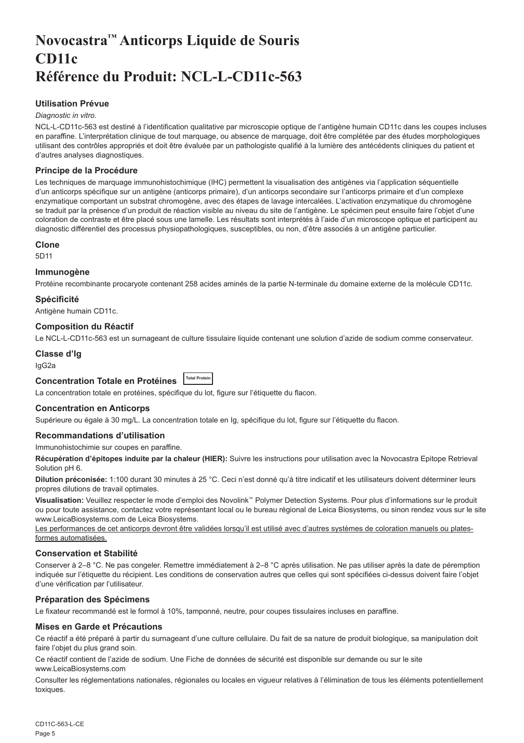# <span id="page-5-0"></span>**Novocastra™ Anticorps Liquide de Souris CD11c Référence du Produit: NCL-L-CD11c-563**

# **Utilisation Prévue**

# *Diagnostic in vitro*.

NCL-L-CD11c-563 est destiné à l'identification qualitative par microscopie optique de l'antigène humain CD11c dans les coupes incluses en paraffine. L'interprétation clinique de tout marquage, ou absence de marquage, doit être complétée par des études morphologiques utilisant des contrôles appropriés et doit être évaluée par un pathologiste qualifié à la lumière des antécédents cliniques du patient et d'autres analyses diagnostiques.

# **Principe de la Procédure**

Les techniques de marquage immunohistochimique (IHC) permettent la visualisation des antigènes via l'application séquentielle d'un anticorps spécifique sur un antigène (anticorps primaire), d'un anticorps secondaire sur l'anticorps primaire et d'un complexe enzymatique comportant un substrat chromogène, avec des étapes de lavage intercalées. L'activation enzymatique du chromogène se traduit par la présence d'un produit de réaction visible au niveau du site de l'antigène. Le spécimen peut ensuite faire l'objet d'une coloration de contraste et être placé sous une lamelle. Les résultats sont interprétés à l'aide d'un microscope optique et participent au diagnostic différentiel des processus physiopathologiques, susceptibles, ou non, d'être associés à un antigène particulier.

#### **Clone**

5D11

#### **Immunogène**

Protéine recombinante procaryote contenant 258 acides aminés de la partie N-terminale du domaine externe de la molécule CD11c.

#### **Spécificité**

Antigène humain CD11c.

#### **Composition du Réactif**

Le NCL-L-CD11c-563 est un surnageant de culture tissulaire liquide contenant une solution d'azide de sodium comme conservateur.

# **Classe d'Ig**

IgG2a

# **Concentration Totale en Protéines Total Protein**

La concentration totale en protéines, spécifique du lot, figure sur l'étiquette du flacon.

# **Concentration en Anticorps**

Supérieure ou égale à 30 mg/L. La concentration totale en Ig, spécifique du lot, figure sur l'étiquette du flacon.

#### **Recommandations d'utilisation**

#### Immunohistochimie sur coupes en paraffine.

**Récupération d'épitopes induite par la chaleur (HIER):** Suivre les instructions pour utilisation avec la Novocastra Epitope Retrieval Solution pH 6.

**Dilution préconisée:** 1:100 durant 30 minutes à 25 °C. Ceci n'est donné qu'à titre indicatif et les utilisateurs doivent déterminer leurs propres dilutions de travail optimales.

**Visualisation:** Veuillez respecter le mode d'emploi des Novolink™ Polymer Detection Systems. Pour plus d'informations sur le produit ou pour toute assistance, contactez votre représentant local ou le bureau régional de Leica Biosystems, ou sinon rendez vous sur le site www.LeicaBiosystems.com de Leica Biosystems.

Les performances de cet anticorps devront être validées lorsqu'il est utilisé avec d'autres systèmes de coloration manuels ou platesformes automatisées.

# **Conservation et Stabilité**

Conserver à 2–8 °C. Ne pas congeler. Remettre immédiatement à 2–8 °C après utilisation. Ne pas utiliser après la date de péremption indiquée sur l'étiquette du récipient. Les conditions de conservation autres que celles qui sont spécifiées ci-dessus doivent faire l'objet d'une vérification par l'utilisateur.

# **Préparation des Spécimens**

Le fixateur recommandé est le formol à 10%, tamponné, neutre, pour coupes tissulaires incluses en paraffine.

# **Mises en Garde et Précautions**

Ce réactif a été préparé à partir du surnageant d'une culture cellulaire. Du fait de sa nature de produit biologique, sa manipulation doit faire l'objet du plus grand soin.

Ce réactif contient de l'azide de sodium. Une Fiche de données de sécurité est disponible sur demande ou sur le site www.LeicaBiosystems.com

Consulter les réglementations nationales, régionales ou locales en vigueur relatives à l'élimination de tous les éléments potentiellement toxiques.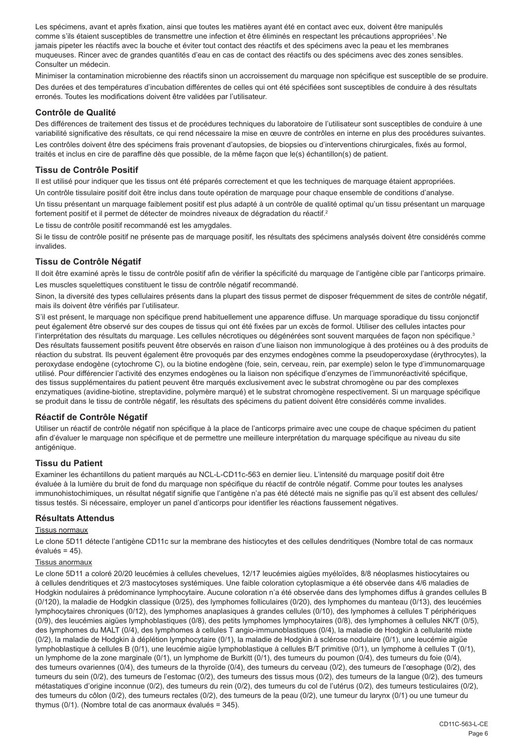Les spécimens, avant et après fixation, ainsi que toutes les matières ayant été en contact avec eux, doivent être manipulés comme s'ils étaient susceptibles de transmettre une infection et être éliminés en respectant les précautions appropriées<sup>1</sup>. Ne jamais pipeter les réactifs avec la bouche et éviter tout contact des réactifs et des spécimens avec la peau et les membranes muqueuses. Rincer avec de grandes quantités d'eau en cas de contact des réactifs ou des spécimens avec des zones sensibles. Consulter un médecin.

Minimiser la contamination microbienne des réactifs sinon un accroissement du marquage non spécifique est susceptible de se produire. Des durées et des températures d'incubation différentes de celles qui ont été spécifiées sont susceptibles de conduire à des résultats erronés. Toutes les modifications doivent être validées par l'utilisateur.

# **Contrôle de Qualité**

Des différences de traitement des tissus et de procédures techniques du laboratoire de l'utilisateur sont susceptibles de conduire à une variabilité significative des résultats, ce qui rend nécessaire la mise en œuvre de contrôles en interne en plus des procédures suivantes.

Les contrôles doivent être des spécimens frais provenant d'autopsies, de biopsies ou d'interventions chirurgicales, fixés au formol, traités et inclus en cire de paraffine dès que possible, de la même façon que le(s) échantillon(s) de patient.

# **Tissu de Contrôle Positif**

Il est utilisé pour indiquer que les tissus ont été préparés correctement et que les techniques de marquage étaient appropriées.

Un contrôle tissulaire positif doit être inclus dans toute opération de marquage pour chaque ensemble de conditions d'analyse.

Un tissu présentant un marquage faiblement positif est plus adapté à un contrôle de qualité optimal qu'un tissu présentant un marquage fortement positif et il permet de détecter de moindres niveaux de dégradation du réactif.<sup>2</sup>

Le tissu de contrôle positif recommandé est les amygdales.

Si le tissu de contrôle positif ne présente pas de marquage positif, les résultats des spécimens analysés doivent être considérés comme invalides.

#### **Tissu de Contrôle Négatif**

Il doit être examiné après le tissu de contrôle positif afin de vérifier la spécificité du marquage de l'antigène cible par l'anticorps primaire. Les muscles squelettiques constituent le tissu de contrôle négatif recommandé.

Sinon, la diversité des types cellulaires présents dans la plupart des tissus permet de disposer fréquemment de sites de contrôle négatif, mais ils doivent être vérifiés par l'utilisateur.

S'il est présent, le marquage non spécifique prend habituellement une apparence diffuse. Un marquage sporadique du tissu conjonctif peut également être observé sur des coupes de tissus qui ont été fixées par un excès de formol. Utiliser des cellules intactes pour l'interprétation des résultats du marquage. Les cellules nécrotiques ou dégénérées sont souvent marquées de façon non spécifique.3 Des résultats faussement positifs peuvent être observés en raison d'une liaison non immunologique à des protéines ou à des produits de réaction du substrat. Ils peuvent également être provoqués par des enzymes endogènes comme la pseudoperoxydase (érythrocytes), la peroxydase endogène (cytochrome C), ou la biotine endogène (foie, sein, cerveau, rein, par exemple) selon le type d'immunomarquage utilisé. Pour différencier l'activité des enzymes endogènes ou la liaison non spécifique d'enzymes de l'immunoréactivité spécifique, des tissus supplémentaires du patient peuvent être marqués exclusivement avec le substrat chromogène ou par des complexes enzymatiques (avidine-biotine, streptavidine, polymère marqué) et le substrat chromogène respectivement. Si un marquage spécifique se produit dans le tissu de contrôle négatif, les résultats des spécimens du patient doivent être considérés comme invalides.

# **Réactif de Contrôle Négatif**

Utiliser un réactif de contrôle négatif non spécifique à la place de l'anticorps primaire avec une coupe de chaque spécimen du patient afin d'évaluer le marquage non spécifique et de permettre une meilleure interprétation du marquage spécifique au niveau du site antigénique.

#### **Tissu du Patient**

Examiner les échantillons du patient marqués au NCL-L-CD11c-563 en dernier lieu. L'intensité du marquage positif doit être évaluée à la lumière du bruit de fond du marquage non spécifique du réactif de contrôle négatif. Comme pour toutes les analyses immunohistochimiques, un résultat négatif signifie que l'antigène n'a pas été détecté mais ne signifie pas qu'il est absent des cellules/ tissus testés. Si nécessaire, employer un panel d'anticorps pour identifier les réactions faussement négatives.

# **Résultats Attendus**

#### Tissus normaux

Le clone 5D11 détecte l'antigène CD11c sur la membrane des histiocytes et des cellules dendritiques (Nombre total de cas normaux évalués = 45).

#### Tissus anormaux

Le clone 5D11 a coloré 20/20 leucémies à cellules chevelues, 12/17 leucémies aigües myéloïdes, 8/8 néoplasmes histiocytaires ou à cellules dendritiques et 2/3 mastocytoses systémiques. Une faible coloration cytoplasmique a été observée dans 4/6 maladies de Hodgkin nodulaires à prédominance lymphocytaire. Aucune coloration n'a été observée dans des lymphomes diffus à grandes cellules B (0/120), la maladie de Hodgkin classique (0/25), des lymphomes folliculaires (0/20), des lymphomes du manteau (0/13), des leucémies lymphocytaires chroniques (0/12), des lymphomes anaplasiques à grandes cellules (0/10), des lymphomes à cellules T périphériques (0/9), des leucémies aigües lymphoblastiques (0/8), des petits lymphomes lymphocytaires (0/8), des lymphomes à cellules NK/T (0/5), des lymphomes du MALT (0/4), des lymphomes à cellules T angio-immunoblastiques (0/4), la maladie de Hodgkin à cellularité mixte (0/2), la maladie de Hodgkin à déplétion lymphocytaire (0/1), la maladie de Hodgkin à sclérose nodulaire (0/1), une leucémie aigüe lymphoblastique à cellules B (0/1), une leucémie aigüe lymphoblastique à cellules B/T primitive (0/1), un lymphome à cellules T (0/1), un lymphome de la zone marginale (0/1), un lymphome de Burkitt (0/1), des tumeurs du poumon (0/4), des tumeurs du foie (0/4), des tumeurs ovariennes (0/4), des tumeurs de la thyroïde (0/4), des tumeurs du cerveau (0/2), des tumeurs de l'œsophage (0/2), des tumeurs du sein (0/2), des tumeurs de l'estomac (0/2), des tumeurs des tissus mous (0/2), des tumeurs de la langue (0/2), des tumeurs métastatiques d'origine inconnue (0/2), des tumeurs du rein (0/2), des tumeurs du col de l'utérus (0/2), des tumeurs testiculaires (0/2), des tumeurs du côlon (0/2), des tumeurs rectales (0/2), des tumeurs de la peau (0/2), une tumeur du larynx (0/1) ou une tumeur du thymus (0/1). (Nombre total de cas anormaux évalués = 345).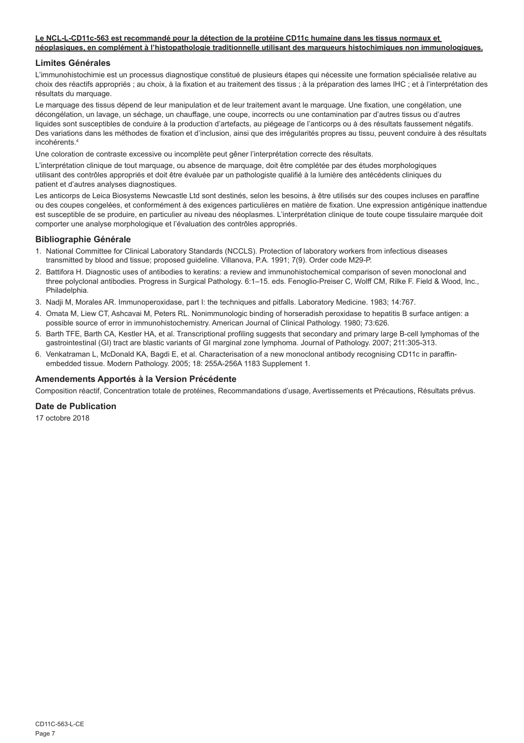#### **Le NCL-L-CD11c-563 est recommandé pour la détection de la protéine CD11c humaine dans les tissus normaux et néoplasiques, en complément à l'histopathologie traditionnelle utilisant des marqueurs histochimiques non immunologiques.**

# **Limites Générales**

L'immunohistochimie est un processus diagnostique constitué de plusieurs étapes qui nécessite une formation spécialisée relative au choix des réactifs appropriés ; au choix, à la fixation et au traitement des tissus ; à la préparation des lames IHC ; et à l'interprétation des résultats du marquage.

Le marquage des tissus dépend de leur manipulation et de leur traitement avant le marquage. Une fixation, une congélation, une décongélation, un lavage, un séchage, un chauffage, une coupe, incorrects ou une contamination par d'autres tissus ou d'autres liquides sont susceptibles de conduire à la production d'artefacts, au piégeage de l'anticorps ou à des résultats faussement négatifs. Des variations dans les méthodes de fixation et d'inclusion, ainsi que des irrégularités propres au tissu, peuvent conduire à des résultats incohérents<sup>4</sup>

Une coloration de contraste excessive ou incomplète peut gêner l'interprétation correcte des résultats.

L'interprétation clinique de tout marquage, ou absence de marquage, doit être complétée par des études morphologiques utilisant des contrôles appropriés et doit être évaluée par un pathologiste qualifié à la lumière des antécédents cliniques du patient et d'autres analyses diagnostiques.

Les anticorps de Leica Biosystems Newcastle Ltd sont destinés, selon les besoins, à être utilisés sur des coupes incluses en paraffine ou des coupes congelées, et conformément à des exigences particulières en matière de fixation. Une expression antigénique inattendue est susceptible de se produire, en particulier au niveau des néoplasmes. L'interprétation clinique de toute coupe tissulaire marquée doit comporter une analyse morphologique et l'évaluation des contrôles appropriés.

# **Bibliographie Générale**

- 1. National Committee for Clinical Laboratory Standards (NCCLS). Protection of laboratory workers from infectious diseases transmitted by blood and tissue; proposed guideline. Villanova, P.A. 1991; 7(9). Order code M29-P.
- 2. Battifora H. Diagnostic uses of antibodies to keratins: a review and immunohistochemical comparison of seven monoclonal and three polyclonal antibodies. Progress in Surgical Pathology. 6:1–15. eds. Fenoglio-Preiser C, Wolff CM, Rilke F. Field & Wood, Inc., Philadelphia.
- 3. Nadji M, Morales AR. Immunoperoxidase, part I: the techniques and pitfalls. Laboratory Medicine. 1983; 14:767.
- 4. Omata M, Liew CT, Ashcavai M, Peters RL. Nonimmunologic binding of horseradish peroxidase to hepatitis B surface antigen: a possible source of error in immunohistochemistry. American Journal of Clinical Pathology. 1980; 73:626.
- 5. Barth TFE, Barth CA, Kestler HA, et al. Transcriptional profiling suggests that secondary and primary large B-cell lymphomas of the gastrointestinal (GI) tract are blastic variants of GI marginal zone lymphoma. Journal of Pathology. 2007; 211:305-313.
- 6. Venkatraman L, McDonald KA, Bagdi E, et al. Characterisation of a new monoclonal antibody recognising CD11c in paraffinembedded tissue. Modern Pathology. 2005; 18: 255A-256A 1183 Supplement 1.

# **Amendements Apportés à la Version Précédente**

Composition réactif, Concentration totale de protéines, Recommandations d'usage, Avertissements et Précautions, Résultats prévus.

# **Date de Publication**

17 octobre 2018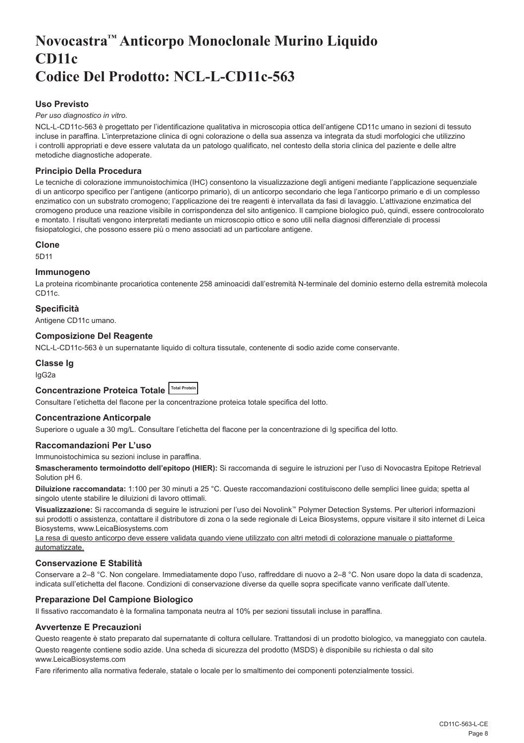# <span id="page-8-0"></span>**Novocastra™ Anticorpo Monoclonale Murino Liquido CD11c Codice Del Prodotto: NCL-L-CD11c-563**

# **Uso Previsto**

#### *Per uso diagnostico in vitro*.

NCL-L-CD11c-563 è progettato per l'identificazione qualitativa in microscopia ottica dell'antigene CD11c umano in sezioni di tessuto incluse in paraffina. L'interpretazione clinica di ogni colorazione o della sua assenza va integrata da studi morfologici che utilizzino i controlli appropriati e deve essere valutata da un patologo qualificato, nel contesto della storia clinica del paziente e delle altre metodiche diagnostiche adoperate.

# **Principio Della Procedura**

Le tecniche di colorazione immunoistochimica (IHC) consentono la visualizzazione degli antigeni mediante l'applicazione sequenziale di un anticorpo specifico per l'antigene (anticorpo primario), di un anticorpo secondario che lega l'anticorpo primario e di un complesso enzimatico con un substrato cromogeno; l'applicazione dei tre reagenti è intervallata da fasi di lavaggio. L'attivazione enzimatica del cromogeno produce una reazione visibile in corrispondenza del sito antigenico. Il campione biologico può, quindi, essere controcolorato e montato. I risultati vengono interpretati mediante un microscopio ottico e sono utili nella diagnosi differenziale di processi fisiopatologici, che possono essere più o meno associati ad un particolare antigene.

#### **Clone**

5D11

#### **Immunogeno**

La proteina ricombinante procariotica contenente 258 aminoacidi dall'estremità N-terminale del dominio esterno della estremità molecola CD<sub>11c</sub>

#### **Specificità**

Antigene CD11c umano.

#### **Composizione Del Reagente**

NCL-L-CD11c-563 è un supernatante liquido di coltura tissutale, contenente di sodio azide come conservante.

#### **Classe Ig**

IgG2a

# **Concentrazione Proteica Totale Total Protein**

Consultare l'etichetta del flacone per la concentrazione proteica totale specifica del lotto.

#### **Concentrazione Anticorpale**

Superiore o uguale a 30 mg/L. Consultare l'etichetta del flacone per la concentrazione di Ig specifica del lotto.

#### **Raccomandazioni Per L'uso**

Immunoistochimica su sezioni incluse in paraffina.

**Smascheramento termoindotto dell'epitopo (HIER):** Si raccomanda di seguire le istruzioni per l'uso di Novocastra Epitope Retrieval Solution pH 6.

**Diluizione raccomandata:** 1:100 per 30 minuti a 25 °C. Queste raccomandazioni costituiscono delle semplici linee guida; spetta al singolo utente stabilire le diluizioni di lavoro ottimali.

**Visualizzazione:** Si raccomanda di seguire le istruzioni per l'uso dei Novolink™ Polymer Detection Systems. Per ulteriori informazioni sui prodotti o assistenza, contattare il distributore di zona o la sede regionale di Leica Biosystems, oppure visitare il sito internet di Leica Biosystems, www.LeicaBiosystems.com

La resa di questo anticorpo deve essere validata quando viene utilizzato con altri metodi di colorazione manuale o piattaforme automatizzate.

# **Conservazione E Stabilità**

Conservare a 2–8 °C. Non congelare. Immediatamente dopo l'uso, raffreddare di nuovo a 2–8 °C. Non usare dopo la data di scadenza, indicata sull'etichetta del flacone. Condizioni di conservazione diverse da quelle sopra specificate vanno verificate dall'utente.

# **Preparazione Del Campione Biologico**

Il fissativo raccomandato è la formalina tamponata neutra al 10% per sezioni tissutali incluse in paraffina.

#### **Avvertenze E Precauzioni**

Questo reagente è stato preparato dal supernatante di coltura cellulare. Trattandosi di un prodotto biologico, va maneggiato con cautela.

Questo reagente contiene sodio azide. Una scheda di sicurezza del prodotto (MSDS) è disponibile su richiesta o dal sito www.LeicaBiosystems.com

Fare riferimento alla normativa federale, statale o locale per lo smaltimento dei componenti potenzialmente tossici.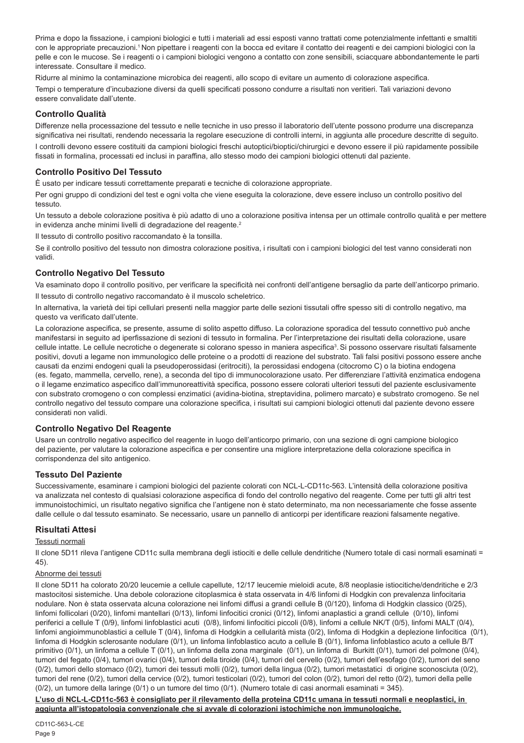Prima e dopo la fissazione, i campioni biologici e tutti i materiali ad essi esposti vanno trattati come potenzialmente infettanti e smaltiti con le appropriate precauzioni.<sup>1</sup> Non pipettare i reagenti con la bocca ed evitare il contatto dei reagenti e dei campioni biologici con la pelle e con le mucose. Se i reagenti o i campioni biologici vengono a contatto con zone sensibili, sciacquare abbondantemente le parti interessate. Consultare il medico.

Ridurre al minimo la contaminazione microbica dei reagenti, allo scopo di evitare un aumento di colorazione aspecifica. Tempi o temperature d'incubazione diversi da quelli specificati possono condurre a risultati non veritieri. Tali variazioni devono essere convalidate dall'utente.

# **Controllo Qualità**

Differenze nella processazione del tessuto e nelle tecniche in uso presso il laboratorio dell'utente possono produrre una discrepanza significativa nei risultati, rendendo necessaria la regolare esecuzione di controlli interni, in aggiunta alle procedure descritte di seguito.

I controlli devono essere costituiti da campioni biologici freschi autoptici/bioptici/chirurgici e devono essere il più rapidamente possibile fissati in formalina, processati ed inclusi in paraffina, allo stesso modo dei campioni biologici ottenuti dal paziente.

# **Controllo Positivo Del Tessuto**

È usato per indicare tessuti correttamente preparati e tecniche di colorazione appropriate.

Per ogni gruppo di condizioni del test e ogni volta che viene eseguita la colorazione, deve essere incluso un controllo positivo del tessuto.

Un tessuto a debole colorazione positiva è più adatto di uno a colorazione positiva intensa per un ottimale controllo qualità e per mettere in evidenza anche minimi livelli di degradazione del reagente.<sup>2</sup>

Il tessuto di controllo positivo raccomandato è la tonsilla.

Se il controllo positivo del tessuto non dimostra colorazione positiva, i risultati con i campioni biologici del test vanno considerati non validi.

# **Controllo Negativo Del Tessuto**

Va esaminato dopo il controllo positivo, per verificare la specificità nei confronti dell'antigene bersaglio da parte dell'anticorpo primario. Il tessuto di controllo negativo raccomandato è il muscolo scheletrico.

In alternativa, la varietà dei tipi cellulari presenti nella maggior parte delle sezioni tissutali offre spesso siti di controllo negativo, ma questo va verificato dall'utente.

La colorazione aspecifica, se presente, assume di solito aspetto diffuso. La colorazione sporadica del tessuto connettivo può anche manifestarsi in seguito ad iperfissazione di sezioni di tessuto in formalina. Per l'interpretazione dei risultati della colorazione, usare cellule intatte. Le cellule necrotiche o degenerate si colorano spesso in maniera aspecifica<sup>3</sup>. Si possono osservare risultati falsamente positivi, dovuti a legame non immunologico delle proteine o a prodotti di reazione del substrato. Tali falsi positivi possono essere anche causati da enzimi endogeni quali la pseudoperossidasi (eritrociti), la perossidasi endogena (citocromo C) o la biotina endogena (es. fegato, mammella, cervello, rene), a seconda del tipo di immunocolorazione usato. Per differenziare l'attività enzimatica endogena o il legame enzimatico aspecifico dall'immunoreattività specifica, possono essere colorati ulteriori tessuti del paziente esclusivamente con substrato cromogeno o con complessi enzimatici (avidina-biotina, streptavidina, polimero marcato) e substrato cromogeno. Se nel controllo negativo del tessuto compare una colorazione specifica, i risultati sui campioni biologici ottenuti dal paziente devono essere considerati non validi.

# **Controllo Negativo Del Reagente**

Usare un controllo negativo aspecifico del reagente in luogo dell'anticorpo primario, con una sezione di ogni campione biologico del paziente, per valutare la colorazione aspecifica e per consentire una migliore interpretazione della colorazione specifica in corrispondenza del sito antigenico.

# **Tessuto Del Paziente**

Successivamente, esaminare i campioni biologici del paziente colorati con NCL-L-CD11c-563. L'intensità della colorazione positiva va analizzata nel contesto di qualsiasi colorazione aspecifica di fondo del controllo negativo del reagente. Come per tutti gli altri test immunoistochimici, un risultato negativo significa che l'antigene non è stato determinato, ma non necessariamente che fosse assente dalle cellule o dal tessuto esaminato. Se necessario, usare un pannello di anticorpi per identificare reazioni falsamente negative.

# **Risultati Attesi**

#### Tessuti normali

Il clone 5D11 rileva l'antigene CD11c sulla membrana degli istiociti e delle cellule dendritiche (Numero totale di casi normali esaminati = 45).

#### Abnorme dei tessuti

Il clone 5D11 ha colorato 20/20 leucemie a cellule capellute, 12/17 leucemie mieloidi acute, 8/8 neoplasie istiocitiche/dendritiche e 2/3 mastocitosi sistemiche. Una debole colorazione citoplasmica è stata osservata in 4/6 linfomi di Hodgkin con prevalenza linfocitaria nodulare. Non è stata osservata alcuna colorazione nei linfomi diffusi a grandi cellule B (0/120), linfoma di Hodgkin classico (0/25), linfomi follicolari (0/20), linfomi mantellari (0/13), linfomi linfocitici cronici (0/12), linfomi anaplastici a grandi cellule (0/10), linfomi periferici a cellule T (0/9), linfomi linfoblastici acuti (0/8), linfomi linfocitici piccoli (0/8), linfomi a cellule NK/T (0/5), linfomi MALT (0/4), linfomi angioimmunoblastici a cellule T (0/4), linfoma di Hodgkin a cellularità mista (0/2), linfoma di Hodgkin a deplezione linfocitica (0/1). linfoma di Hodgkin sclerosante nodulare (0/1), un linfoma linfoblastico acuto a cellule B (0/1), linfoma linfoblastico acuto a cellule B/T primitivo (0/1), un linfoma a cellule T (0/1), un linfoma della zona marginale (0/1), un linfoma di Burkitt (0/1), tumori del polmone (0/4), tumori del fegato (0/4), tumori ovarici (0/4), tumori della tiroide (0/4), tumori del cervello (0/2), tumori dell'esofago (0/2), tumori del seno (0/2), tumori dello stomaco (0/2), tumori dei tessuti molli (0/2), tumori della lingua (0/2), tumori metastatici di origine sconosciuta (0/2), tumori del rene (0/2), tumori della cervice (0/2), tumori testicolari (0/2), tumori del colon (0/2), tumori del retto (0/2), tumori della pelle (0/2), un tumore della laringe (0/1) o un tumore del timo (0/1). (Numero totale di casi anormali esaminati = 345).

#### **L'uso di NCL-L-CD11c-563 è consigliato per il rilevamento della proteina CD11c umana in tessuti normali e neoplastici, in aggiunta all'istopatologia convenzionale che si avvale di colorazioni istochimiche non immunologiche.**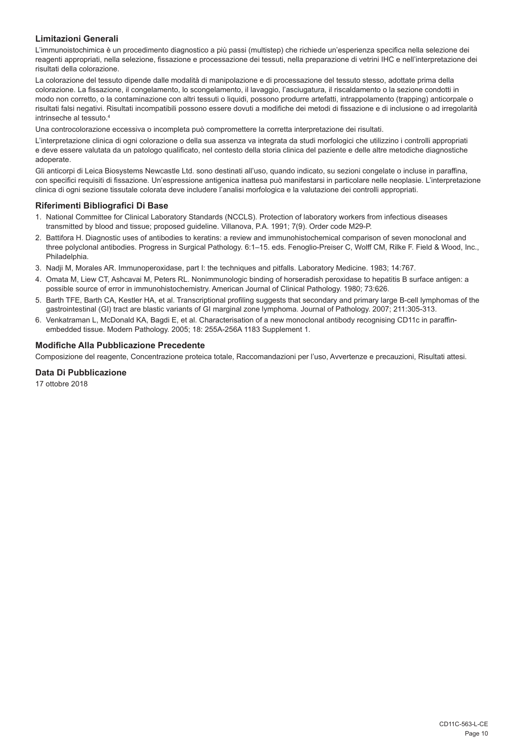# **Limitazioni Generali**

L'immunoistochimica è un procedimento diagnostico a più passi (multistep) che richiede un'esperienza specifica nella selezione dei reagenti appropriati, nella selezione, fissazione e processazione dei tessuti, nella preparazione di vetrini IHC e nell'interpretazione dei risultati della colorazione.

La colorazione del tessuto dipende dalle modalità di manipolazione e di processazione del tessuto stesso, adottate prima della colorazione. La fissazione, il congelamento, lo scongelamento, il lavaggio, l'asciugatura, il riscaldamento o la sezione condotti in modo non corretto, o la contaminazione con altri tessuti o liquidi, possono produrre artefatti, intrappolamento (trapping) anticorpale o risultati falsi negativi. Risultati incompatibili possono essere dovuti a modifiche dei metodi di fissazione e di inclusione o ad irregolarità intrinseche al tessuto.4

Una controcolorazione eccessiva o incompleta può compromettere la corretta interpretazione dei risultati.

L'interpretazione clinica di ogni colorazione o della sua assenza va integrata da studi morfologici che utilizzino i controlli appropriati e deve essere valutata da un patologo qualificato, nel contesto della storia clinica del paziente e delle altre metodiche diagnostiche adoperate.

Gli anticorpi di Leica Biosystems Newcastle Ltd. sono destinati all'uso, quando indicato, su sezioni congelate o incluse in paraffina, con specifici requisiti di fissazione. Un'espressione antigenica inattesa può manifestarsi in particolare nelle neoplasie. L'interpretazione clinica di ogni sezione tissutale colorata deve includere l'analisi morfologica e la valutazione dei controlli appropriati.

#### **Riferimenti Bibliografici Di Base**

- 1. National Committee for Clinical Laboratory Standards (NCCLS). Protection of laboratory workers from infectious diseases transmitted by blood and tissue; proposed guideline. Villanova, P.A. 1991; 7(9). Order code M29-P.
- 2. Battifora H. Diagnostic uses of antibodies to keratins: a review and immunohistochemical comparison of seven monoclonal and three polyclonal antibodies. Progress in Surgical Pathology. 6:1–15. eds. Fenoglio-Preiser C, Wolff CM, Rilke F. Field & Wood, Inc., Philadelphia.
- 3. Nadji M, Morales AR. Immunoperoxidase, part I: the techniques and pitfalls. Laboratory Medicine. 1983; 14:767.
- 4. Omata M, Liew CT, Ashcavai M, Peters RL. Nonimmunologic binding of horseradish peroxidase to hepatitis B surface antigen: a possible source of error in immunohistochemistry. American Journal of Clinical Pathology. 1980; 73:626.
- 5. Barth TFE, Barth CA, Kestler HA, et al. Transcriptional profiling suggests that secondary and primary large B-cell lymphomas of the gastrointestinal (GI) tract are blastic variants of GI marginal zone lymphoma. Journal of Pathology. 2007; 211:305-313.
- 6. Venkatraman L, McDonald KA, Bagdi E, et al. Characterisation of a new monoclonal antibody recognising CD11c in paraffinembedded tissue. Modern Pathology. 2005; 18: 255A-256A 1183 Supplement 1.

# **Modifiche Alla Pubblicazione Precedente**

Composizione del reagente, Concentrazione proteica totale, Raccomandazioni per l'uso, Avvertenze e precauzioni, Risultati attesi.

# **Data Di Pubblicazione**

17 ottobre 2018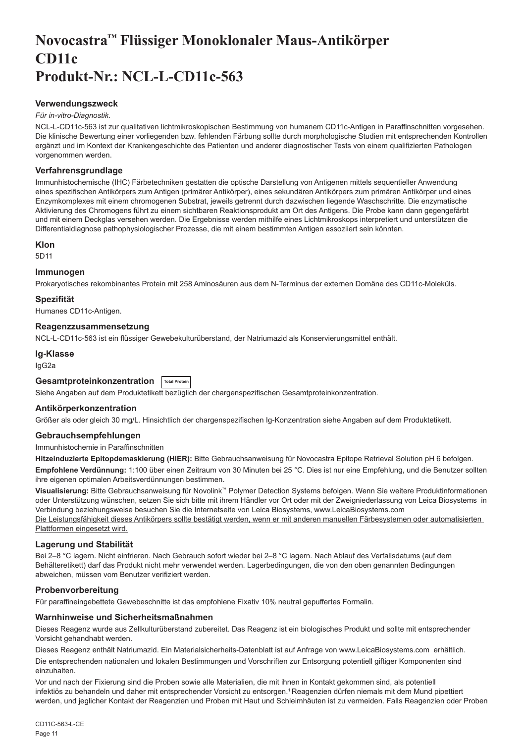# <span id="page-11-0"></span>**Novocastra™ Flüssiger Monoklonaler Maus-Antikörper CD11c Produkt-Nr.: NCL-L-CD11c-563**

#### **Verwendungszweck**

#### *Für in-vitro-Diagnostik*.

NCL-L-CD11c-563 ist zur qualitativen lichtmikroskopischen Bestimmung von humanem CD11c-Antigen in Paraffinschnitten vorgesehen. Die klinische Bewertung einer vorliegenden bzw. fehlenden Färbung sollte durch morphologische Studien mit entsprechenden Kontrollen ergänzt und im Kontext der Krankengeschichte des Patienten und anderer diagnostischer Tests von einem qualifizierten Pathologen vorgenommen werden.

#### **Verfahrensgrundlage**

Immunhistochemische (IHC) Färbetechniken gestatten die optische Darstellung von Antigenen mittels sequentieller Anwendung eines spezifischen Antikörpers zum Antigen (primärer Antikörper), eines sekundären Antikörpers zum primären Antikörper und eines Enzymkomplexes mit einem chromogenen Substrat, jeweils getrennt durch dazwischen liegende Waschschritte. Die enzymatische Aktivierung des Chromogens führt zu einem sichtbaren Reaktionsprodukt am Ort des Antigens. Die Probe kann dann gegengefärbt und mit einem Deckglas versehen werden. Die Ergebnisse werden mithilfe eines Lichtmikroskops interpretiert und unterstützen die Differentialdiagnose pathophysiologischer Prozesse, die mit einem bestimmten Antigen assoziiert sein könnten.

#### **Klon**

5D11

# **Immunogen**

Prokaryotisches rekombinantes Protein mit 258 Aminosäuren aus dem N-Terminus der externen Domäne des CD11c-Moleküls.

#### **Spezifität**

Humanes CD11c-Antigen.

#### **Reagenzzusammensetzung**

NCL-L-CD11c-563 ist ein flüssiger Gewebekulturüberstand, der Natriumazid als Konservierungsmittel enthält.

# **Ig-Klasse**

IgG2a

# **Gesamtproteinkonzentration Total Protein**

Siehe Angaben auf dem Produktetikett bezüglich der chargenspezifischen Gesamtproteinkonzentration.

#### **Antikörperkonzentration**

Größer als oder gleich 30 mg/L. Hinsichtlich der chargenspezifischen Ig-Konzentration siehe Angaben auf dem Produktetikett.

#### **Gebrauchsempfehlungen**

#### Immunhistochemie in Paraffinschnitten

**Hitzeinduzierte Epitopdemaskierung (HIER):** Bitte Gebrauchsanweisung für Novocastra Epitope Retrieval Solution pH 6 befolgen. **Empfohlene Verdünnung:** 1:100 über einen Zeitraum von 30 Minuten bei 25 °C. Dies ist nur eine Empfehlung, und die Benutzer sollten ihre eigenen optimalen Arbeitsverdünnungen bestimmen.

**Visualisierung:** Bitte Gebrauchsanweisung für Novolink™ Polymer Detection Systems befolgen. Wenn Sie weitere Produktinformationen oder Unterstützung wünschen, setzen Sie sich bitte mit ihrem Händler vor Ort oder mit der Zweigniederlassung von Leica Biosystems in Verbindung beziehungsweise besuchen Sie die Internetseite von Leica Biosystems, www.LeicaBiosystems.com Die Leistungsfähigkeit dieses Antikörpers sollte bestätigt werden, wenn er mit anderen manuellen Färbesystemen oder automatisierten Plattformen eingesetzt wird.

#### **Lagerung und Stabilität**

Bei 2–8 °C lagern. Nicht einfrieren. Nach Gebrauch sofort wieder bei 2–8 °C lagern. Nach Ablauf des Verfallsdatums (auf dem Behälteretikett) darf das Produkt nicht mehr verwendet werden. Lagerbedingungen, die von den oben genannten Bedingungen abweichen, müssen vom Benutzer verifiziert werden.

#### **Probenvorbereitung**

Für paraffineingebettete Gewebeschnitte ist das empfohlene Fixativ 10% neutral gepuffertes Formalin.

#### **Warnhinweise und Sicherheitsmaßnahmen**

Dieses Reagenz wurde aus Zellkulturüberstand zubereitet. Das Reagenz ist ein biologisches Produkt und sollte mit entsprechender Vorsicht gehandhabt werden.

Dieses Reagenz enthält Natriumazid. Ein Materialsicherheits-Datenblatt ist auf Anfrage von www.LeicaBiosystems.com erhältlich.

Die entsprechenden nationalen und lokalen Bestimmungen und Vorschriften zur Entsorgung potentiell giftiger Komponenten sind einzuhalten.

Vor und nach der Fixierung sind die Proben sowie alle Materialien, die mit ihnen in Kontakt gekommen sind, als potentiell infektiös zu behandeln und daher mit entsprechender Vorsicht zu entsorgen.<sup>1</sup>Reagenzien dürfen niemals mit dem Mund pipettiert werden, und jeglicher Kontakt der Reagenzien und Proben mit Haut und Schleimhäuten ist zu vermeiden. Falls Reagenzien oder Proben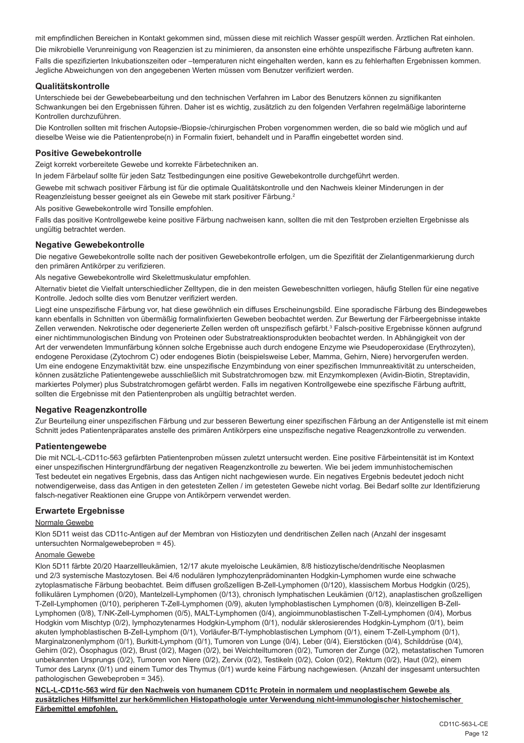mit empfindlichen Bereichen in Kontakt gekommen sind, müssen diese mit reichlich Wasser gespült werden. Ärztlichen Rat einholen. Die mikrobielle Verunreinigung von Reagenzien ist zu minimieren, da ansonsten eine erhöhte unspezifische Färbung auftreten kann. Falls die spezifizierten Inkubationszeiten oder –temperaturen nicht eingehalten werden, kann es zu fehlerhaften Ergebnissen kommen. Jegliche Abweichungen von den angegebenen Werten müssen vom Benutzer verifiziert werden.

# **Qualitätskontrolle**

Unterschiede bei der Gewebebearbeitung und den technischen Verfahren im Labor des Benutzers können zu signifikanten Schwankungen bei den Ergebnissen führen. Daher ist es wichtig, zusätzlich zu den folgenden Verfahren regelmäßige laborinterne Kontrollen durchzuführen.

Die Kontrollen sollten mit frischen Autopsie-/Biopsie-/chirurgischen Proben vorgenommen werden, die so bald wie möglich und auf dieselbe Weise wie die Patientenprobe(n) in Formalin fixiert, behandelt und in Paraffin eingebettet worden sind.

#### **Positive Gewebekontrolle**

Zeigt korrekt vorbereitete Gewebe und korrekte Färbetechniken an.

In jedem Färbelauf sollte für jeden Satz Testbedingungen eine positive Gewebekontrolle durchgeführt werden.

Gewebe mit schwach positiver Färbung ist für die optimale Qualitätskontrolle und den Nachweis kleiner Minderungen in der Reagenzleistung besser geeignet als ein Gewebe mit stark positiver Färbung.<sup>2</sup>

Als positive Gewebekontrolle wird Tonsille empfohlen.

Falls das positive Kontrollgewebe keine positive Färbung nachweisen kann, sollten die mit den Testproben erzielten Ergebnisse als ungültig betrachtet werden.

#### **Negative Gewebekontrolle**

Die negative Gewebekontrolle sollte nach der positiven Gewebekontrolle erfolgen, um die Spezifität der Zielantigenmarkierung durch den primären Antikörper zu verifizieren.

Als negative Gewebekontrolle wird Skelettmuskulatur empfohlen.

Alternativ bietet die Vielfalt unterschiedlicher Zelltypen, die in den meisten Gewebeschnitten vorliegen, häufig Stellen für eine negative Kontrolle. Jedoch sollte dies vom Benutzer verifiziert werden.

Liegt eine unspezifische Färbung vor, hat diese gewöhnlich ein diffuses Erscheinungsbild. Eine sporadische Färbung des Bindegewebes kann ebenfalls in Schnitten von übermäßig formalinfixierten Geweben beobachtet werden. Zur Bewertung der Färbeergebnisse intakte Zellen verwenden. Nekrotische oder degenerierte Zellen werden oft unspezifisch gefärbt.<sup>3</sup> Falsch-positive Ergebnisse können aufgrund einer nichtimmunologischen Bindung von Proteinen oder Substratreaktionsprodukten beobachtet werden. In Abhängigkeit von der Art der verwendeten Immunfärbung können solche Ergebnisse auch durch endogene Enzyme wie Pseudoperoxidase (Erythrozyten), endogene Peroxidase (Zytochrom C) oder endogenes Biotin (beispielsweise Leber, Mamma, Gehirn, Niere) hervorgerufen werden. Um eine endogene Enzymaktivität bzw. eine unspezifische Enzymbindung von einer spezifischen Immunreaktivität zu unterscheiden, können zusätzliche Patientengewebe ausschließlich mit Substratchromogen bzw. mit Enzymkomplexen (Avidin-Biotin, Streptavidin, markiertes Polymer) plus Substratchromogen gefärbt werden. Falls im negativen Kontrollgewebe eine spezifische Färbung auftritt, sollten die Ergebnisse mit den Patientenproben als ungültig betrachtet werden.

# **Negative Reagenzkontrolle**

Zur Beurteilung einer unspezifischen Färbung und zur besseren Bewertung einer spezifischen Färbung an der Antigenstelle ist mit einem Schnitt jedes Patientenpräparates anstelle des primären Antikörpers eine unspezifische negative Reagenzkontrolle zu verwenden.

# **Patientengewebe**

Die mit NCL-L-CD11c-563 gefärbten Patientenproben müssen zuletzt untersucht werden. Eine positive Färbeintensität ist im Kontext einer unspezifischen Hintergrundfärbung der negativen Reagenzkontrolle zu bewerten. Wie bei jedem immunhistochemischen Test bedeutet ein negatives Ergebnis, dass das Antigen nicht nachgewiesen wurde. Ein negatives Ergebnis bedeutet jedoch nicht notwendigerweise, dass das Antigen in den getesteten Zellen / im getesteten Gewebe nicht vorlag. Bei Bedarf sollte zur Identifizierung falsch-negativer Reaktionen eine Gruppe von Antikörpern verwendet werden.

# **Erwartete Ergebnisse**

#### Normale Gewebe

Klon 5D11 weist das CD11c-Antigen auf der Membran von Histiozyten und dendritischen Zellen nach (Anzahl der insgesamt untersuchten Normalgewebeproben = 45).

#### Anomale Gewebe

Klon 5D11 färbte 20/20 Haarzellleukämien, 12/17 akute myeloische Leukämien, 8/8 histiozytische/dendritische Neoplasmen und 2/3 systemische Mastozytosen. Bei 4/6 nodulären lymphozytenprädominanten Hodgkin-Lymphomen wurde eine schwache zytoplasmatische Färbung beobachtet. Beim diffusen großzelligen B-Zell-Lymphomen (0/120), klassischem Morbus Hodgkin (0/25), follikulären Lymphomen (0/20), Mantelzell-Lymphomen (0/13), chronisch lymphatischen Leukämien (0/12), anaplastischen großzelligen T-Zell-Lymphomen (0/10), peripheren T-Zell-Lymphomen (0/9), akuten lymphoblastischen Lymphomen (0/8), kleinzelligen B-Zell-Lymphomen (0/8), T/NK-Zell-Lymphomen (0/5), MALT-Lymphomen (0/4), angioimmunoblastischen T-Zell-Lymphomen (0/4), Morbus Hodgkin vom Mischtyp (0/2), lymphozytenarmes Hodgkin-Lymphom (0/1), nodulär sklerosierendes Hodgkin-Lymphom (0/1), beim akuten lymphoblastischen B-Zell-Lymphom (0/1), Vorläufer-B/T-lymphoblastischen Lymphom (0/1), einem T-Zell-Lymphom (0/1), Marginalzonenlymphom (0/1), Burkitt-Lymphom (0/1), Tumoren von Lunge (0/4), Leber (0/4), Eierstöcken (0/4), Schilddrüse (0/4), Gehirn (0/2), Ösophagus (0/2), Brust (0/2), Magen (0/2), bei Weichteiltumoren (0/2), Tumoren der Zunge (0/2), metastatischen Tumoren unbekannten Ursprungs (0/2), Tumoren von Niere (0/2), Zervix (0/2), Testikeln (0/2), Colon (0/2), Rektum (0/2), Haut (0/2), einem Tumor des Larynx (0/1) und einem Tumor des Thymus (0/1) wurde keine Färbung nachgewiesen. (Anzahl der insgesamt untersuchten pathologischen Gewebeproben = 345).

**NCL-L-CD11c-563 wird für den Nachweis von humanem CD11c Protein in normalem und neoplastischem Gewebe als zusätzliches Hilfsmittel zur herkömmlichen Histopathologie unter Verwendung nicht-immunologischer histochemischer Färbemittel empfohlen.**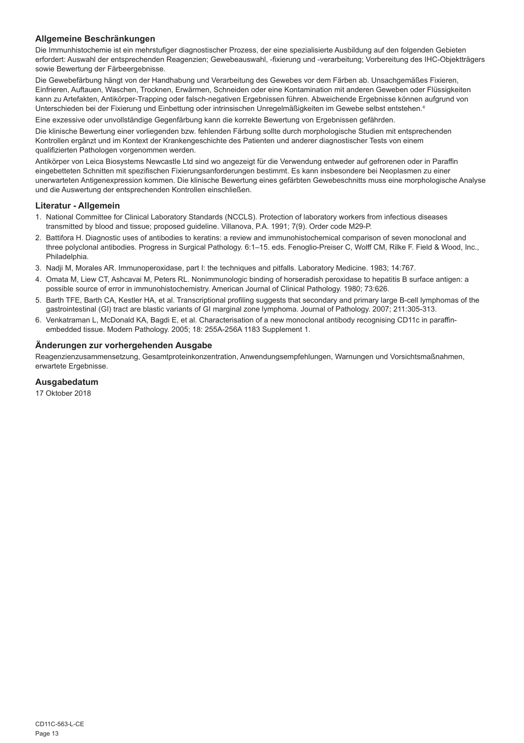# **Allgemeine Beschränkungen**

Die Immunhistochemie ist ein mehrstufiger diagnostischer Prozess, der eine spezialisierte Ausbildung auf den folgenden Gebieten erfordert: Auswahl der entsprechenden Reagenzien; Gewebeauswahl, -fixierung und -verarbeitung; Vorbereitung des IHC-Objektträgers sowie Bewertung der Färbeergebnisse.

Die Gewebefärbung hängt von der Handhabung und Verarbeitung des Gewebes vor dem Färben ab. Unsachgemäßes Fixieren, Einfrieren, Auftauen, Waschen, Trocknen, Erwärmen, Schneiden oder eine Kontamination mit anderen Geweben oder Flüssigkeiten kann zu Artefakten, Antikörper-Trapping oder falsch-negativen Ergebnissen führen. Abweichende Ergebnisse können aufgrund von Unterschieden bei der Fixierung und Einbettung oder intrinsischen Unregelmäßigkeiten im Gewebe selbst entstehen.4

Eine exzessive oder unvollständige Gegenfärbung kann die korrekte Bewertung von Ergebnissen gefährden.

Die klinische Bewertung einer vorliegenden bzw. fehlenden Färbung sollte durch morphologische Studien mit entsprechenden Kontrollen ergänzt und im Kontext der Krankengeschichte des Patienten und anderer diagnostischer Tests von einem qualifizierten Pathologen vorgenommen werden.

Antikörper von Leica Biosystems Newcastle Ltd sind wo angezeigt für die Verwendung entweder auf gefrorenen oder in Paraffin eingebetteten Schnitten mit spezifischen Fixierungsanforderungen bestimmt. Es kann insbesondere bei Neoplasmen zu einer unerwarteten Antigenexpression kommen. Die klinische Bewertung eines gefärbten Gewebeschnitts muss eine morphologische Analyse und die Auswertung der entsprechenden Kontrollen einschließen.

#### **Literatur - Allgemein**

- 1. National Committee for Clinical Laboratory Standards (NCCLS). Protection of laboratory workers from infectious diseases transmitted by blood and tissue; proposed guideline. Villanova, P.A. 1991; 7(9). Order code M29-P.
- 2. Battifora H. Diagnostic uses of antibodies to keratins: a review and immunohistochemical comparison of seven monoclonal and three polyclonal antibodies. Progress in Surgical Pathology. 6:1–15. eds. Fenoglio-Preiser C, Wolff CM, Rilke F. Field & Wood, Inc., Philadelphia.
- 3. Nadji M, Morales AR. Immunoperoxidase, part I: the techniques and pitfalls. Laboratory Medicine. 1983; 14:767.
- 4. Omata M, Liew CT, Ashcavai M, Peters RL. Nonimmunologic binding of horseradish peroxidase to hepatitis B surface antigen: a possible source of error in immunohistochemistry. American Journal of Clinical Pathology. 1980; 73:626.
- 5. Barth TFE, Barth CA, Kestler HA, et al. Transcriptional profiling suggests that secondary and primary large B-cell lymphomas of the gastrointestinal (GI) tract are blastic variants of GI marginal zone lymphoma. Journal of Pathology. 2007; 211:305-313.
- 6. Venkatraman L, McDonald KA, Bagdi E, et al. Characterisation of a new monoclonal antibody recognising CD11c in paraffinembedded tissue. Modern Pathology. 2005; 18: 255A-256A 1183 Supplement 1.

#### **Änderungen zur vorhergehenden Ausgabe**

Reagenzienzusammensetzung, Gesamtproteinkonzentration, Anwendungsempfehlungen, Warnungen und Vorsichtsmaßnahmen, erwartete Ergebnisse.

# **Ausgabedatum**

17 Oktober 2018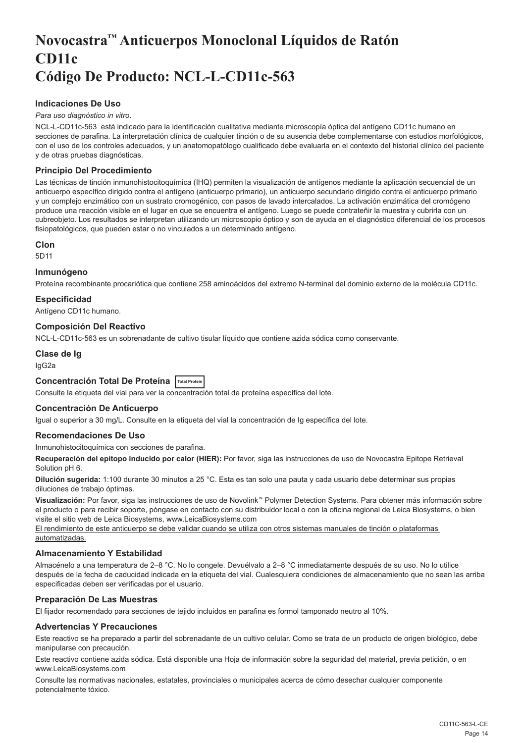# <span id="page-14-0"></span>**Novocastra™ Anticuerpos Monoclonal Líquidos de Ratón CD11c Código De Producto: NCL-L-CD11c-563**

# **Indicaciones De Uso**

#### *Para uso diagnóstico in vitro*.

NCL-L-CD11c-563 está indicado para la identificación cualitativa mediante microscopía óptica del antígeno CD11c humano en secciones de parafina. La interpretación clínica de cualquier tinción o de su ausencia debe complementarse con estudios morfológicos, con el uso de los controles adecuados, y un anatomopatólogo cualificado debe evaluarla en el contexto del historial clínico del paciente y de otras pruebas diagnósticas.

# **Principio Del Procedimiento**

Las técnicas de tinción inmunohistocitoquímica (IHQ) permiten la visualización de antígenos mediante la aplicación secuencial de un anticuerpo específico dirigido contra el antígeno (anticuerpo primario), un anticuerpo secundario dirigido contra el anticuerpo primario y un complejo enzimático con un sustrato cromogénico, con pasos de lavado intercalados. La activación enzimática del cromógeno produce una reacción visible en el lugar en que se encuentra el antígeno. Luego se puede contrateñir la muestra y cubrirla con un cubreobjeto. Los resultados se interpretan utilizando un microscopio óptico y son de ayuda en el diagnóstico diferencial de los procesos fisiopatológicos, que pueden estar o no vinculados a un determinado antígeno.

#### **Clon**

5D11

#### **Inmunógeno**

Proteína recombinante procariótica que contiene 258 aminoácidos del extremo N-terminal del dominio externo de la molécula CD11c.

#### **Especificidad**

Antígeno CD11c humano.

#### **Composición Del Reactivo**

NCL-L-CD11c-563 es un sobrenadante de cultivo tisular líquido que contiene azida sódica como conservante.

# **Clase de Ig**

IgG2a

### **Concentración Total De Proteína Total Protein**

Consulte la etiqueta del vial para ver la concentración total de proteína específica del lote.

#### **Concentración De Anticuerpo**

Igual o superior a 30 mg/L. Consulte en la etiqueta del vial la concentración de Ig específica del lote.

#### **Recomendaciones De Uso**

#### Inmunohistocitoquímica con secciones de parafina.

**Recuperación del epítopo inducido por calor (HIER):** Por favor, siga las instrucciones de uso de Novocastra Epitope Retrieval Solution pH 6.

**Dilución sugerida:** 1:100 durante 30 minutos a 25 °C. Esta es tan solo una pauta y cada usuario debe determinar sus propias diluciones de trabajo óptimas.

**Visualización:** Por favor, siga las instrucciones de uso de Novolink™ Polymer Detection Systems. Para obtener más información sobre el producto o para recibir soporte, póngase en contacto con su distribuidor local o con la oficina regional de Leica Biosystems, o bien visite el sitio web de Leica Biosystems, www.LeicaBiosystems.com

El rendimiento de este anticuerpo se debe validar cuando se utiliza con otros sistemas manuales de tinción o plataformas automatizadas.

# **Almacenamiento Y Estabilidad**

Almacénelo a una temperatura de 2–8 °C. No lo congele. Devuélvalo a 2–8 °C inmediatamente después de su uso. No lo utilice después de la fecha de caducidad indicada en la etiqueta del vial. Cualesquiera condiciones de almacenamiento que no sean las arriba especificadas deben ser verificadas por el usuario.

#### **Preparación De Las Muestras**

El fijador recomendado para secciones de tejido incluidos en parafina es formol tamponado neutro al 10%.

#### **Advertencias Y Precauciones**

Este reactivo se ha preparado a partir del sobrenadante de un cultivo celular. Como se trata de un producto de origen biológico, debe manipularse con precaución.

Este reactivo contiene azida sódica. Está disponible una Hoja de información sobre la seguridad del material, previa petición, o en www.LeicaBiosystems.com

Consulte las normativas nacionales, estatales, provinciales o municipales acerca de cómo desechar cualquier componente potencialmente tóxico.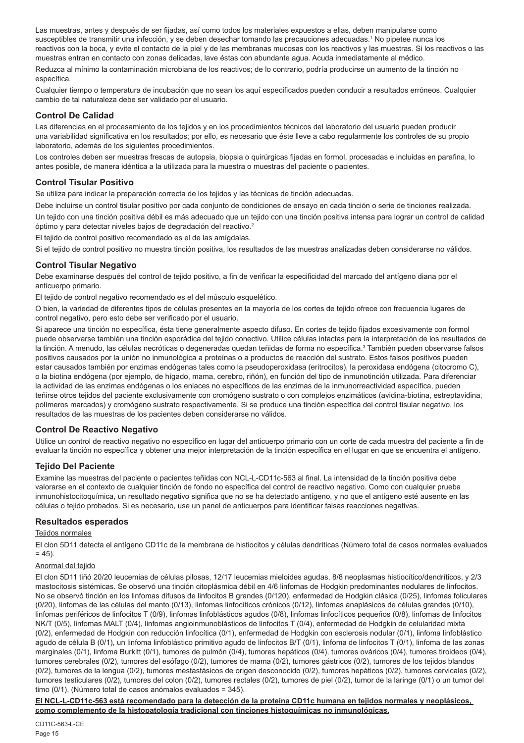Las muestras, antes y después de ser fijadas, así como todos los materiales expuestos a ellas, deben manipularse como susceptibles de transmitir una infección, y se deben desechar tomando las precauciones adecuadas.<sup>1</sup> No pipetee nunca los reactivos con la boca, y evite el contacto de la piel y de las membranas mucosas con los reactivos y las muestras. Si los reactivos o las muestras entran en contacto con zonas delicadas, lave éstas con abundante agua. Acuda inmediatamente al médico.

Reduzca al mínimo la contaminación microbiana de los reactivos; de lo contrario, podría producirse un aumento de la tinción no específica.

Cualquier tiempo o temperatura de incubación que no sean los aquí especificados pueden conducir a resultados erróneos. Cualquier cambio de tal naturaleza debe ser validado por el usuario.

#### **Control De Calidad**

Las diferencias en el procesamiento de los tejidos y en los procedimientos técnicos del laboratorio del usuario pueden producir una variabilidad significativa en los resultados; por ello, es necesario que éste lleve a cabo regularmente los controles de su propio laboratorio, además de los siguientes procedimientos.

Los controles deben ser muestras frescas de autopsia, biopsia o quirúrgicas fijadas en formol, procesadas e incluidas en parafina, lo antes posible, de manera idéntica a la utilizada para la muestra o muestras del paciente o pacientes.

#### **Control Tisular Positivo**

Se utiliza para indicar la preparación correcta de los tejidos y las técnicas de tinción adecuadas.

Debe incluirse un control tisular positivo por cada conjunto de condiciones de ensayo en cada tinción o serie de tinciones realizada.

Un tejido con una tinción positiva débil es más adecuado que un tejido con una tinción positiva intensa para lograr un control de calidad óptimo y para detectar niveles bajos de degradación del reactivo.<sup>2</sup>

El tejido de control positivo recomendado es el de las amígdalas.

Si el tejido de control positivo no muestra tinción positiva, los resultados de las muestras analizadas deben considerarse no válidos.

#### **Control Tisular Negativo**

Debe examinarse después del control de tejido positivo, a fin de verificar la especificidad del marcado del antígeno diana por el anticuerpo primario.

El tejido de control negativo recomendado es el del músculo esquelético.

O bien, la variedad de diferentes tipos de células presentes en la mayoría de los cortes de tejido ofrece con frecuencia lugares de control negativo, pero esto debe ser verificado por el usuario.

Si aparece una tinción no específica, ésta tiene generalmente aspecto difuso. En cortes de tejido fijados excesivamente con formol puede observarse también una tinción esporádica del tejido conectivo. Utilice células intactas para la interpretación de los resultados de la tinción. A menudo, las células necróticas o degeneradas quedan teñidas de forma no específica.<sup>3</sup> También pueden observarse falsos positivos causados por la unión no inmunológica a proteínas o a productos de reacción del sustrato. Estos falsos positivos pueden estar causados también por enzimas endógenas tales como la pseudoperoxidasa (eritrocitos), la peroxidasa endógena (citocromo C), o la biotina endógena (por ejemplo, de hígado, mama, cerebro, riñón), en función del tipo de inmunotinción utilizada. Para diferenciar la actividad de las enzimas endógenas o los enlaces no específicos de las enzimas de la inmunorreactividad específica, pueden teñirse otros tejidos del paciente exclusivamente con cromógeno sustrato o con complejos enzimáticos (avidina-biotina, estreptavidina, polímeros marcados) y cromógeno sustrato respectivamente. Si se produce una tinción específica del control tisular negativo, los resultados de las muestras de los pacientes deben considerarse no válidos.

# **Control De Reactivo Negativo**

Utilice un control de reactivo negativo no específico en lugar del anticuerpo primario con un corte de cada muestra del paciente a fin de evaluar la tinción no específica y obtener una mejor interpretación de la tinción específica en el lugar en que se encuentra el antígeno.

#### **Tejido Del Paciente**

Examine las muestras del paciente o pacientes teñidas con NCL-L-CD11c-563 al final. La intensidad de la tinción positiva debe valorarse en el contexto de cualquier tinción de fondo no específica del control de reactivo negativo. Como con cualquier prueba inmunohistocitoquímica, un resultado negativo significa que no se ha detectado antígeno, y no que el antígeno esté ausente en las células o tejido probados. Si es necesario, use un panel de anticuerpos para identificar falsas reacciones negativas.

#### **Resultados esperados**

#### Tejidos normales

El clon 5D11 detecta el antígeno CD11c de la membrana de histiocitos y células dendríticas (Número total de casos normales evaluados  $= 45$ ).

#### Anormal del tejido

El clon 5D11 tiñó 20/20 leucemias de células pilosas, 12/17 leucemias mieloides agudas, 8/8 neoplasmas histiocítico/dendríticos, y 2/3 mastocitosis sistémicas. Se observó una tinción citoplásmica débil en 4/6 linfomas de Hodgkin predominantes nodulares de linfocitos. No se observó tinción en los linfomas difusos de linfocitos B grandes (0/120), enfermedad de Hodgkin clásica (0/25), linfomas foliculares (0/20), linfomas de las células del manto (0/13), linfomas linfocíticos crónicos (0/12), linfomas anaplásicos de células grandes (0/10), linfomas periféricos de linfocitos T (0/9), linfomas linfoblásticos agudos (0/8), linfomas linfocíticos pequeños (0/8), linfomas de linfocitos NK/T (0/5), linfomas MALT (0/4), linfomas angioinmunoblásticos de linfocitos T (0/4), enfermedad de Hodgkin de celularidad mixta (0/2), enfermedad de Hodgkin con reducción linfocítica (0/1), enfermedad de Hodgkin con esclerosis nodular (0/1), linfoma linfoblástico agudo de célula B (0/1), un linfoma linfoblástico primitivo agudo de linfocitos B/T (0/1), linfoma de linfocitos T (0/1), linfoma de las zonas marginales (0/1), linfoma Burkitt (0/1), tumores de pulmón (0/4), tumores hepáticos (0/4), tumores ováricos (0/4), tumores tiroideos (0/4), tumores cerebrales (0/2), tumores del esófago (0/2), tumores de mama (0/2), tumores gástricos (0/2), tumores de los tejidos blandos (0/2), tumores de la lengua (0/2), tumores mestastásicos de origen desconocido (0/2), tumores hepáticos (0/2), tumores cervicales (0/2), tumores testiculares (0/2), tumores del colon (0/2), tumores rectales (0/2), tumores de piel (0/2), tumor de la laringe (0/1) o un tumor del timo (0/1). (Número total de casos anómalos evaluados = 345).

**El NCL-L-CD11c-563 está recomendado para la detección de la proteína CD11c humana en tejidos normales y neoplásicos, como complemento de la histopatología tradicional con tinciones histoquímicas no inmunológicas.**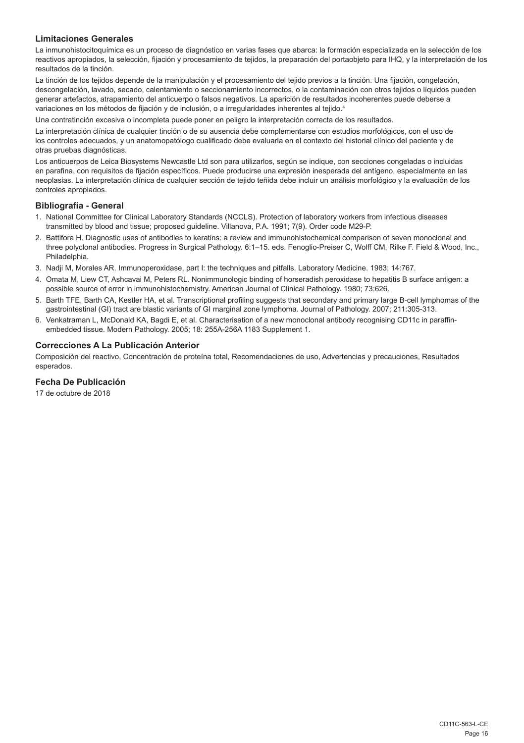# **Limitaciones Generales**

La inmunohistocitoquímica es un proceso de diagnóstico en varias fases que abarca: la formación especializada en la selección de los reactivos apropiados, la selección, fijación y procesamiento de tejidos, la preparación del portaobjeto para IHQ, y la interpretación de los resultados de la tinción.

La tinción de los tejidos depende de la manipulación y el procesamiento del tejido previos a la tinción. Una fijación, congelación, descongelación, lavado, secado, calentamiento o seccionamiento incorrectos, o la contaminación con otros tejidos o líquidos pueden generar artefactos, atrapamiento del anticuerpo o falsos negativos. La aparición de resultados incoherentes puede deberse a variaciones en los métodos de fijación y de inclusión, o a irregularidades inherentes al tejido.<sup>4</sup>

Una contratinción excesiva o incompleta puede poner en peligro la interpretación correcta de los resultados.

La interpretación clínica de cualquier tinción o de su ausencia debe complementarse con estudios morfológicos, con el uso de los controles adecuados, y un anatomopatólogo cualificado debe evaluarla en el contexto del historial clínico del paciente y de otras pruebas diagnósticas.

Los anticuerpos de Leica Biosystems Newcastle Ltd son para utilizarlos, según se indique, con secciones congeladas o incluidas en parafina, con requisitos de fijación específicos. Puede producirse una expresión inesperada del antígeno, especialmente en las neoplasias. La interpretación clínica de cualquier sección de tejido teñida debe incluir un análisis morfológico y la evaluación de los controles apropiados.

#### **Bibliografía - General**

- 1. National Committee for Clinical Laboratory Standards (NCCLS). Protection of laboratory workers from infectious diseases transmitted by blood and tissue; proposed guideline. Villanova, P.A. 1991; 7(9). Order code M29-P.
- 2. Battifora H. Diagnostic uses of antibodies to keratins: a review and immunohistochemical comparison of seven monoclonal and three polyclonal antibodies. Progress in Surgical Pathology. 6:1–15. eds. Fenoglio-Preiser C, Wolff CM, Rilke F. Field & Wood, Inc., Philadelphia.
- 3. Nadji M, Morales AR. Immunoperoxidase, part I: the techniques and pitfalls. Laboratory Medicine. 1983; 14:767.
- 4. Omata M, Liew CT, Ashcavai M, Peters RL. Nonimmunologic binding of horseradish peroxidase to hepatitis B surface antigen: a possible source of error in immunohistochemistry. American Journal of Clinical Pathology. 1980; 73:626.
- 5. Barth TFE, Barth CA, Kestler HA, et al. Transcriptional profiling suggests that secondary and primary large B-cell lymphomas of the gastrointestinal (GI) tract are blastic variants of GI marginal zone lymphoma. Journal of Pathology. 2007; 211:305-313.
- 6. Venkatraman L, McDonald KA, Bagdi E, et al. Characterisation of a new monoclonal antibody recognising CD11c in paraffinembedded tissue. Modern Pathology. 2005; 18: 255A-256A 1183 Supplement 1.

# **Correcciones A La Publicación Anterior**

Composición del reactivo, Concentración de proteína total, Recomendaciones de uso, Advertencias y precauciones, Resultados esperados.

# **Fecha De Publicación**

17 de octubre de 2018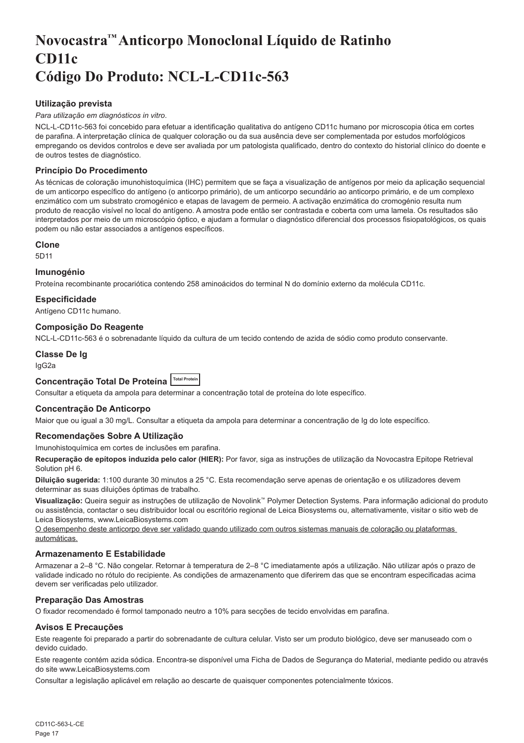# <span id="page-17-0"></span>**Novocastra™ Anticorpo Monoclonal Líquido de Ratinho CD11c Código Do Produto: NCL-L-CD11c-563**

# **Utilização prevista**

#### *Para utilização em diagnósticos in vitro*.

NCL-L-CD11c-563 foi concebido para efetuar a identificação qualitativa do antígeno CD11c humano por microscopia ótica em cortes de parafina. A interpretação clínica de qualquer coloração ou da sua ausência deve ser complementada por estudos morfológicos empregando os devidos controlos e deve ser avaliada por um patologista qualificado, dentro do contexto do historial clínico do doente e de outros testes de diagnóstico.

# **Princípio Do Procedimento**

As técnicas de coloração imunohistoquímica (IHC) permitem que se faça a visualização de antígenos por meio da aplicação sequencial de um anticorpo específico do antígeno (o anticorpo primário), de um anticorpo secundário ao anticorpo primário, e de um complexo enzimático com um substrato cromogénico e etapas de lavagem de permeio. A activação enzimática do cromogénio resulta num produto de reacção visível no local do antígeno. A amostra pode então ser contrastada e coberta com uma lamela. Os resultados são interpretados por meio de um microscópio óptico, e ajudam a formular o diagnóstico diferencial dos processos fisiopatológicos, os quais podem ou não estar associados a antígenos específicos.

#### **Clone**

5D11

#### **Imunogénio**

Proteína recombinante procariótica contendo 258 aminoácidos do terminal N do domínio externo da molécula CD11c.

# **Especificidade**

Antígeno CD11c humano.

#### **Composição Do Reagente**

NCL-L-CD11c-563 é o sobrenadante líquido da cultura de um tecido contendo de azida de sódio como produto conservante.

# **Classe De Ig**

IgG2a

# **Concentração Total De Proteína Total Protein**

Consultar a etiqueta da ampola para determinar a concentração total de proteína do lote específico.

# **Concentração De Anticorpo**

Maior que ou igual a 30 mg/L. Consultar a etiqueta da ampola para determinar a concentração de Ig do lote específico.

# **Recomendações Sobre A Utilização**

Imunohistoquímica em cortes de inclusões em parafina.

**Recuperação de epítopos induzida pelo calor (HIER):** Por favor, siga as instruções de utilização da Novocastra Epitope Retrieval Solution pH 6.

**Diluição sugerida:** 1:100 durante 30 minutos a 25 °C. Esta recomendação serve apenas de orientação e os utilizadores devem determinar as suas diluições óptimas de trabalho.

**Visualização:** Queira seguir as instruções de utilização de Novolink™ Polymer Detection Systems. Para informação adicional do produto ou assistência, contactar o seu distribuidor local ou escritório regional de Leica Biosystems ou, alternativamente, visitar o sitio web de Leica Biosystems, www.LeicaBiosystems.com

O desempenho deste anticorpo deve ser validado quando utilizado com outros sistemas manuais de coloração ou plataformas automáticas.

# **Armazenamento E Estabilidade**

Armazenar a 2–8 °C. Não congelar. Retornar à temperatura de 2–8 °C imediatamente após a utilização. Não utilizar após o prazo de validade indicado no rótulo do recipiente. As condições de armazenamento que diferirem das que se encontram especificadas acima devem ser verificadas pelo utilizador.

# **Preparação Das Amostras**

O fixador recomendado é formol tamponado neutro a 10% para secções de tecido envolvidas em parafina.

# **Avisos E Precauções**

Este reagente foi preparado a partir do sobrenadante de cultura celular. Visto ser um produto biológico, deve ser manuseado com o devido cuidado.

Este reagente contém azida sódica. Encontra-se disponível uma Ficha de Dados de Segurança do Material, mediante pedido ou através do site www.LeicaBiosystems.com

Consultar a legislação aplicável em relação ao descarte de quaisquer componentes potencialmente tóxicos.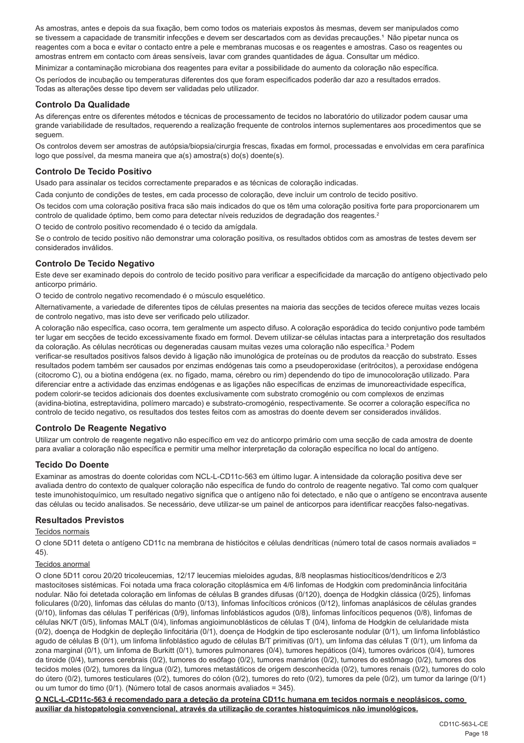As amostras, antes e depois da sua fixação, bem como todos os materiais expostos às mesmas, devem ser manipulados como se tivessem a capacidade de transmitir infecções e devem ser descartados com as devidas precauções.<sup>1</sup> Não pipetar nunca os reagentes com a boca e evitar o contacto entre a pele e membranas mucosas e os reagentes e amostras. Caso os reagentes ou amostras entrem em contacto com áreas sensíveis, lavar com grandes quantidades de água. Consultar um médico.

Minimizar a contaminação microbiana dos reagentes para evitar a possibilidade do aumento da coloração não específica. Os períodos de incubação ou temperaturas diferentes dos que foram especificados poderão dar azo a resultados errados. Todas as alterações desse tipo devem ser validadas pelo utilizador.

# **Controlo Da Qualidade**

As diferenças entre os diferentes métodos e técnicas de processamento de tecidos no laboratório do utilizador podem causar uma grande variabilidade de resultados, requerendo a realização frequente de controlos internos suplementares aos procedimentos que se seguem.

Os controlos devem ser amostras de autópsia/biopsia/cirurgia frescas, fixadas em formol, processadas e envolvidas em cera parafínica logo que possível, da mesma maneira que a(s) amostra(s) do(s) doente(s).

# **Controlo De Tecido Positivo**

Usado para assinalar os tecidos correctamente preparados e as técnicas de coloração indicadas.

Cada conjunto de condições de testes, em cada processo de coloração, deve incluir um controlo de tecido positivo.

Os tecidos com uma coloração positiva fraca são mais indicados do que os têm uma coloração positiva forte para proporcionarem um controlo de qualidade óptimo, bem como para detectar níveis reduzidos de degradação dos reagentes.<sup>2</sup>

O tecido de controlo positivo recomendado é o tecido da amígdala.

Se o controlo de tecido positivo não demonstrar uma coloração positiva, os resultados obtidos com as amostras de testes devem ser considerados inválidos.

# **Controlo De Tecido Negativo**

Este deve ser examinado depois do controlo de tecido positivo para verificar a especificidade da marcação do antígeno objectivado pelo anticorpo primário.

O tecido de controlo negativo recomendado é o músculo esquelético.

Alternativamente, a variedade de diferentes tipos de células presentes na maioria das secções de tecidos oferece muitas vezes locais de controlo negativo, mas isto deve ser verificado pelo utilizador.

A coloração não específica, caso ocorra, tem geralmente um aspecto difuso. A coloração esporádica do tecido conjuntivo pode também ter lugar em secções de tecido excessivamente fixado em formol. Devem utilizar-se células intactas para a interpretação dos resultados da coloração. As células necróticas ou degeneradas causam muitas vezes uma coloração não específica.<sup>3</sup> Podem verificar-se resultados positivos falsos devido à ligação não imunológica de proteínas ou de produtos da reacção do substrato. Esses resultados podem também ser causados por enzimas endógenas tais como a pseudoperoxidase (eritrócitos), a peroxidase endógena (citocromo C), ou a biotina endógena (ex. no fígado, mama, cérebro ou rim) dependendo do tipo de imunocoloração utilizado. Para diferenciar entre a actividade das enzimas endógenas e as ligações não específicas de enzimas de imunoreactividade específica, podem colorir-se tecidos adicionais dos doentes exclusivamente com substrato cromogénio ou com complexos de enzimas (avidina-biotina, estreptavidina, polímero marcado) e substrato-cromogénio, respectivamente. Se ocorrer a coloração específica no controlo de tecido negativo, os resultados dos testes feitos com as amostras do doente devem ser considerados inválidos.

# **Controlo De Reagente Negativo**

Utilizar um controlo de reagente negativo não específico em vez do anticorpo primário com uma secção de cada amostra de doente para avaliar a coloração não específica e permitir uma melhor interpretação da coloração específica no local do antígeno.

# **Tecido Do Doente**

Examinar as amostras do doente coloridas com NCL-L-CD11c-563 em último lugar. A intensidade da coloração positiva deve ser avaliada dentro do contexto de qualquer coloração não específica de fundo do controlo de reagente negativo. Tal como com qualquer teste imunohistoquímico, um resultado negativo significa que o antígeno não foi detectado, e não que o antígeno se encontrava ausente das células ou tecido analisados. Se necessário, deve utilizar-se um painel de anticorpos para identificar reacções falso-negativas.

# **Resultados Previstos**

# Tecidos normais

O clone 5D11 deteta o antígeno CD11c na membrana de histiócitos e células dendríticas (número total de casos normais avaliados = 45).

#### Tecidos anormal

O clone 5D11 corou 20/20 tricoleucemias, 12/17 leucemias mieloides agudas, 8/8 neoplasmas histiocíticos/dendríticos e 2/3 mastocitoses sistémicas. Foi notada uma fraca coloração citoplásmica em 4/6 linfomas de Hodgkin com predominância linfocitária nodular. Não foi detetada coloração em linfomas de células B grandes difusas (0/120), doença de Hodgkin clássica (0/25), linfomas foliculares (0/20), linfomas das células do manto (0/13), linfomas linfocíticos crónicos (0/12), linfomas anaplásicos de células grandes (0/10), linfomas das células T periféricas (0/9), linfomas linfoblásticos agudos (0/8), linfomas linfocíticos pequenos (0/8), linfomas de células NK/T (0/5), linfomas MALT (0/4), linfomas angioimunoblásticos de células T (0/4), linfoma de Hodgkin de celularidade mista (0/2), doença de Hodgkin de depleção linfocitária (0/1), doença de Hodgkin de tipo esclerosante nodular (0/1), um linfoma linfoblástico agudo de células B (0/1), um linfoma linfoblástico agudo de células B/T primitivas (0/1), um linfoma das células T (0/1), um linfoma da zona marginal (0/1), um linfoma de Burkitt (0/1), tumores pulmonares (0/4), tumores hepáticos (0/4), tumores ováricos (0/4), tumores da tiroide (0/4), tumores cerebrais (0/2), tumores do esófago (0/2), tumores mamários (0/2), tumores do estômago (0/2), tumores dos tecidos moles (0/2), tumores da língua (0/2), tumores metastáticos de origem desconhecida (0/2), tumores renais (0/2), tumores do colo do útero (0/2), tumores testiculares (0/2), tumores do cólon (0/2), tumores do reto (0/2), tumores da pele (0/2), um tumor da laringe (0/1) ou um tumor do timo (0/1). (Número total de casos anormais avaliados = 345).

**O NCL-L-CD11c-563 é recomendado para a deteção da proteína CD11c humana em tecidos normais e neoplásicos, como auxiliar da histopatologia convencional, através da utilização de corantes histoquímicos não imunológicos.**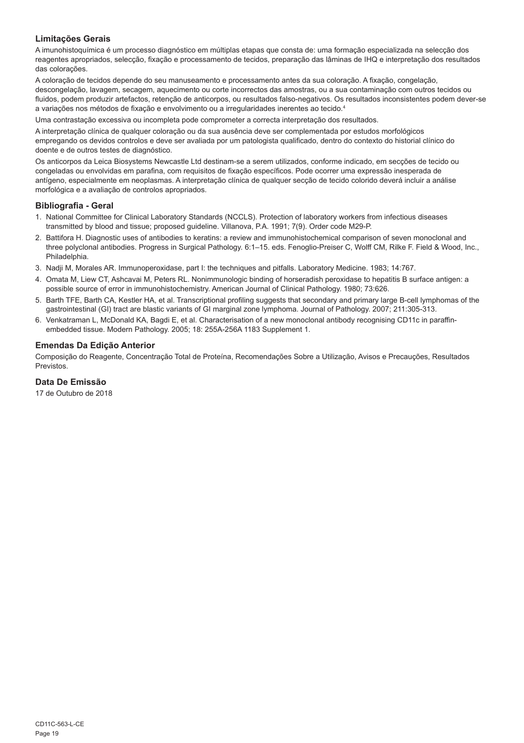# **Limitações Gerais**

A imunohistoquímica é um processo diagnóstico em múltiplas etapas que consta de: uma formação especializada na selecção dos reagentes apropriados, selecção, fixação e processamento de tecidos, preparação das lâminas de IHQ e interpretação dos resultados das colorações.

A coloração de tecidos depende do seu manuseamento e processamento antes da sua coloração. A fixação, congelação, descongelação, lavagem, secagem, aquecimento ou corte incorrectos das amostras, ou a sua contaminação com outros tecidos ou fluidos, podem produzir artefactos, retenção de anticorpos, ou resultados falso-negativos. Os resultados inconsistentes podem dever-se a variações nos métodos de fixação e envolvimento ou a irregularidades inerentes ao tecido.4

Uma contrastação excessiva ou incompleta pode comprometer a correcta interpretação dos resultados.

A interpretação clínica de qualquer coloração ou da sua ausência deve ser complementada por estudos morfológicos empregando os devidos controlos e deve ser avaliada por um patologista qualificado, dentro do contexto do historial clínico do doente e de outros testes de diagnóstico.

Os anticorpos da Leica Biosystems Newcastle Ltd destinam-se a serem utilizados, conforme indicado, em secções de tecido ou congeladas ou envolvidas em parafina, com requisitos de fixação específicos. Pode ocorrer uma expressão inesperada de antígeno, especialmente em neoplasmas. A interpretação clínica de qualquer secção de tecido colorido deverá incluir a análise morfológica e a avaliação de controlos apropriados.

#### **Bibliografia - Geral**

- 1. National Committee for Clinical Laboratory Standards (NCCLS). Protection of laboratory workers from infectious diseases transmitted by blood and tissue; proposed guideline. Villanova, P.A. 1991; 7(9). Order code M29-P.
- 2. Battifora H. Diagnostic uses of antibodies to keratins: a review and immunohistochemical comparison of seven monoclonal and three polyclonal antibodies. Progress in Surgical Pathology. 6:1–15. eds. Fenoglio-Preiser C, Wolff CM, Rilke F. Field & Wood, Inc., Philadelphia.
- 3. Nadji M, Morales AR. Immunoperoxidase, part I: the techniques and pitfalls. Laboratory Medicine. 1983; 14:767.
- 4. Omata M, Liew CT, Ashcavai M, Peters RL. Nonimmunologic binding of horseradish peroxidase to hepatitis B surface antigen: a possible source of error in immunohistochemistry. American Journal of Clinical Pathology. 1980; 73:626.
- 5. Barth TFE, Barth CA, Kestler HA, et al. Transcriptional profiling suggests that secondary and primary large B-cell lymphomas of the gastrointestinal (GI) tract are blastic variants of GI marginal zone lymphoma. Journal of Pathology. 2007; 211:305-313.
- 6. Venkatraman L, McDonald KA, Bagdi E, et al. Characterisation of a new monoclonal antibody recognising CD11c in paraffinembedded tissue. Modern Pathology. 2005; 18: 255A-256A 1183 Supplement 1.

# **Emendas Da Edição Anterior**

Composição do Reagente, Concentração Total de Proteína, Recomendações Sobre a Utilização, Avisos e Precauções, Resultados Previstos.

# **Data De Emissão**

17 de Outubro de 2018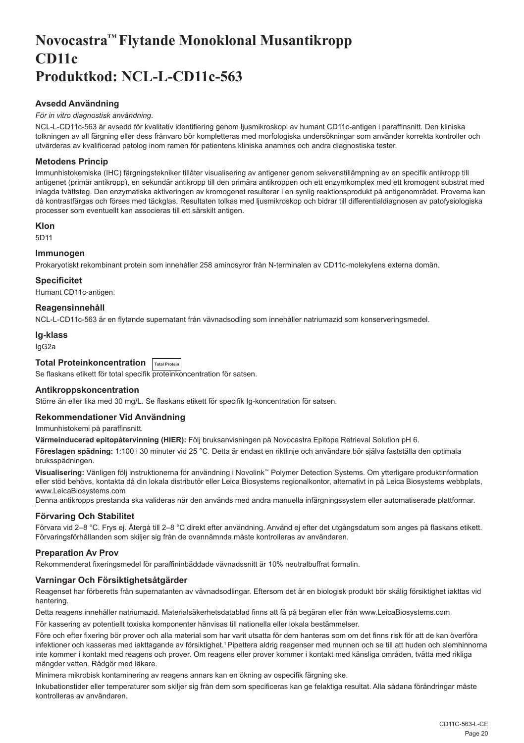# <span id="page-20-0"></span>**Novocastra™ Flytande Monoklonal Musantikropp CD11c Produktkod: NCL-L-CD11c-563**

# **Avsedd Användning**

# *För in vitro diagnostisk användning*.

NCL-L-CD11c-563 är avsedd för kvalitativ identifiering genom ljusmikroskopi av humant CD11c-antigen i paraffinsnitt. Den kliniska tolkningen av all färgning eller dess frånvaro bör kompletteras med morfologiska undersökningar som använder korrekta kontroller och utvärderas av kvalificerad patolog inom ramen för patientens kliniska anamnes och andra diagnostiska tester.

# **Metodens Princip**

Immunhistokemiska (IHC) färgningstekniker tillåter visualisering av antigener genom sekvenstillämpning av en specifik antikropp till antigenet (primär antikropp), en sekundär antikropp till den primära antikroppen och ett enzymkomplex med ett kromogent substrat med inlagda tvättsteg. Den enzymatiska aktiveringen av kromogenet resulterar i en synlig reaktionsprodukt på antigenområdet. Proverna kan då kontrastfärgas och förses med täckglas. Resultaten tolkas med ljusmikroskop och bidrar till differentialdiagnosen av patofysiologiska processer som eventuellt kan associeras till ett särskilt antigen.

# **Klon**

5D11

# **Immunogen**

Prokaryotiskt rekombinant protein som innehåller 258 aminosyror från N-terminalen av CD11c-molekylens externa domän.

# **Specificitet**

Humant CD11c-antigen.

# **Reagensinnehåll**

NCL-L-CD11c-563 är en flytande supernatant från vävnadsodling som innehåller natriumazid som konserveringsmedel.

#### **Ig-klass**

IgG2a

# **Total Proteinkoncentration Total Protein**

Se flaskans etikett för total specifik proteinkoncentration för satsen.

#### **Antikroppskoncentration**

Större än eller lika med 30 mg/L. Se flaskans etikett för specifik Ig-koncentration för satsen.

#### **Rekommendationer Vid Användning**

Immunhistokemi på paraffinsnitt.

**Värmeinducerad epitopåtervinning (HIER):** Följ bruksanvisningen på Novocastra Epitope Retrieval Solution pH 6.

**Föreslagen spädning:** 1:100 i 30 minuter vid 25 °C. Detta är endast en riktlinje och användare bör själva fastställa den optimala bruksspädningen.

**Visualisering:** Vänligen följ instruktionerna för användning i Novolink™ Polymer Detection Systems. Om ytterligare produktinformation eller stöd behövs, kontakta då din lokala distributör eller Leica Biosystems regionalkontor, alternativt in på Leica Biosystems webbplats, www.LeicaBiosystems.com

Denna antikropps prestanda ska valideras när den används med andra manuella infärgningssystem eller automatiserade plattformar.

# **Förvaring Och Stabilitet**

Förvara vid 2–8 °C. Frys ej. Återgå till 2–8 °C direkt efter användning. Använd ej efter det utgångsdatum som anges på flaskans etikett. Förvaringsförhållanden som skiljer sig från de ovannämnda måste kontrolleras av användaren.

# **Preparation Av Prov**

Rekommenderat fixeringsmedel för paraffininbäddade vävnadssnitt är 10% neutralbuffrat formalin.

# **Varningar Och Försiktighetsåtgärder**

Reagenset har förberetts från supernatanten av vävnadsodlingar. Eftersom det är en biologisk produkt bör skälig försiktighet iakttas vid hantering.

Detta reagens innehåller natriumazid. Materialsäkerhetsdatablad finns att få på begäran eller från www.LeicaBiosystems.com

För kassering av potentiellt toxiska komponenter hänvisas till nationella eller lokala bestämmelser.

Före och efter fixering bör prover och alla material som har varit utsatta för dem hanteras som om det finns risk för att de kan överföra infektioner och kasseras med iakttagande av försiktighet.<sup>1</sup> Pipettera aldrig reagenser med munnen och se till att huden och slemhinnorna inte kommer i kontakt med reagens och prover. Om reagens eller prover kommer i kontakt med känsliga områden, tvätta med rikliga mängder vatten. Rådgör med läkare.

Minimera mikrobisk kontaminering av reagens annars kan en ökning av ospecifik färgning ske.

Inkubationstider eller temperaturer som skiljer sig från dem som specificeras kan ge felaktiga resultat. Alla sådana förändringar måste kontrolleras av användaren.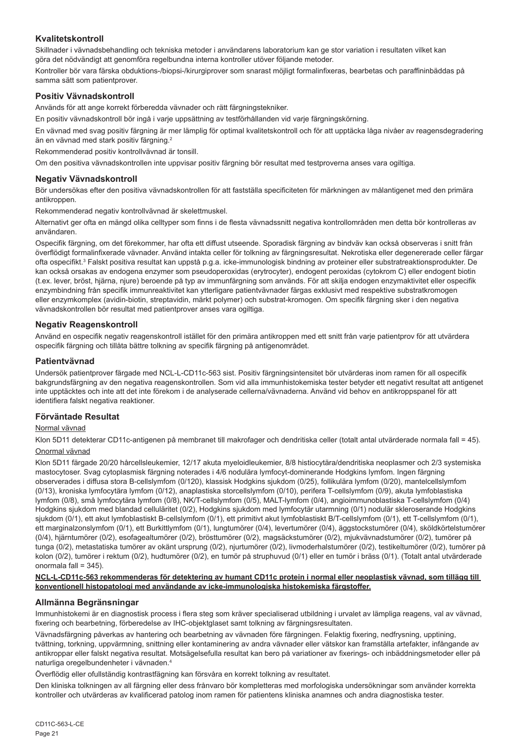# **Kvalitetskontroll**

Skillnader i vävnadsbehandling och tekniska metoder i användarens laboratorium kan ge stor variation i resultaten vilket kan göra det nödvändigt att genomföra regelbundna interna kontroller utöver följande metoder.

Kontroller bör vara färska obduktions-/biopsi-/kirurgiprover som snarast möjligt formalinfixeras, bearbetas och paraffininbäddas på samma sätt som patientprover.

# **Positiv Vävnadskontroll**

Används för att ange korrekt förberedda vävnader och rätt färgningstekniker.

En positiv vävnadskontroll bör ingå i varje uppsättning av testförhållanden vid varje färgningskörning.

En vävnad med svag positiv färgning är mer lämplig för optimal kvalitetskontroll och för att upptäcka låga nivåer av reagensdegradering än en vävnad med stark positiv färgning.<sup>2</sup>

Rekommenderad positiv kontrollvävnad är tonsill.

Om den positiva vävnadskontrollen inte uppvisar positiv färgning bör resultat med testproverna anses vara ogiltiga.

#### **Negativ Vävnadskontroll**

Bör undersökas efter den positiva vävnadskontrollen för att fastställa specificiteten för märkningen av målantigenet med den primära antikroppen.

Rekommenderad negativ kontrollvävnad är skelettmuskel.

Alternativt ger ofta en mängd olika celltyper som finns i de flesta vävnadssnitt negativa kontrollområden men detta bör kontrolleras av användaren.

Ospecifik färgning, om det förekommer, har ofta ett diffust utseende. Sporadisk färgning av bindväv kan också observeras i snitt från överflödigt formalinfixerade vävnader. Använd intakta celler för tolkning av färgningsresultat. Nekrotiska eller degenererade celler färgar ofta ospecifikt.<sup>3</sup> Falskt positiva resultat kan uppstå p.g.a. icke-immunologisk bindning av proteiner eller substratreaktionsprodukter. De kan också orsakas av endogena enzymer som pseudoperoxidas (erytrocyter), endogent peroxidas (cytokrom C) eller endogent biotin (t.ex. lever, bröst, hjärna, njure) beroende på typ av immunfärgning som används. För att skilja endogen enzymaktivitet eller ospecifik enzymbindning från specifik immunreaktivitet kan ytterligare patientvävnader färgas exklusivt med respektive substratkromogen eller enzymkomplex (avidin-biotin, streptavidin, märkt polymer) och substrat-kromogen. Om specifik färgning sker i den negativa vävnadskontrollen bör resultat med patientprover anses vara ogiltiga.

#### **Negativ Reagenskontroll**

Använd en ospecifik negativ reagenskontroll istället för den primära antikroppen med ett snitt från varje patientprov för att utvärdera ospecifik färgning och tillåta bättre tolkning av specifik färgning på antigenområdet.

#### **Patientvävnad**

Undersök patientprover färgade med NCL-L-CD11c-563 sist. Positiv färgningsintensitet bör utvärderas inom ramen för all ospecifik bakgrundsfärgning av den negativa reagenskontrollen. Som vid alla immunhistokemiska tester betyder ett negativt resultat att antigenet inte upptäcktes och inte att det inte förekom i de analyserade cellerna/vävnaderna. Använd vid behov en antikroppspanel för att identifiera falskt negativa reaktioner.

#### **Förväntade Resultat**

#### Normal vävnad

Klon 5D11 detekterar CD11c-antigenen på membranet till makrofager och dendritiska celler (totalt antal utvärderade normala fall = 45). Onormal vävnad

Klon 5D11 färgade 20/20 hårcellsleukemier, 12/17 akuta myeloidleukemier, 8/8 histiocytära/dendritiska neoplasmer och 2/3 systemiska mastocytoser. Svag cytoplasmisk färgning noterades i 4/6 nodulära lymfocyt-dominerande Hodgkins lymfom. Ingen färgning observerades i diffusa stora B-cellslymfom (0/120), klassisk Hodgkins sjukdom (0/25), follikulära lymfom (0/20), mantelcellslymfom (0/13), kroniska lymfocytära lymfom (0/12), anaplastiska storcellslymfom (0/10), perifera T-cellslymfom (0/9), akuta lymfoblastiska lymfom (0/8), små lymfocytära lymfom (0/8), NK/T-cellslymfom (0/5), MALT-lymfom (0/4), angioimmunoblastiska T-cellslymfom (0/4) Hodgkins sjukdom med blandad celluläritet (0/2), Hodgkins sjukdom med lymfocytär utarmning (0/1) nodulär skleroserande Hodgkins sjukdom (0/1), ett akut lymfoblastiskt B-cellslymfom (0/1), ett primitivt akut lymfoblastiskt B/T-cellslymfom (0/1), ett T-cellslymfom (0/1), ett marginalzonslymfom (0/1), ett Burkittlymfom (0/1), lungtumörer (0/4), levertumörer (0/4), äggstockstumörer (0/4), sköldkörtelstumörer (0/4), hjärntumörer (0/2), esofagealtumörer (0/2), brösttumörer (0/2), magsäckstumörer (0/2), mjukvävnadstumörer (0/2), tumörer på tunga (0/2), metastatiska tumörer av okänt ursprung (0/2), njurtumörer (0/2), livmoderhalstumörer (0/2), testikeltumörer (0/2), tumörer på kolon (0/2), tumörer i rektum (0/2), hudtumörer (0/2), en tumör på struphuvud (0/1) eller en tumör i bräss (0/1). (Totalt antal utvärderade onormala fall = 345).

#### **NCL-L-CD11c-563 rekommenderas för detektering av humant CD11c protein i normal eller neoplastisk vävnad, som tillägg till konventionell histopatologi med användande av icke-immunologiska histokemiska färgstoffer.**

#### **Allmänna Begränsningar**

Immunhistokemi är en diagnostisk process i flera steg som kräver specialiserad utbildning i urvalet av lämpliga reagens, val av vävnad, fixering och bearbetning, förberedelse av IHC-objektglaset samt tolkning av färgningsresultaten.

Vävnadsfärgning påverkas av hantering och bearbetning av vävnaden före färgningen. Felaktig fixering, nedfrysning, upptining, tvättning, torkning, uppvärmning, snittning eller kontaminering av andra vävnader eller vätskor kan framställa artefakter, infångande av antikroppar eller falskt negativa resultat. Motsägelsefulla resultat kan bero på variationer av fixerings- och inbäddningsmetoder eller på naturliga oregelbundenheter i vävnaden.4

Överflödig eller ofullständig kontrastfägning kan försvåra en korrekt tolkning av resultatet.

Den kliniska tolkningen av all färgning eller dess frånvaro bör kompletteras med morfologiska undersökningar som använder korrekta kontroller och utvärderas av kvalificerad patolog inom ramen för patientens kliniska anamnes och andra diagnostiska tester.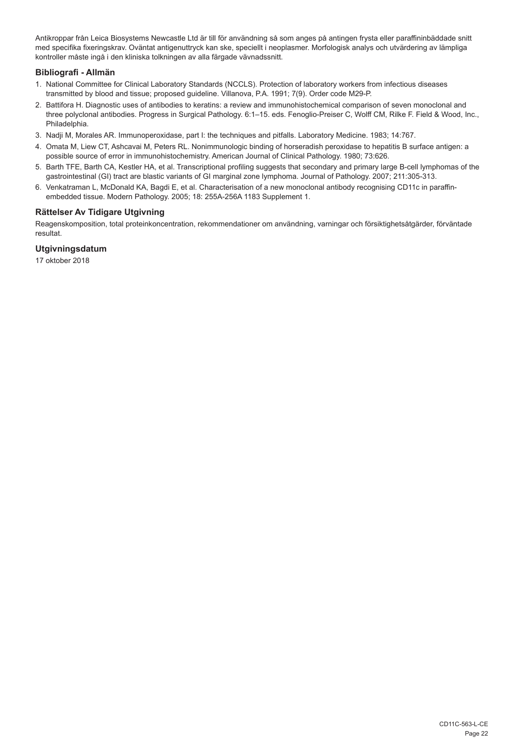Antikroppar från Leica Biosystems Newcastle Ltd är till för användning så som anges på antingen frysta eller paraffininbäddade snitt med specifika fixeringskrav. Oväntat antigenuttryck kan ske, speciellt i neoplasmer. Morfologisk analys och utvärdering av lämpliga kontroller måste ingå i den kliniska tolkningen av alla färgade vävnadssnitt.

# **Bibliografi - Allmän**

- 1. National Committee for Clinical Laboratory Standards (NCCLS). Protection of laboratory workers from infectious diseases transmitted by blood and tissue; proposed guideline. Villanova, P.A. 1991; 7(9). Order code M29-P.
- 2. Battifora H. Diagnostic uses of antibodies to keratins: a review and immunohistochemical comparison of seven monoclonal and three polyclonal antibodies. Progress in Surgical Pathology. 6:1–15. eds. Fenoglio-Preiser C, Wolff CM, Rilke F. Field & Wood, Inc., Philadelphia.
- 3. Nadji M, Morales AR. Immunoperoxidase, part I: the techniques and pitfalls. Laboratory Medicine. 1983; 14:767.
- 4. Omata M, Liew CT, Ashcavai M, Peters RL. Nonimmunologic binding of horseradish peroxidase to hepatitis B surface antigen: a possible source of error in immunohistochemistry. American Journal of Clinical Pathology. 1980; 73:626.
- 5. Barth TFE, Barth CA, Kestler HA, et al. Transcriptional profiling suggests that secondary and primary large B-cell lymphomas of the gastrointestinal (GI) tract are blastic variants of GI marginal zone lymphoma. Journal of Pathology. 2007; 211:305-313.
- 6. Venkatraman L, McDonald KA, Bagdi E, et al. Characterisation of a new monoclonal antibody recognising CD11c in paraffinembedded tissue. Modern Pathology. 2005; 18: 255A-256A 1183 Supplement 1.

# **Rättelser Av Tidigare Utgivning**

Reagenskomposition, total proteinkoncentration, rekommendationer om användning, varningar och försiktighetsåtgärder, förväntade resultat.

# **Utgivningsdatum**

17 oktober 2018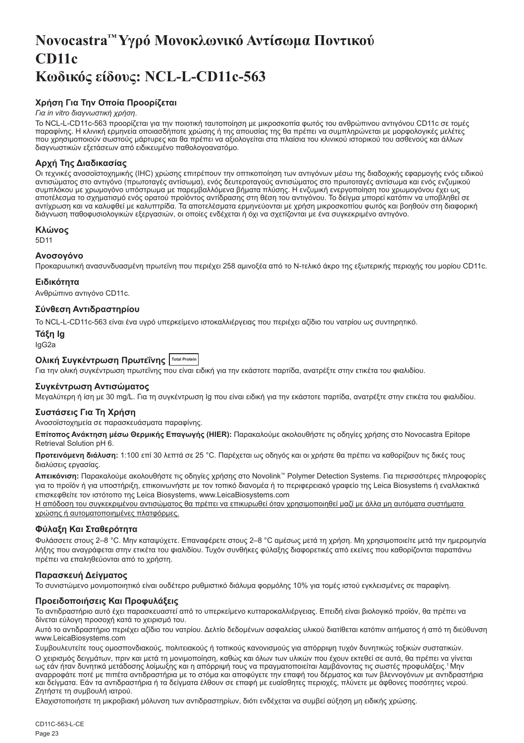# <span id="page-23-0"></span>**Novocastra™ Υγρό Μονοκλωνικό Αντίσωμα Ποντικού CD11c Κωδικός είδους: NCL-L-CD11c-563**

# **Χρήση Για Την Οποία Προορίζεται**

#### *Για in vitro διαγνωστική χρήση*.

Το NCL-L-CD11c-563 προορίζεται για την ποιοτική ταυτοποίηση με μικροσκοπία φωτός του ανθρώπινου αντιγόνου CD11c σε τομές παραφίνης. Η κλινική ερμηνεία οποιασδήποτε χρώσης ή της απουσίας της θα πρέπει να συμπληρώνεται με μορφολογικές μελέτες που χρησιμοποιούν σωστούς μάρτυρες και θα πρέπει να αξιολογείται στα πλαίσια του κλινικού ιστορικού του ασθενούς και άλλων διαγνωστικών εξετάσεων από ειδικευμένο παθολογοανατόμο.

# **Αρχή Της Διαδικασίας**

Οι τεχνικές ανοσοϊστοχημικής (IHC) χρώσης επιτρέπουν την οπτικοποίηση των αντιγόνων μέσω της διαδοχικής εφαρμογής ενός ειδικού αντισώματος στο αντιγόνο (πρωτοταγές αντίσωμα), ενός δευτεροταγούς αντισώματος στο πρωτοταγές αντίσωμα και ενός ενζυμικού συμπλόκου με χρωμογόνο υπόστρωμα με παρεμβαλλόμενα βήματα πλύσης. Η ενζυμική ενεργοποίηση του χρωμογόνου έχει ως αποτέλεσμα το σχηματισμό ενός ορατού προϊόντος αντίδρασης στη θέση του αντιγόνου. Το δείγμα μπορεί κατόπιν να υποβληθεί σε αντίχρωση και να καλυφθεί με καλυπτρίδα. Τα αποτελέσματα ερμηνεύονται με χρήση μικροσκοπίου φωτός και βοηθούν στη διαφορική διάγνωση παθοφυσιολογικών εξεργασιών, οι οποίες ενδέχεται ή όχι να σχετίζονται με ένα συγκεκριμένο αντιγόνο.

#### **Κλώνος**

5D11

#### **Ανοσογόνο**

Προκαρυωτική ανασυνδυασμένη πρωτεϊνη που περιέχει 258 αμινοξέα από το Ν-τελικό άκρο της εξωτερικής περιοχής του μορίου CD11c.

#### **Ειδικότητα**

Ανθρώπινο αντιγόνο CD11c.

# **Σύνθεση Αντιδραστηρίου**

Το NCL-L-CD11c-563 είναι ένα υγρό υπερκείμενο ιστοκαλλιέργειας που περιέχει αζίδιο του νατρίου ως συντηρητικό.

# **Τάξη Ig**

IgG2a

# **Ολική Συγκέντρωση Πρωτεΐνης Total Protein**

Για την ολική συγκέντρωση πρωτεΐνης που είναι ειδική για την εκάστοτε παρτίδα, ανατρέξτε στην ετικέτα του φιαλιδίου.

# **Συγκέντρωση Αντισώματος**

Μεγαλύτερη ή ίση με 30 mg/L. Για τη συγκέντρωση Ig που είναι ειδική για την εκάστοτε παρτίδα, ανατρέξτε στην ετικέτα του φιαλιδίου.

# **Συστάσεις Για Τη Χρήση**

Ανοσοϊστοχημεία σε παρασκευάσματα παραφίνης.

**Επίτοπος Ανάκτηση μέσω Θερμικής Επαγωγής (HIER):** Παρακαλούμε ακολουθήστε τις οδηγίες χρήσης στο Novocastra Epitope Retrieval Solution pH 6.

**Προτεινόμενη διάλυση:** 1:100 επί 30 λεπτά σε 25 °C. Παρέχεται ως οδηγός και οι χρήστε θα πρέπει να καθορίζουν τις δικές τους διαλύσεις εργασίας.

**Απεικόνιση:** Παρακαλούμε ακολουθήστε τις οδηγίες χρήσης στο Novolink™ Polymer Detection Systems. Για περισσότερες πληροφορίες για το προϊόν ή για υποστήριξη, επικοινωνήστε με τον τοπικό διανομέα ή το περιφερειακό γραφείο της Leica Biosystems ή εναλλακτικά επισκεφθείτε τον ιστότοπο της Leica Biosystems, www.LeicaBiosystems.com

Η απόδοση του συγκεκριμένου αντισώματος θα πρέπει να επικυρωθεί όταν χρησιμοποιηθεί μαζί με άλλα μη αυτόματα συστήματα χρώσης ή αυτοματοποιημένες πλατφόρμες.

# **Φύλαξη Και Σταθερότητα**

Φυλάσσετε στους 2–8 °C. Μην καταψύχετε. Επαναφέρετε στους 2–8 °C αμέσως μετά τη χρήση. Μη χρησιμοποιείτε μετά την ημερομηνία λήξης που αναγράφεται στην ετικέτα του φιαλιδίου. Τυχόν συνθήκες φύλαξης διαφορετικές από εκείνες που καθορίζονται παραπάνω πρέπει να επαληθεύονται από το χρήστη.

#### **Παρασκευή Δείγματος**

Το συνιστώμενο μονιμοποιητικό είναι ουδέτερο ρυθμιστικό διάλυμα φορμόλης 10% για τομές ιστού εγκλεισμένες σε παραφίνη.

# **Προειδοποιήσεις Και Προφυλάξεις**

Το αντιδραστήριο αυτό έχει παρασκευαστεί από το υπερκείμενο κυτταροκαλλιέργειας. Επειδή είναι βιολογικό προϊόν, θα πρέπει να δίνεται εύλογη προσοχή κατά το χειρισμό του.

Αυτό το αντιδραστήριο περιέχει αζίδιο του νατρίου. Δελτίο δεδομένων ασφαλείας υλικού διατίθεται κατόπιν αιτήματος ή από τη διεύθυνση www.LeicaBiosystems.com

Συμβουλευτείτε τους ομοσπονδιακούς, πολιτειακούς ή τοπικούς κανονισμούς για απόρριψη τυχόν δυνητικώς τοξικών συστατικών.

Ο χειρισμός δειγμάτων, πριν και μετά τη μονιμοποίηση, καθώς και όλων των υλικών που έχουν εκτεθεί σε αυτά, θα πρέπει να γίνεται ως εάν ήταν δυνητικά μετάδοσης λοίμωξης και η απόρριψή τους να πραγματοποιείται λαμβάνοντας τις σωστές προφυλάξεις.<sup>1</sup>Μην αναρροφάτε ποτέ με πιπέτα αντιδραστήρια με το στόμα και αποφύγετε την επαφή του δέρματος και των βλεννογόνων με αντιδραστήρια και δείγματα. Εάν τα αντιδραστήρια ή τα δείγματα έλθουν σε επαφή με ευαίσθητες περιοχές, πλύνετε με άφθονες ποσότητες νερού. Ζητήστε τη συμβουλή ιατρού.

Ελαχιστοποιήστε τη μικροβιακή μόλυνση των αντιδραστηρίων, διότι ενδέχεται να συμβεί αύξηση μη ειδικής χρώσης.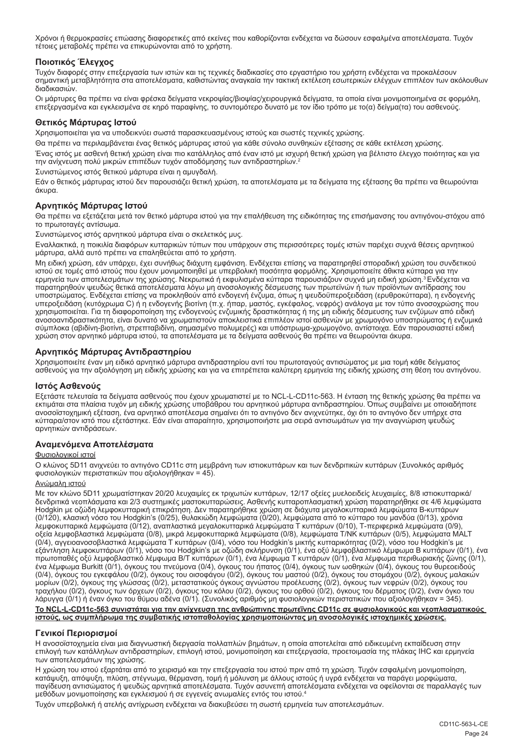Χρόνοι ή θερμοκρασίες επώασης διαφορετικές από εκείνες που καθορίζονται ενδέχεται να δώσουν εσφαλμένα αποτελέσματα. Τυχόν τέτοιες μεταβολές πρέπει να επικυρώνονται από το χρήστη.

# **Ποιοτικός Έλεγχος**

Τυχόν διαφορές στην επεξεργασία των ιστών και τις τεχνικές διαδικασίες στο εργαστήριο του χρήστη ενδέχεται να προκαλέσουν σημαντική μεταβλητότητα στα αποτελέσματα, καθιστώντας αναγκαία την τακτική εκτέλεση εσωτερικών ελέγχων επιπλέον των ακόλουθων διαδικασιών.

Οι μάρτυρες θα πρέπει να είναι φρέσκα δείγματα νεκροψίας/βιοψίας/χειρουργικά δείγματα, τα οποία είναι μονιμοποιημένα σε φορμόλη, επεξεργασμένα και εγκλεισμένα σε κηρό παραφίνης, το συντομότερο δυνατό με τον ίδιο τρόπο με το(α) δείγμα(τα) του ασθενούς.

#### **Θετικός Μάρτυρας Ιστού**

Χρησιμοποιείται για να υποδεικνύει σωστά παρασκευασμένους ιστούς και σωστές τεχνικές χρώσης.

Θα πρέπει να περιλαμβάνεται ένας θετικός μάρτυρας ιστού για κάθε σύνολο συνθηκών εξέτασης σε κάθε εκτέλεση χρώσης.

Ένας ιστός με ασθενή θετική χρώση είναι πιο κατάλληλος από έναν ιστό με ισχυρή θετική χρώση για βέλτιστο έλεγχο ποιότητας και για την ανίχνευση πολύ μικρών επιπέδων τυχόν αποδόμησης των αντιδραστηρίων.<sup>2</sup>

Συνιστώμενος ιστός θετικού μάρτυρα είναι η αμυγδαλή.

Εάν ο θετικός μάρτυρας ιστού δεν παρουσιάζει θετική χρώση, τα αποτελέσματα με τα δείγματα της εξέτασης θα πρέπει να θεωρούνται άκυρα.

# **Αρνητικός Μάρτυρας Ιστού**

Θα πρέπει να εξετάζεται μετά τον θετικό μάρτυρα ιστού για την επαλήθευση της ειδικότητας της επισήμανσης του αντιγόνου-στόχου από το πρωτοταγές αντίσωμα.

Συνιστώμενος ιστός αρνητικού μάρτυρα είναι ο σκελετικός μυς.

Εναλλακτικά, η ποικιλία διαφόρων κυτταρικών τύπων που υπάρχουν στις περισσότερες τομές ιστών παρέχει συχνά θέσεις αρνητικού μάρτυρα, αλλά αυτό πρέπει να επαληθεύεται από το χρήστη.

Μη ειδική χρώση, εάν υπάρχει, έχει συνήθως διάχυτη εμφάνιση. Ενδέχεται επίσης να παρατηρηθεί σποραδική χρώση του συνδετικού ιστού σε τομές από ιστούς που έχουν μονιμοποιηθεί με υπερβολική ποσότητα φορμόλης. Χρησιμοποιείτε άθικτα κύτταρα για την<br>ερμηνεία των αποτελεσμάτων της χρώσης. Νεκρωτικά ή εκφυλισμένα κύτταρα παρουσιάζουν συχνά μη ειδική παρατηρηθούν ψευδώς θετικά αποτελέσματα λόγω μη ανοσολογικής δέσμευσης των πρωτεϊνών ή των προϊόντων αντίδρασης του υποστρώματος. Ενδέχεται επίσης να προκληθούν από ενδογενή ένζυμα, όπως η ψευδοϋπεροξειδάση (ερυθροκύτταρα), η ενδογενής<br>υπεροξειδάση (κυτόχρωμα C) ή η ενδογενής βιοτίνη (π.χ. ήπαρ, μαστός, εγκέφαλος, νεφρός) ανάλογα με το χρησιμοποιείται. Για τη διαφοροποίηση της ενδογενούς ενζυμικής δραστικότητας ή της μη ειδικής δέσμευσης των ενζύμων από ειδική ανοσοαντιδραστικότητα, είναι δυνατό να χρωματιστούν αποκλειστικά επιπλέον ιστοί ασθενών με χρωμογόνο υποστρώματος ή ενζυμικά σύμπλοκα (αβιδίνη-βιοτίνη, στρεπταβιδίνη, σημασμένο πολυμερές) και υπόστρωμα-χρωμογόνο, αντίστοιχα. Εάν παρουσιαστεί ειδική χρώση στον αρνητικό μάρτυρα ιστού, τα αποτελέσματα με τα δείγματα ασθενούς θα πρέπει να θεωρούνται άκυρα.

# **Αρνητικός Μάρτυρας Αντιδραστηρίου**

Χρησιμοποιείτε έναν μη ειδικό αρνητικό μάρτυρα αντιδραστηρίου αντί του πρωτοταγούς αντισώματος με μια τομή κάθε δείγματος ασθενούς για την αξιολόγηση μη ειδικής χρώσης και για να επιτρέπεται καλύτερη ερμηνεία της ειδικής χρώσης στη θέση του αντιγόνου.

# **Ιστός Ασθενούς**

Εξετάστε τελευταία τα δείγματα ασθενούς που έχουν χρωματιστεί με το NCL-L-CD11c-563. Η ένταση της θετικής χρώσης θα πρέπει να εκτιμάται στα πλαίσια τυχόν μη ειδικής χρώσης υποβάθρου του αρνητικού μάρτυρα αντιδραστηρίου. Όπως συμβαίνει με οποιαδήποτε ανοσοϊστοχημική εξέταση, ένα αρνητικό αποτέλεσμα σημαίνει ότι το αντιγόνο δεν ανιχνεύτηκε, όχι ότι το αντιγόνο δεν υπήρχε στα κύτταρα/στον ιστό που εξετάστηκε. Εάν είναι απαραίτητο, χρησιμοποιήστε μια σειρά αντισωμάτων για την αναγνώριση ψευδώς αρνητικών αντιδράσεων.

# **Αναμενόμενα Αποτελέσματα**

#### Φυσιολογικοί ιστοί

Ο κλώνος 5D11 ανιχνεύει το αντιγόνο CD11c στη μεμβράνη των ιστιοκυττάρων και των δενδριτικών κυττάρων (Συνολικός αριθμός φυσιολογικών περιστατικών που αξιολογήθηκαν = 45).

#### Ανώμαλη ιστού

Με τον κλώνο 5D11 χρωματίστηκαν 20/20 λευχαιμίες εκ τριχωτών κυττάρων, 12/17 οξείες μυελοειδείς λευχαιμίες, 8/8 ιστιοκυτταρικά/ δενδριτικά νεοπλάσματα και 2/3 συστημικές μαστοκυτταρώσεις. Ασθενής κυτταροπλασματική χρώση παρατηρήθηκε σε 4/6 λεμφώματα Hodgkin με οζώδη λεμφοκυτταρική επικράτηση. Δεν παρατηρήθηκε χρώση σε διάχυτα μεγαλοκυτταρικά λεμφώματα B-κυττάρων<br>(0/120), κλασική νόσο του Hodgkin's (0/25), θυλακιώδη λεμφώματα (0/20), λεμφώματα από το κύτταρο του μανδύ λεμφοκυτταρικά λεμφώματα (0/12), αναπλαστικά μεγαλοκυτταρικά λεμφώματα Τ κυττάρων (0/10), Τ-περιφερικά λεμφώματα (0/9), οξεία λεμφοβλαστικά λεμφώματα (0/8), μικρά λεμφοκυτταρικά λεμφώματα (0/8), λεμφώματα Τ/ΝΚ κυττάρων (0/5), λεμφώματα MALT (0/4), αγγειοανοσοβλαστικά λεμφώματα Τ κυττάρων (0/4), νόσο του Hodgkin's μικτής κυτταρικότητας (0/2), νόσο του Hodgkin's με εξάντληση λεμφοκυττάρων (0/1), νόσο του Hodgkin's με οζώδη σκλήρυνση (0/1), ένα οξύ λεμφοβλαστικό λέμφωμα Β κυττάρων (0/1), ένα πρωτοπαθές οξύ λεμφοβλαστικό λέμφωμα Β/Τ κυττάρων (0/1), ένα λέμφωμα Τ κυττάρων (0/1), ένα λέμφωμα περιθωριακής ζώνης (0/1), ένα λέμφωμα Burkitt (0/1), όγκους του πνεύμονα (0/4), όγκους του ήπατος (0/4), όγκους των ωοθηκών (0/4), όγκους του θυρεοειδούς (0/4), όγκους του εγκεφάλου (0/2), όγκους του οισοφάγου (0/2), όγκους του μαστού (0/2), όγκους του στομάχου (0/2), όγκους μαλακών μορίων (0/2), όγκους της γλώσσας (0/2), μεταστατικούς όγκους αγνώστου προέλευσης (0/2), όγκους των νεφρών (0/2), όγκους του<br>τραχήλου (0/2), όγκους των όρχεων (0/2), όγκους του κόλου (0/2), όγκους του ορθού (0/2), όγκους τ λάρυγγα (0/1) ή έναν όγκο του θύμου αδένα (0/1). (Συνολικός αριθμός μη φυσιολογικών περιστατικών που αξιολογήθηκαν = 345). **Το NCL-L-CD11c-563 συνιστάται για την ανίχνευση της ανθρώπινης πρωτεΐνης CD11c σε φυσιολογικούς και νεοπλασματικούς** 

**ιστούς, ως συμπλήρωμα της συμβατικής ιστοπαθολογίας χρησιμοποιώντας μη ανοσολογικές ιστοχημικές χρώσεις.**

# **Γενικοί Περιορισμοί**

Η ανοσοϊστοχημεία είναι μια διαγνωστική διεργασία πολλαπλών βημάτων, η οποία αποτελείται από ειδικευμένη εκπαίδευση στην επιλογή των κατάλληλων αντιδραστηρίων, επιλογή ιστού, μονιμοποίηση και επεξεργασία, προετοιμασία της πλάκας IHC και ερμηνεία των αποτελεσμάτων της χρώσης.

Η χρώση του ιστού εξαρτάται από το χειρισμό και την επεξεργασία του ιστού πριν από τη χρώση. Τυχόν εσφαλμένη μονιμοποίηση, κατάψυξη, απόψυξη, πλύση, στέγνωμα, θέρμανση, τομή ή μόλυνση με άλλους ιστούς ή υγρά ενδέχεται να παράγει μορφώματα, παγίδευση αντισώματος ή ψευδώς αρνητικά αποτελέσματα. Τυχόν ασυνεπή αποτελέσματα ενδέχεται να οφείλονται σε παραλλαγές των μεθόδων μονιμοποίησης και εγκλεισμού ή σε εγγενείς ανωμαλίες εντός του ιστού.4

Τυχόν υπερβολική ή ατελής αντίχρωση ενδέχεται να διακυβεύσει τη σωστή ερμηνεία των αποτελεσμάτων.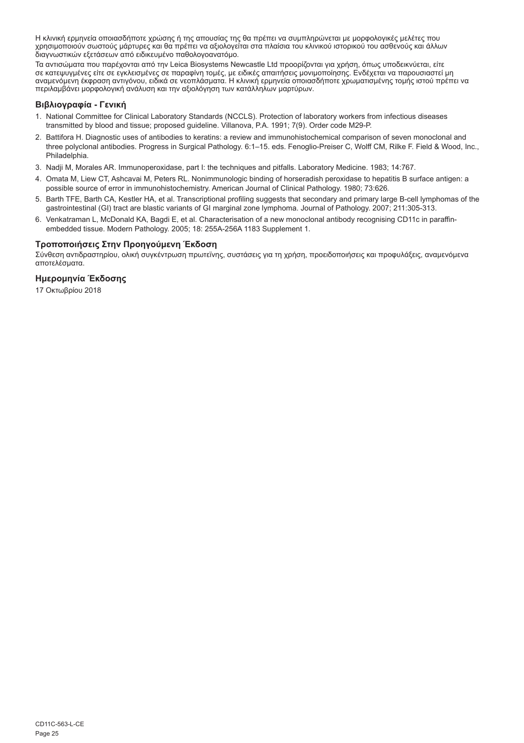Η κλινική ερμηνεία οποιασδήποτε χρώσης ή της απουσίας της θα πρέπει να συμπληρώνεται με μορφολογικές μελέτες που χρησιμοποιούν σωστούς μάρτυρες και θα πρέπει να αξιολογείται στα πλαίσια του κλινικού ιστορικού του ασθενούς και άλλων διαγνωστικών εξετάσεων από ειδικευμένο παθολογοανατόμο.

Τα αντισώματα που παρέχονται από την Leica Biosystems Newcastle Ltd προορίζονται για χρήση, όπως υποδεικνύεται, είτε σε κατεψυγμένες είτε σε εγκλεισμένες σε παραφίνη τομές, με ειδικές απαιτήσεις μονιμοποίησης. Ενδέχεται να παρουσιαστεί μη<br>αναμενόμενη έκφραση αντιγόνου, ειδικά σε νεοπλάσματα. Η κλινική ερμηνεία οποιασδήποτε χρωματισμένης περιλαμβάνει μορφολογική ανάλυση και την αξιολόγηση των κατάλληλων μαρτύρων.

# **Βιβλιογραφία - Γενική**

- 1. National Committee for Clinical Laboratory Standards (NCCLS). Protection of laboratory workers from infectious diseases transmitted by blood and tissue; proposed guideline. Villanova, P.A. 1991; 7(9). Order code M29-P.
- 2. Battifora H. Diagnostic uses of antibodies to keratins: a review and immunohistochemical comparison of seven monoclonal and three polyclonal antibodies. Progress in Surgical Pathology. 6:1–15. eds. Fenoglio-Preiser C, Wolff CM, Rilke F. Field & Wood, Inc., Philadelphia.
- 3. Nadji M, Morales AR. Immunoperoxidase, part I: the techniques and pitfalls. Laboratory Medicine. 1983; 14:767.
- 4. Omata M, Liew CT, Ashcavai M, Peters RL. Nonimmunologic binding of horseradish peroxidase to hepatitis B surface antigen: a possible source of error in immunohistochemistry. American Journal of Clinical Pathology. 1980; 73:626.
- 5. Barth TFE, Barth CA, Kestler HA, et al. Transcriptional profiling suggests that secondary and primary large B-cell lymphomas of the gastrointestinal (GI) tract are blastic variants of GI marginal zone lymphoma. Journal of Pathology. 2007; 211:305-313.
- 6. Venkatraman L, McDonald KA, Bagdi E, et al. Characterisation of a new monoclonal antibody recognising CD11c in paraffinembedded tissue. Modern Pathology. 2005; 18: 255A-256A 1183 Supplement 1.

#### **Τροποποιήσεις Στην Προηγούμενη Έκδοση**

Σύνθεση αντιδραστηρίου, ολική συγκέντρωση πρωτεϊνης, συστάσεις για τη χρήση, προειδοποιήσεις και προφυλάξεις, αναμενόμενα αποτελέσματα.

#### **Ημερομηνία Έκδοσης**

17 Οκτωβρίου 2018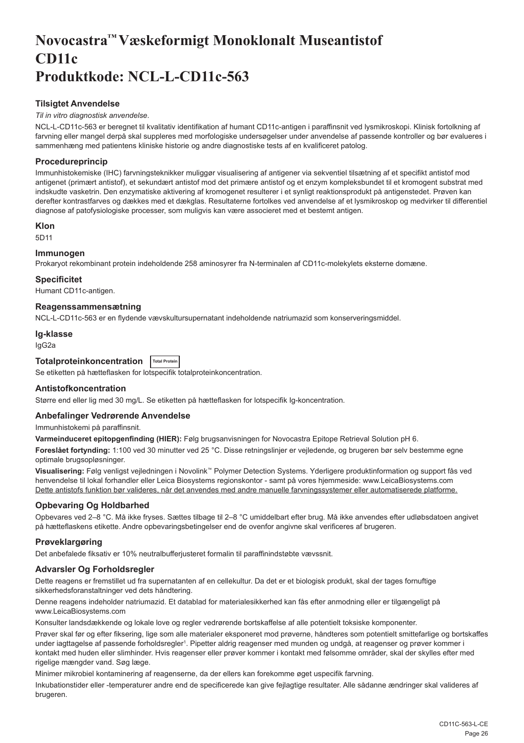# <span id="page-26-0"></span>**Novocastra™ Væskeformigt Monoklonalt Museantistof CD11c Produktkode: NCL-L-CD11c-563**

# **Tilsigtet Anvendelse**

# *Til in vitro diagnostisk anvendelse*.

NCL-L-CD11c-563 er beregnet til kvalitativ identifikation af humant CD11c-antigen i paraffinsnit ved lysmikroskopi. Klinisk fortolkning af farvning eller mangel derpå skal suppleres med morfologiske undersøgelser under anvendelse af passende kontroller og bør evalueres i sammenhæng med patientens kliniske historie og andre diagnostiske tests af en kvalificeret patolog.

# **Procedureprincip**

Immunhistokemiske (IHC) farvningsteknikker muliggør visualisering af antigener via sekventiel tilsætning af et specifikt antistof mod antigenet (primært antistof), et sekundært antistof mod det primære antistof og et enzym kompleksbundet til et kromogent substrat med indskudte vasketrin. Den enzymatiske aktivering af kromogenet resulterer i et synligt reaktionsprodukt på antigenstedet. Prøven kan derefter kontrastfarves og dækkes med et dækglas. Resultaterne fortolkes ved anvendelse af et lysmikroskop og medvirker til differentiel diagnose af patofysiologiske processer, som muligvis kan være associeret med et bestemt antigen.

#### **Klon**

5D11

# **Immunogen**

Prokaryot rekombinant protein indeholdende 258 aminosyrer fra N-terminalen af CD11c-molekylets eksterne domæne.

#### **Specificitet**

Humant CD11c-antigen.

#### **Reagenssammensætning**

NCL-L-CD11c-563 er en flydende vævskultursupernatant indeholdende natriumazid som konserveringsmiddel.

#### **Ig-klasse**

IgG2a

# **Totalproteinkoncentration Total Protein**

Se etiketten på hætteflasken for lotspecifik totalproteinkoncentration.

# **Antistofkoncentration**

Større end eller lig med 30 mg/L. Se etiketten på hætteflasken for lotspecifik Ig-koncentration.

# **Anbefalinger Vedrørende Anvendelse**

Immunhistokemi på paraffinsnit.

**Varmeinduceret epitopgenfinding (HIER):** Følg brugsanvisningen for Novocastra Epitope Retrieval Solution pH 6.

**Foreslået fortynding:** 1:100 ved 30 minutter ved 25 °C. Disse retningslinjer er vejledende, og brugeren bør selv bestemme egne optimale brugsopløsninger.

**Visualisering:** Følg venligst vejledningen i Novolink™ Polymer Detection Systems. Yderligere produktinformation og support fås ved henvendelse til lokal forhandler eller Leica Biosystems regionskontor - samt på vores hjemmeside: www.LeicaBiosystems.com Dette antistofs funktion bør valideres, når det anvendes med andre manuelle farvningssystemer eller automatiserede platforme.

# **Opbevaring Og Holdbarhed**

Opbevares ved 2–8 °C. Må ikke fryses. Sættes tilbage til 2–8 °C umiddelbart efter brug. Må ikke anvendes efter udløbsdatoen angivet på hætteflaskens etikette. Andre opbevaringsbetingelser end de ovenfor angivne skal verificeres af brugeren.

# **Prøveklargøring**

Det anbefalede fiksativ er 10% neutralbufferjusteret formalin til paraffinindstøbte vævssnit.

# **Advarsler Og Forholdsregler**

Dette reagens er fremstillet ud fra supernatanten af en cellekultur. Da det er et biologisk produkt, skal der tages fornuftige sikkerhedsforanstaltninger ved dets håndtering.

Denne reagens indeholder natriumazid. Et datablad for materialesikkerhed kan fås efter anmodning eller er tilgængeligt på www.LeicaBiosystems.com

Konsulter landsdækkende og lokale love og regler vedrørende bortskaffelse af alle potentielt toksiske komponenter.

Prøver skal før og efter fiksering, lige som alle materialer eksponeret mod prøverne, håndteres som potentielt smittefarlige og bortskaffes under iagttagelse af passende forholdsregler<sup>ı</sup>. Pipetter aldrig reagenser med munden og undgå, at reagenser og prøver kommer i kontakt med huden eller slimhinder. Hvis reagenser eller prøver kommer i kontakt med følsomme områder, skal der skylles efter med rigelige mængder vand. Søg læge.

Minimer mikrobiel kontaminering af reagenserne, da der ellers kan forekomme øget uspecifik farvning.

Inkubationstider eller -temperaturer andre end de specificerede kan give fejlagtige resultater. Alle sådanne ændringer skal valideres af brugeren.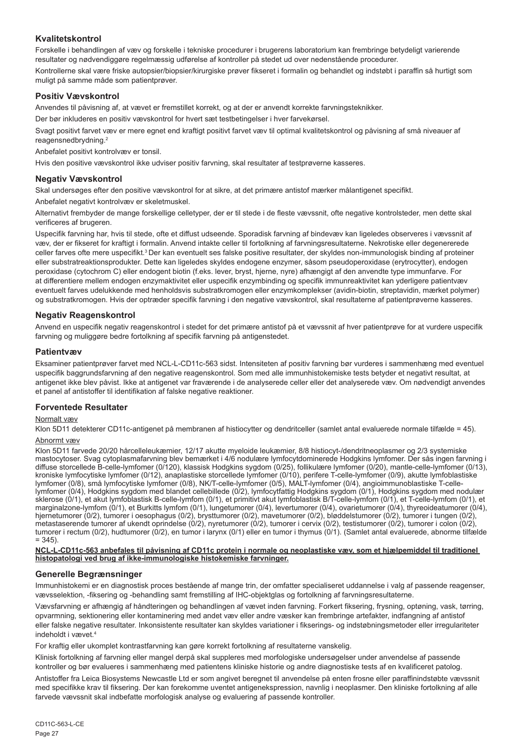# **Kvalitetskontrol**

Forskelle i behandlingen af væv og forskelle i tekniske procedurer i brugerens laboratorium kan frembringe betydeligt varierende resultater og nødvendiggøre regelmæssig udførelse af kontroller på stedet ud over nedenstående procedurer. Kontrollerne skal være friske autopsier/biopsier/kirurgiske prøver fikseret i formalin og behandlet og indstøbt i paraffin så hurtigt som muligt på samme måde som patientprøver.

# **Positiv Vævskontrol**

Anvendes til påvisning af, at vævet er fremstillet korrekt, og at der er anvendt korrekte farvningsteknikker.

Der bør inkluderes en positiv vævskontrol for hvert sæt testbetingelser i hver farvekørsel.

Svagt positivt farvet væv er mere egnet end kraftigt positivt farvet væv til optimal kvalitetskontrol og påvisning af små niveauer af reagensnedbrydning.<sup>2</sup>

Anbefalet positivt kontrolvæv er tonsil.

Hvis den positive vævskontrol ikke udviser positiv farvning, skal resultater af testprøverne kasseres.

# **Negativ Vævskontrol**

Skal undersøges efter den positive vævskontrol for at sikre, at det primære antistof mærker målantigenet specifikt.

Anbefalet negativt kontrolvæv er skeletmuskel.

Alternativt frembyder de mange forskellige celletyper, der er til stede i de fleste vævssnit, ofte negative kontrolsteder, men dette skal verificeres af brugeren.

Uspecifik farvning har, hvis til stede, ofte et diffust udseende. Sporadisk farvning af bindevæv kan ligeledes observeres i vævssnit af væv, der er fikseret for kraftigt i formalin. Anvend intakte celler til fortolkning af farvningsresultaterne. Nekrotiske eller degenererede celler farves ofte mere uspecifikt.<sup>3</sup> Der kan eventuelt ses falske positive resultater, der skyldes non-immunologisk binding af proteiner eller substratreaktionsprodukter. Dette kan ligeledes skyldes endogene enzymer, såsom pseudoperoxidase (erytrocytter), endogen peroxidase (cytochrom C) eller endogent biotin (f.eks. lever, bryst, hjerne, nyre) afhængigt af den anvendte type immunfarve. For at differentiere mellem endogen enzymaktivitet eller uspecifik enzymbinding og specifik immunreaktivitet kan yderligere patientvæv eventuelt farves udelukkende med henholdsvis substratkromogen eller enzymkomplekser (avidin-biotin, streptavidin, mærket polymer) og substratkromogen. Hvis der optræder specifik farvning i den negative vævskontrol, skal resultaterne af patientprøverne kasseres.

# **Negativ Reagenskontrol**

Anvend en uspecifik negativ reagenskontrol i stedet for det primære antistof på et vævssnit af hver patientprøve for at vurdere uspecifik farvning og muliggøre bedre fortolkning af specifik farvning på antigenstedet.

# **Patientvæv**

Eksaminer patientprøver farvet med NCL-L-CD11c-563 sidst. Intensiteten af positiv farvning bør vurderes i sammenhæng med eventuel uspecifik baggrundsfarvning af den negative reagenskontrol. Som med alle immunhistokemiske tests betyder et negativt resultat, at antigenet ikke blev påvist. Ikke at antigenet var fraværende i de analyserede celler eller det analyserede væv. Om nødvendigt anvendes et panel af antistoffer til identifikation af falske negative reaktioner.

# **Forventede Resultater**

# Normalt væv

Klon 5D11 detekterer CD11c-antigenet på membranen af histiocytter og dendritceller (samlet antal evaluerede normale tilfælde = 45).

# Abnormt væv

Klon 5D11 farvede 20/20 hårcelleleukæmier, 12/17 akutte myeloide leukæmier, 8/8 histiocyt-/dendritneoplasmer og 2/3 systemiske mastocytoser. Svag cytoplasmafarvning blev bemærket i 4/6 nodulære lymfocytdominerede Hodgkins lymfomer. Der sås ingen farvning i diffuse storcellede B-celle-lymfomer (0/120), klassisk Hodgkins sygdom (0/25), follikulære lymfomer (0/20), mantle-celle-lymfomer (0/13), kroniske lymfocytiske lymfomer (0/12), anaplastiske storcellede lymfomer (0/10), perifere T-celle-lymfomer (0/9), akutte lymfoblastiske<br>lymfomer (0/8), små lymfocytiske lymfomer (0/8), NK/T-celle-lymfomer (0/5), MALT-lymfo lymfomer (0/4), Hodgkins sygdom med blandet cellebillede (0/2), lymfocytfattig Hodgkins sygdom (0/1), Hodgkins sygdom med nodulær sklerose (0/1), et akut lymfoblastisk B-celle-lymfom (0/1), et primitivt akut lymfoblastisk B/T-celle-lymfom (0/1), et T-celle-lymfom (0/1), et marginalzone-lymfom (0/1), et Burkitts lymfom (0/1), lungetumorer (0/4), levertumorer (0/4), ovarietumorer (0/4), thyreoideatumorer (0/4), hjernetumorer (0/2), tumorer i oesophagus (0/2), brysttumorer (0/2), mavetumorer (0/2), bløddelstumorer (0/2), tumorer i tungen (0/2), metastaserende tumorer af ukendt oprindelse (0/2), nyretumorer (0/2), tumorer i cervix (0/2), testistumorer (0/2), tumorer i colon (0/2), tumorer i rectum (0/2), hudtumorer (0/2), en tumor i larynx (0/1) eller en tumor i thymus (0/1). (Samlet antal evaluerede, abnorme tilfælde  $= 345$ ).

**NCL-L-CD11c-563 anbefales til påvisning af CD11c protein i normale og neoplastiske væv, som et hjælpemiddel til traditionel histopatologi ved brug af ikke-immunologiske histokemiske farvninger.**

# **Generelle Begrænsninger**

Immunhistokemi er en diagnostisk proces bestående af mange trin, der omfatter specialiseret uddannelse i valg af passende reagenser, vævsselektion, -fiksering og -behandling samt fremstilling af IHC-objektglas og fortolkning af farvningsresultaterne.

Vævsfarvning er afhængig af håndteringen og behandlingen af vævet inden farvning. Forkert fiksering, frysning, optøning, vask, tørring, opvarmning, sektionering eller kontaminering med andet væv eller andre væsker kan frembringe artefakter, indfangning af antistof eller falske negative resultater. Inkonsistente resultater kan skyldes variationer i fikserings- og indstøbningsmetoder eller irregulariteter indeholdt i vævet.

For kraftig eller ukomplet kontrastfarvning kan gøre korrekt fortolkning af resultaterne vanskelig.

Klinisk fortolkning af farvning eller mangel derpå skal suppleres med morfologiske undersøgelser under anvendelse af passende kontroller og bør evalueres i sammenhæng med patientens kliniske historie og andre diagnostiske tests af en kvalificeret patolog.

Antistoffer fra Leica Biosystems Newcastle Ltd er som angivet beregnet til anvendelse på enten frosne eller paraffinindstøbte vævssnit med specifikke krav til fiksering. Der kan forekomme uventet antigenekspression, navnlig i neoplasmer. Den kliniske fortolkning af alle farvede vævssnit skal indbefatte morfologisk analyse og evaluering af passende kontroller.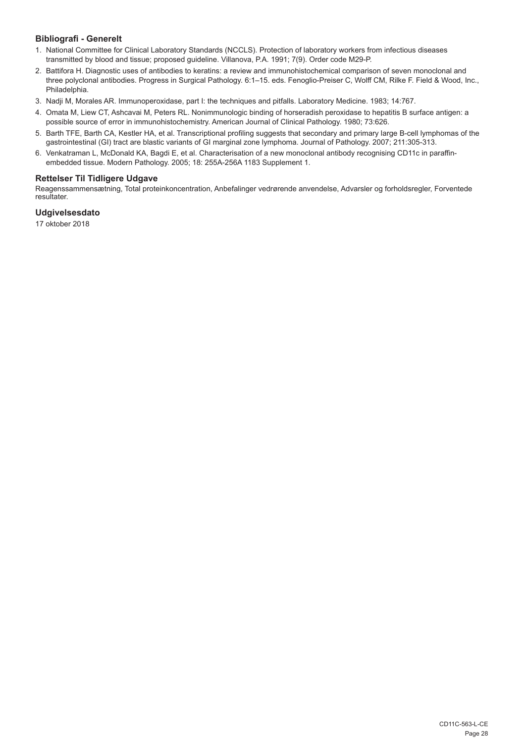# **Bibliografi - Generelt**

- 1. National Committee for Clinical Laboratory Standards (NCCLS). Protection of laboratory workers from infectious diseases transmitted by blood and tissue; proposed guideline. Villanova, P.A. 1991; 7(9). Order code M29-P.
- 2. Battifora H. Diagnostic uses of antibodies to keratins: a review and immunohistochemical comparison of seven monoclonal and three polyclonal antibodies. Progress in Surgical Pathology. 6:1–15. eds. Fenoglio-Preiser C, Wolff CM, Rilke F. Field & Wood, Inc., Philadelphia.
- 3. Nadji M, Morales AR. Immunoperoxidase, part I: the techniques and pitfalls. Laboratory Medicine. 1983; 14:767.
- 4. Omata M, Liew CT, Ashcavai M, Peters RL. Nonimmunologic binding of horseradish peroxidase to hepatitis B surface antigen: a possible source of error in immunohistochemistry. American Journal of Clinical Pathology. 1980; 73:626.
- 5. Barth TFE, Barth CA, Kestler HA, et al. Transcriptional profiling suggests that secondary and primary large B-cell lymphomas of the gastrointestinal (GI) tract are blastic variants of GI marginal zone lymphoma. Journal of Pathology. 2007; 211:305-313.
- 6. Venkatraman L, McDonald KA, Bagdi E, et al. Characterisation of a new monoclonal antibody recognising CD11c in paraffinembedded tissue. Modern Pathology. 2005; 18: 255A-256A 1183 Supplement 1.

# **Rettelser Til Tidligere Udgave**

Reagenssammensætning, Total proteinkoncentration, Anbefalinger vedrørende anvendelse, Advarsler og forholdsregler, Forventede resultater.

# **Udgivelsesdato**

17 oktober 2018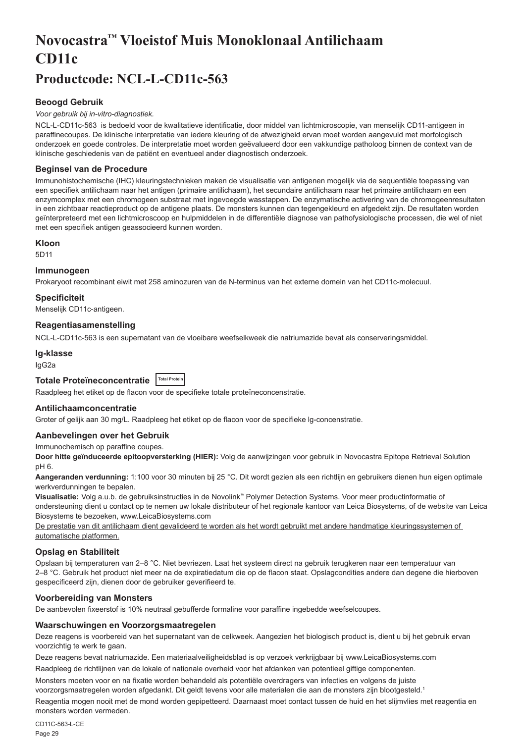# <span id="page-29-0"></span>**Novocastra™ Vloeistof Muis Monoklonaal Antilichaam CD11c**

# **Productcode: NCL-L-CD11c-563**

# **Beoogd Gebruik**

#### *Voor gebruik bij in-vitro-diagnostiek.*

NCL-L-CD11c-563 is bedoeld voor de kwalitatieve identificatie, door middel van lichtmicroscopie, van menselijk CD11-antigeen in paraffinecoupes. De klinische interpretatie van iedere kleuring of de afwezigheid ervan moet worden aangevuld met morfologisch onderzoek en goede controles. De interpretatie moet worden geëvalueerd door een vakkundige patholoog binnen de context van de klinische geschiedenis van de patiënt en eventueel ander diagnostisch onderzoek.

#### **Beginsel van de Procedure**

Immunohistochemische (IHC) kleuringstechnieken maken de visualisatie van antigenen mogelijk via de sequentiële toepassing van een specifiek antilichaam naar het antigen (primaire antilichaam), het secundaire antilichaam naar het primaire antilichaam en een enzymcomplex met een chromogeen substraat met ingevoegde wasstappen. De enzymatische activering van de chromogeenresultaten in een zichtbaar reactieproduct op de antigene plaats. De monsters kunnen dan tegengekleurd en afgedekt zijn. De resultaten worden geïnterpreteerd met een lichtmicroscoop en hulpmiddelen in de differentiële diagnose van pathofysiologische processen, die wel of niet met een specifiek antigen geassocieerd kunnen worden.

#### **Kloon**

5D11

# **Immunogeen**

Prokaryoot recombinant eiwit met 258 aminozuren van de N-terminus van het externe domein van het CD11c-molecuul.

# **Specificiteit**

Menselijk CD11c-antigeen.

#### **Reagentiasamenstelling**

NCL-L-CD11c-563 is een supernatant van de vloeibare weefselkweek die natriumazide bevat als conserveringsmiddel.

# **Ig-klasse**

IgG2a

# **Totale Proteïneconcentratie Total Protein**

Raadpleeg het etiket op de flacon voor de specifieke totale proteïneconcenstratie.

# **Antilichaamconcentratie**

Groter of gelijk aan 30 mg/L. Raadpleeg het etiket op de flacon voor de specifieke lg-concenstratie.

# **Aanbevelingen over het Gebruik**

Immunochemisch op paraffine coupes.

**Door hitte geïnduceerde epitoopversterking (HIER):** Volg de aanwijzingen voor gebruik in Novocastra Epitope Retrieval Solution pH 6.

**Aangeranden verdunning:** 1:100 voor 30 minuten bij 25 °C. Dit wordt gezien als een richtlijn en gebruikers dienen hun eigen optimale werkverdunningen te bepalen.

**Visualisatie:** Volg a.u.b. de gebruiksinstructies in de Novolink™ Polymer Detection Systems. Voor meer productinformatie of ondersteuning dient u contact op te nemen uw lokale distributeur of het regionale kantoor van Leica Biosystems, of de website van Leica Biosystems te bezoeken, www.LeicaBiosystems.com

De prestatie van dit antilichaam dient gevalideerd te worden als het wordt gebruikt met andere handmatige kleuringssystemen of automatische platformen.

# **Opslag en Stabiliteit**

Opslaan bij temperaturen van 2–8 °C. Niet bevriezen. Laat het systeem direct na gebruik terugkeren naar een temperatuur van 2–8 °C. Gebruik het product niet meer na de expiratiedatum die op de flacon staat. Opslagcondities andere dan degene die hierboven gespecificeerd zijn, dienen door de gebruiker geverifieerd te.

# **Voorbereiding van Monsters**

De aanbevolen fixeerstof is 10% neutraal gebufferde formaline voor paraffine ingebedde weefselcoupes.

#### **Waarschuwingen en Voorzorgsmaatregelen**

Deze reagens is voorbereid van het supernatant van de celkweek. Aangezien het biologisch product is, dient u bij het gebruik ervan voorzichtig te werk te gaan.

Deze reagens bevat natriumazide. Een materiaalveiligheidsblad is op verzoek verkrijgbaar bij www.LeicaBiosystems.com

Raadpleeg de richtlijnen van de lokale of nationale overheid voor het afdanken van potentieel giftige componenten.

Monsters moeten voor en na fixatie worden behandeld als potentiële overdragers van infecties en volgens de juiste voorzorgsmaatregelen worden afgedankt. Dit geldt tevens voor alle materialen die aan de monsters zijn blootgesteld.<sup>1</sup>

Reagentia mogen nooit met de mond worden gepipetteerd. Daarnaast moet contact tussen de huid en het slijmvlies met reagentia en monsters worden vermeden.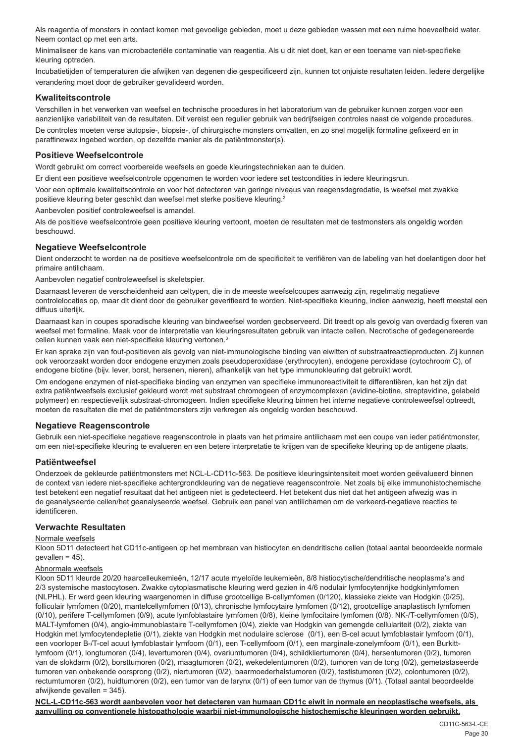Als reagentia of monsters in contact komen met gevoelige gebieden, moet u deze gebieden wassen met een ruime hoeveelheid water. Neem contact op met een arts.

Minimaliseer de kans van microbacteriële contaminatie van reagentia. Als u dit niet doet, kan er een toename van niet-specifieke kleuring optreden.

Incubatietijden of temperaturen die afwijken van degenen die gespecificeerd zijn, kunnen tot onjuiste resultaten leiden. Iedere dergelijke verandering moet door de gebruiker gevalideerd worden.

# **Kwaliteitscontrole**

Verschillen in het verwerken van weefsel en technische procedures in het laboratorium van de gebruiker kunnen zorgen voor een aanzienlijke variabiliteit van de resultaten. Dit vereist een regulier gebruik van bedrijfseigen controles naast de volgende procedures. De controles moeten verse autopsie-, biopsie-, of chirurgische monsters omvatten, en zo snel mogelijk formaline gefixeerd en in paraffinewax ingebed worden, op dezelfde manier als de patiëntmonster(s).

# **Positieve Weefselcontrole**

Wordt gebruikt om correct voorbereide weefsels en goede kleuringstechnieken aan te duiden.

Er dient een positieve weefselcontrole opgenomen te worden voor iedere set testcondities in iedere kleuringsrun.

Voor een optimale kwaliteitscontrole en voor het detecteren van geringe niveaus van reagensdegredatie, is weefsel met zwakke positieve kleuring beter geschikt dan weefsel met sterke positieve kleuring.<sup>2</sup>

Aanbevolen positief controleweefsel is amandel.

Als de positieve weefselcontrole geen positieve kleuring vertoont, moeten de resultaten met de testmonsters als ongeldig worden beschouwd.

# **Negatieve Weefselcontrole**

Dient onderzocht te worden na de positieve weefselcontrole om de specificiteit te verifiëren van de labeling van het doelantigen door het primaire antilichaam.

Aanbevolen negatief controleweefsel is skeletspier.

Daarnaast leveren de verscheidenheid aan celtypen, die in de meeste weefselcoupes aanwezig zijn, regelmatig negatieve controlelocaties op, maar dit dient door de gebruiker geverifieerd te worden. Niet-specifieke kleuring, indien aanwezig, heeft meestal een diffuus uiterlijk.

Daarnaast kan in coupes sporadische kleuring van bindweefsel worden geobserveerd. Dit treedt op als gevolg van overdadig fixeren van weefsel met formaline. Maak voor de interpretatie van kleuringsresultaten gebruik van intacte cellen. Necrotische of gedegenereerde cellen kunnen vaak een niet-specifieke kleuring vertonen.<sup>3</sup>

Er kan sprake zijn van fout-positieven als gevolg van niet-immunologische binding van eiwitten of substraatreactieproducten. Zij kunnen ook veroorzaakt worden door endogene enzymen zoals pseudoperoxidase (erythrocyten), endogene peroxidase (cytochroom C), of endogene biotine (bijv. lever, borst, hersenen, nieren), afhankelijk van het type immunokleuring dat gebruikt wordt.

Om endogene enzymen of niet-specifieke binding van enzymen van specifieke immunoreactiviteit te differentiëren, kan het zijn dat extra patiëntweefsels exclusief gekleurd wordt met substraat chromogeen of enzymcomplexen (avidine-biotine, streptavidine, gelabeld polymeer) en respectievelijk substraat-chromogeen. Indien specifieke kleuring binnen het interne negatieve controleweefsel optreedt, moeten de resultaten die met de patiëntmonsters zijn verkregen als ongeldig worden beschouwd.

# **Negatieve Reagenscontrole**

Gebruik een niet-specifieke negatieve reagenscontrole in plaats van het primaire antilichaam met een coupe van ieder patiëntmonster, om een niet-specifieke kleuring te evalueren en een betere interpretatie te krijgen van de specifieke kleuring op de antigene plaats.

# **Patiëntweefsel**

Onderzoek de gekleurde patiëntmonsters met NCL-L-CD11c-563. De positieve kleuringsintensiteit moet worden geëvalueerd binnen de context van iedere niet-specifieke achtergrondkleuring van de negatieve reagenscontrole. Net zoals bij elke immunohistochemische test betekent een negatief resultaat dat het antigeen niet is gedetecteerd. Het betekent dus niet dat het antigeen afwezig was in de geanalyseerde cellen/het geanalyseerde weefsel. Gebruik een panel van antilichamen om de verkeerd-negatieve reacties te identificeren.

# **Verwachte Resultaten**

#### Normale weefsels

Kloon 5D11 detecteert het CD11c-antigeen op het membraan van histiocyten en dendritische cellen (totaal aantal beoordeelde normale  $qe$ vallen = 45).

# Abnormale weefsels

Kloon 5D11 kleurde 20/20 haarcelleukemieën, 12/17 acute myeloïde leukemieën, 8/8 histiocytische/dendritische neoplasma's and 2/3 systemische mastocytosen. Zwakke cytoplasmatische kleuring werd gezien in 4/6 nodulair lymfocytenrijke hodgkinlymfomen (NLPHL). Er werd geen kleuring waargenomen in diffuse grootcellige B-cellymfomen (0/120), klassieke ziekte van Hodgkin (0/25), folliculair lymfomen (0/20), mantelcellymfomen (0/13), chronische lymfocytaire lymfomen (0/12), grootcellige anaplastisch lymfomen (0/10), perifere T-cellymfomen (0/9), acute lymfoblastaire lymfomen (0/8), kleine lymfocitaire lymfomen (0/8), NK-/T-cellymfomen (0/5), MALT-lymfomen (0/4), angio-immunoblastaire T-cellymfomen (0/4), ziekte van Hodgkin van gemengde cellulariteit (0/2), ziekte van Hodgkin met lymfocytendepletie (0/1), ziekte van Hodgkin met nodulaire sclerose (0/1), een B-cel acuut lymfoblastair lymfoom (0/1), een voorloper B-/T-cel acuut lymfoblastair lymfoom (0/1), een T-cellymfoom (0/1), een marginale-zonelymfoom (0/1), een Burkittlymfoom (0/1), longtumoren (0/4), levertumoren (0/4), ovariumtumoren (0/4), schildkliertumoren (0/4), hersentumoren (0/2), tumoren van de slokdarm (0/2), borsttumoren (0/2), maagtumoren (0/2), wekedelentumoren (0/2), tumoren van de tong (0/2), gemetastaseerde tumoren van onbekende oorsprong (0/2), niertumoren (0/2), baarmoederhalstumoren (0/2), testistumoren (0/2), colontumoren (0/2), rectumtumoren (0/2), huidtumoren (0/2), een tumor van de larynx (0/1) of een tumor van de thymus (0/1). (Totaal aantal beoordeelde afwijkende gevallen = 345).

**NCL-L-CD11c-563 wordt aanbevolen voor het detecteren van humaan CD11c eiwit in normale en neoplastische weefsels, als aanvulling op conventionele histopathologie waarbij niet-immunologische histochemische kleuringen worden gebruikt.**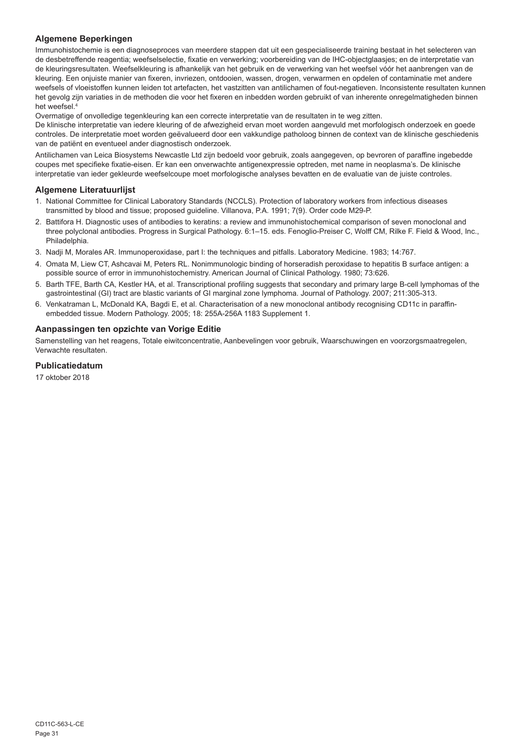# **Algemene Beperkingen**

Immunohistochemie is een diagnoseproces van meerdere stappen dat uit een gespecialiseerde training bestaat in het selecteren van de desbetreffende reagentia; weefselselectie, fixatie en verwerking; voorbereiding van de IHC-objectglaasjes; en de interpretatie van de kleuringsresultaten. Weefselkleuring is afhankelijk van het gebruik en de verwerking van het weefsel vóór het aanbrengen van de kleuring. Een onjuiste manier van fixeren, invriezen, ontdooien, wassen, drogen, verwarmen en opdelen of contaminatie met andere weefsels of vloeistoffen kunnen leiden tot artefacten, het vastzitten van antilichamen of fout-negatieven. Inconsistente resultaten kunnen het gevolg zijn variaties in de methoden die voor het fixeren en inbedden worden gebruikt of van inherente onregelmatigheden binnen het weefsel.4

Overmatige of onvolledige tegenkleuring kan een correcte interpretatie van de resultaten in te weg zitten.

De klinische interpretatie van iedere kleuring of de afwezigheid ervan moet worden aangevuld met morfologisch onderzoek en goede controles. De interpretatie moet worden geëvalueerd door een vakkundige patholoog binnen de context van de klinische geschiedenis van de patiënt en eventueel ander diagnostisch onderzoek.

Antilichamen van Leica Biosystems Newcastle Ltd zijn bedoeld voor gebruik, zoals aangegeven, op bevroren of paraffine ingebedde coupes met specifieke fixatie-eisen. Er kan een onverwachte antigenexpressie optreden, met name in neoplasma's. De klinische interpretatie van ieder gekleurde weefselcoupe moet morfologische analyses bevatten en de evaluatie van de juiste controles.

# **Algemene Literatuurlijst**

- 1. National Committee for Clinical Laboratory Standards (NCCLS). Protection of laboratory workers from infectious diseases transmitted by blood and tissue; proposed guideline. Villanova, P.A. 1991; 7(9). Order code M29-P.
- 2. Battifora H. Diagnostic uses of antibodies to keratins: a review and immunohistochemical comparison of seven monoclonal and three polyclonal antibodies. Progress in Surgical Pathology. 6:1–15. eds. Fenoglio-Preiser C, Wolff CM, Rilke F. Field & Wood, Inc., **Philadelphia**
- 3. Nadji M, Morales AR. Immunoperoxidase, part I: the techniques and pitfalls. Laboratory Medicine. 1983; 14:767.
- 4. Omata M, Liew CT, Ashcavai M, Peters RL. Nonimmunologic binding of horseradish peroxidase to hepatitis B surface antigen: a possible source of error in immunohistochemistry. American Journal of Clinical Pathology. 1980; 73:626.
- 5. Barth TFE, Barth CA, Kestler HA, et al. Transcriptional profiling suggests that secondary and primary large B-cell lymphomas of the gastrointestinal (GI) tract are blastic variants of GI marginal zone lymphoma. Journal of Pathology. 2007; 211:305-313.
- 6. Venkatraman L, McDonald KA, Bagdi E, et al. Characterisation of a new monoclonal antibody recognising CD11c in paraffinembedded tissue. Modern Pathology. 2005; 18: 255A-256A 1183 Supplement 1.

# **Aanpassingen ten opzichte van Vorige Editie**

Samenstelling van het reagens, Totale eiwitconcentratie, Aanbevelingen voor gebruik, Waarschuwingen en voorzorgsmaatregelen, Verwachte resultaten.

# **Publicatiedatum**

17 oktober 2018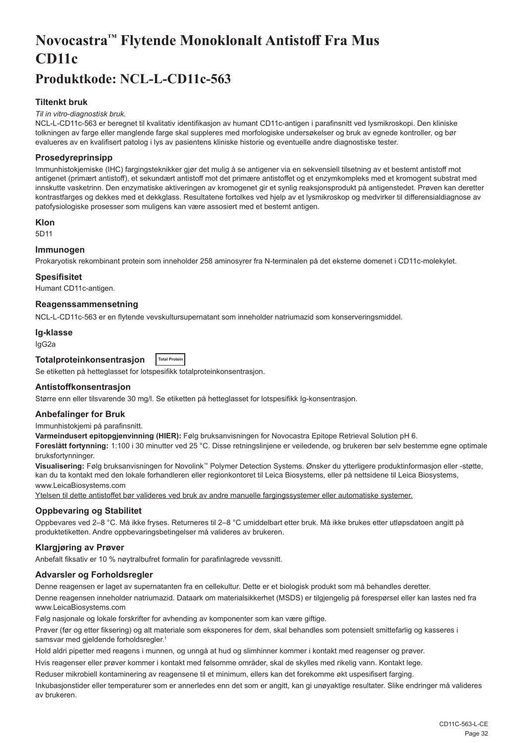# <span id="page-32-0"></span>**Novocastra™ Flytende Monoklonalt Antistoff Fra Mus CD11c**

# **Produktkode: NCL-L-CD11c-563**

# **Tiltenkt bruk**

#### *Til in vitro-diagnostisk bruk.*

NCL-L-CD11c-563 er beregnet til kvalitativ identifikasjon av humant CD11c-antigen i parafinsnitt ved lysmikroskopi. Den kliniske tolkningen av farge eller manglende farge skal suppleres med morfologiske undersøkelser og bruk av egnede kontroller, og bør evalueres av en kvalifisert patolog i lys av pasientens kliniske historie og eventuelle andre diagnostiske tester.

# **Prosedyreprinsipp**

Immunhistokjemiske (IHC) fargingsteknikker gjør det mulig å se antigener via en sekvensiell tilsetning av et bestemt antistoff mot antigenet (primært antistoff), et sekundært antistoff mot det primære antistoffet og et enzymkompleks med et kromogent substrat med innskutte vasketrinn. Den enzymatiske aktiveringen av kromogenet gir et synlig reaksjonsprodukt på antigenstedet. Prøven kan deretter kontrastfarges og dekkes med et dekkglass. Resultatene fortolkes ved hjelp av et lysmikroskop og medvirker til differensialdiagnose av patofysiologiske prosesser som muligens kan være assosiert med et bestemt antigen.

#### **Klon**

5D11

# **Immunogen**

Prokaryotisk rekombinant protein som inneholder 258 aminosyrer fra N-terminalen på det eksterne domenet i CD11c-molekylet.

#### **Spesifisitet**

Humant CD11c-antigen.

#### **Reagenssammensetning**

NCL-L-CD11c-563 er en flytende vevskultursupernatant som inneholder natriumazid som konserveringsmiddel.

#### **Ig-klasse**

IgG2a

#### **Totalproteinkonsentrasjon Total Protein**

Se etiketten på hetteglasset for lotspesifikk totalproteinkonsentrasjon.

#### **Antistoffkonsentrasjon**

Større enn eller tilsvarende 30 mg/l. Se etiketten på hetteglasset for lotspesifikk Ig-konsentrasjon.

#### **Anbefalinger for Bruk**

Immunhistokjemi på parafinsnitt.

**Varmeindusert epitopgjenvinning (HIER):** Følg bruksanvisningen for Novocastra Epitope Retrieval Solution pH 6.

**Foreslått fortynning:** 1:100 i 30 minutter ved 25 °C. Disse retningslinjene er veiledende, og brukeren bør selv bestemme egne optimale bruksfortynninger.

**Visualisering:** Følg bruksanvisningen for Novolink™ Polymer Detection Systems. Ønsker du ytterligere produktinformasjon eller -støtte, kan du ta kontakt med den lokale forhandleren eller regionkontoret til Leica Biosystems, eller på nettsidene til Leica Biosystems, www.LeicaBiosystems.com

Ytelsen til dette antistoffet bør valideres ved bruk av andre manuelle fargingssystemer eller automatiske systemer.

# **Oppbevaring og Stabilitet**

Oppbevares ved 2–8 °C. Må ikke fryses. Returneres til 2–8 °C umiddelbart etter bruk. Må ikke brukes etter utløpsdatoen angitt på produktetiketten. Andre oppbevaringsbetingelser må valideres av brukeren.

#### **Klargjøring av Prøver**

Anbefalt fiksativ er 10 % nøytralbufret formalin for parafinlagrede vevssnitt.

# **Advarsler og Forholdsregler**

Denne reagensen er laget av supernatanten fra en cellekultur. Dette er et biologisk produkt som må behandles deretter. Denne reagensen inneholder natriumazid. Dataark om materialsikkerhet (MSDS) er tilgjengelig på forespørsel eller kan lastes ned fra www.LeicaBiosystems.com

Følg nasjonale og lokale forskrifter for avhending av komponenter som kan være giftige.

Prøver (før og etter fiksering) og alt materiale som eksponeres for dem, skal behandles som potensielt smittefarlig og kasseres i samsvar med gjeldende forholdsregler.<sup>1</sup>

Hold aldri pipetter med reagens i munnen, og unngå at hud og slimhinner kommer i kontakt med reagenser og prøver.

Hvis reagenser eller prøver kommer i kontakt med følsomme områder, skal de skylles med rikelig vann. Kontakt lege.

Reduser mikrobiell kontaminering av reagensene til et minimum, ellers kan det forekomme økt uspesifisert farging.

Inkubasjonstider eller temperaturer som er annerledes enn det som er angitt, kan gi unøyaktige resultater. Slike endringer må valideres av brukeren.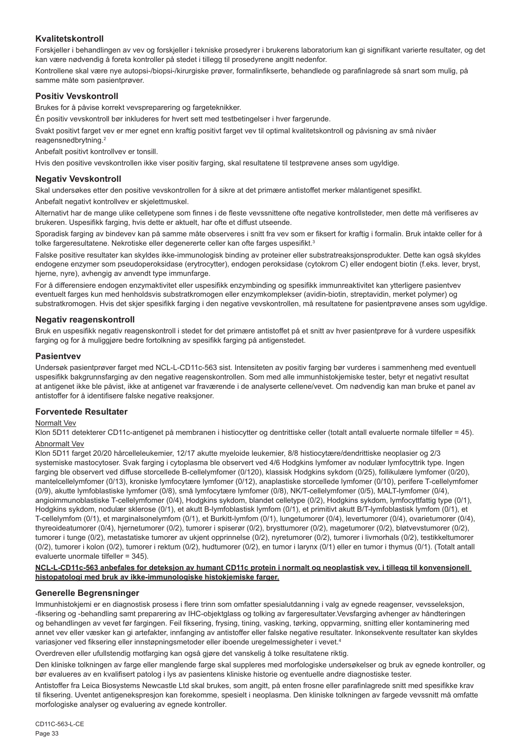# **Kvalitetskontroll**

Forskjeller i behandlingen av vev og forskjeller i tekniske prosedyrer i brukerens laboratorium kan gi signifikant varierte resultater, og det kan være nødvendig å foreta kontroller på stedet i tillegg til prosedyrene angitt nedenfor.

Kontrollene skal være nye autopsi-/biopsi-/kirurgiske prøver, formalinfikserte, behandlede og parafinlagrede så snart som mulig, på samme måte som pasientprøver.

# **Positiv Vevskontroll**

Brukes for å påvise korrekt vevspreparering og fargeteknikker.

Én positiv vevskontroll bør inkluderes for hvert sett med testbetingelser i hver fargerunde.

Svakt positivt farget vev er mer egnet enn kraftig positivt farget vev til optimal kvalitetskontroll og påvisning av små nivåer reagensnedbrytning.<sup>2</sup>

Anbefalt positivt kontrollvev er tonsill.

Hvis den positive vevskontrollen ikke viser positiv farging, skal resultatene til testprøvene anses som ugyldige.

# **Negativ Vevskontroll**

Skal undersøkes etter den positive vevskontrollen for å sikre at det primære antistoffet merker målantigenet spesifikt.

Anbefalt negativt kontrollvev er skjelettmuskel.

Alternativt har de mange ulike celletypene som finnes i de fleste vevssnittene ofte negative kontrollsteder, men dette må verifiseres av brukeren. Uspesifikk farging, hvis dette er aktuelt, har ofte et diffust utseende.

Sporadisk farging av bindevev kan på samme måte observeres i snitt fra vev som er fiksert for kraftig i formalin. Bruk intakte celler for å tolke fargeresultatene. Nekrotiske eller degenererte celler kan ofte farges uspesifikt.<sup>3</sup>

Falske positive resultater kan skyldes ikke-immunologisk binding av proteiner eller substratreaksjonsprodukter. Dette kan også skyldes endogene enzymer som pseudoperoksidase (erytrocytter), endogen peroksidase (cytokrom C) eller endogent biotin (f.eks. lever, bryst, hjerne, nyre), avhengig av anvendt type immunfarge.

For å differensiere endogen enzymaktivitet eller uspesifikk enzymbinding og spesifikk immunreaktivitet kan ytterligere pasientvev eventuelt farges kun med henholdsvis substratkromogen eller enzymkomplekser (avidin-biotin, streptavidin, merket polymer) og substratkromogen. Hvis det skjer spesifikk farging i den negative vevskontrollen, må resultatene for pasientprøvene anses som ugyldige.

# **Negativ reagenskontroll**

Bruk en uspesifikk negativ reagenskontroll i stedet for det primære antistoffet på et snitt av hver pasientprøve for å vurdere uspesifikk farging og for å muliggjøre bedre fortolkning av spesifikk farging på antigenstedet.

#### **Pasientvev**

Undersøk pasientprøver farget med NCL-L-CD11c-563 sist. Intensiteten av positiv farging bør vurderes i sammenheng med eventuell uspesifikk bakgrunnsfarging av den negative reagenskontrollen. Som med alle immunhistokjemiske tester, betyr et negativt resultat at antigenet ikke ble påvist, ikke at antigenet var fraværende i de analyserte cellene/vevet. Om nødvendig kan man bruke et panel av antistoffer for å identifisere falske negative reaksjoner.

# **Forventede Resultater**

#### Normalt Vev

Klon 5D11 detekterer CD11c-antigenet på membranen i histiocytter og dentrittiske celler (totalt antall evaluerte normale tilfeller = 45).

# Abnormalt Vev

Klon 5D11 farget 20/20 hårcelleleukemier, 12/17 akutte myeloide leukemier, 8/8 histiocytære/dendrittiske neoplasier og 2/3 systemiske mastocytoser. Svak farging i cytoplasma ble observert ved 4/6 Hodgkins lymfomer av nodulær lymfocyttrik type. Ingen farging ble observert ved diffuse storcellede B-cellelymfomer (0/120), klassisk Hodgkins sykdom (0/25), follikulære lymfomer (0/20), mantelcellelymfomer (0/13), kroniske lymfocytære lymfomer (0/12), anaplastiske storcellede lymfomer (0/10), perifere T-cellelymfomer (0/9), akutte lymfoblastiske lymfomer (0/8), små lymfocytære lymfomer (0/8), NK/T-cellelymfomer (0/5), MALT-lymfomer (0/4), angioimmunoblastiske T-cellelymfomer (0/4), Hodgkins sykdom, blandet celletype (0/2), Hodgkins sykdom, lymfocyttfattig type (0/1), Hodgkins sykdom, nodulær sklerose (0/1), et akutt B-lymfoblastisk lymfom (0/1), et primitivt akutt B/T-lymfoblastisk lymfom (0/1), et T-cellelymfom (0/1), et marginalsonelymfom (0/1), et Burkitt-lymfom (0/1), lungetumorer (0/4), levertumorer (0/4), ovarietumorer (0/4), thyreoideatumorer (0/4), hjernetumorer (0/2), tumorer i spiserør (0/2), brysttumorer (0/2), magetumorer (0/2), bløtvevstumorer (0/2), tumorer i tunge (0/2), metastatiske tumorer av ukjent opprinnelse (0/2), nyretumorer (0/2), tumorer i livmorhals (0/2), testikkeltumorer (0/2), tumorer i kolon (0/2), tumorer i rektum (0/2), hudtumorer (0/2), en tumor i larynx (0/1) eller en tumor i thymus (0/1). (Totalt antall evaluerte unormale tilfeller = 345).

#### **NCL-L-CD11c-563 anbefales for deteksjon av humant CD11c protein i normalt og neoplastisk vev, i tillegg til konvensjonell histopatologi med bruk av ikke-immunologiske histokjemiske farger.**

# **Generelle Begrensninger**

Immunhistokjemi er en diagnostisk prosess i flere trinn som omfatter spesialutdanning i valg av egnede reagenser, vevsseleksjon, -fiksering og -behandling samt preparering av IHC-objektglass og tolking av fargeresultater.Vevsfarging avhenger av håndteringen og behandlingen av vevet før fargingen. Feil fiksering, frysing, tining, vasking, tørking, oppvarming, snitting eller kontaminering med annet vev eller væsker kan gi artefakter, innfanging av antistoffer eller falske negative resultater. Inkonsekvente resultater kan skyldes variasjoner ved fiksering eller innstøpningsmetoder eller iboende uregelmessigheter i vevet.4

Overdreven eller ufullstendig motfarging kan også gjøre det vanskelig å tolke resultatene riktig.

Den kliniske tolkningen av farge eller manglende farge skal suppleres med morfologiske undersøkelser og bruk av egnede kontroller, og bør evalueres av en kvalifisert patolog i lys av pasientens kliniske historie og eventuelle andre diagnostiske tester.

Antistoffer fra Leica Biosystems Newcastle Ltd skal brukes, som angitt, på enten frosne eller parafinlagrede snitt med spesifikke krav til fiksering. Uventet antigenekspresjon kan forekomme, spesielt i neoplasma. Den kliniske tolkningen av fargede vevssnitt må omfatte morfologiske analyser og evaluering av egnede kontroller.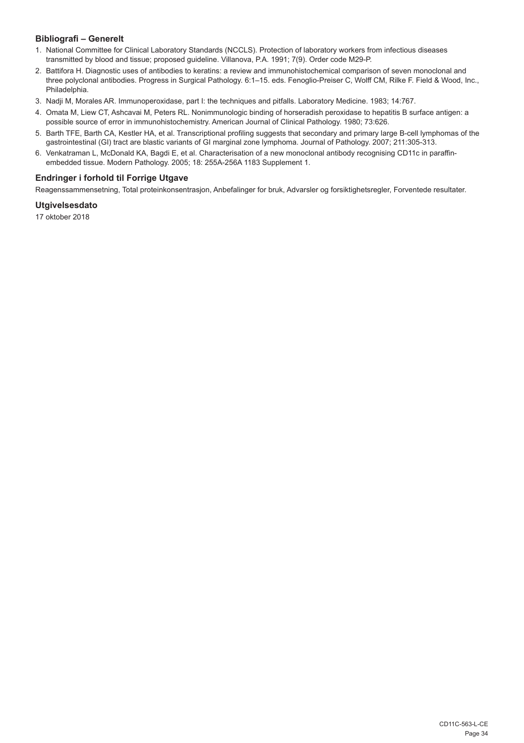# **Bibliografi – Generelt**

- 1. National Committee for Clinical Laboratory Standards (NCCLS). Protection of laboratory workers from infectious diseases transmitted by blood and tissue; proposed guideline. Villanova, P.A. 1991; 7(9). Order code M29-P.
- 2. Battifora H. Diagnostic uses of antibodies to keratins: a review and immunohistochemical comparison of seven monoclonal and three polyclonal antibodies. Progress in Surgical Pathology. 6:1–15. eds. Fenoglio-Preiser C, Wolff CM, Rilke F. Field & Wood, Inc., Philadelphia.
- 3. Nadji M, Morales AR. Immunoperoxidase, part I: the techniques and pitfalls. Laboratory Medicine. 1983; 14:767.
- 4. Omata M, Liew CT, Ashcavai M, Peters RL. Nonimmunologic binding of horseradish peroxidase to hepatitis B surface antigen: a possible source of error in immunohistochemistry. American Journal of Clinical Pathology. 1980; 73:626.
- 5. Barth TFE, Barth CA, Kestler HA, et al. Transcriptional profiling suggests that secondary and primary large B-cell lymphomas of the gastrointestinal (GI) tract are blastic variants of GI marginal zone lymphoma. Journal of Pathology. 2007; 211:305-313.
- 6. Venkatraman L, McDonald KA, Bagdi E, et al. Characterisation of a new monoclonal antibody recognising CD11c in paraffinembedded tissue. Modern Pathology. 2005; 18: 255A-256A 1183 Supplement 1.

# **Endringer i forhold til Forrige Utgave**

Reagenssammensetning, Total proteinkonsentrasjon, Anbefalinger for bruk, Advarsler og forsiktighetsregler, Forventede resultater.

# **Utgivelsesdato**

17 oktober 2018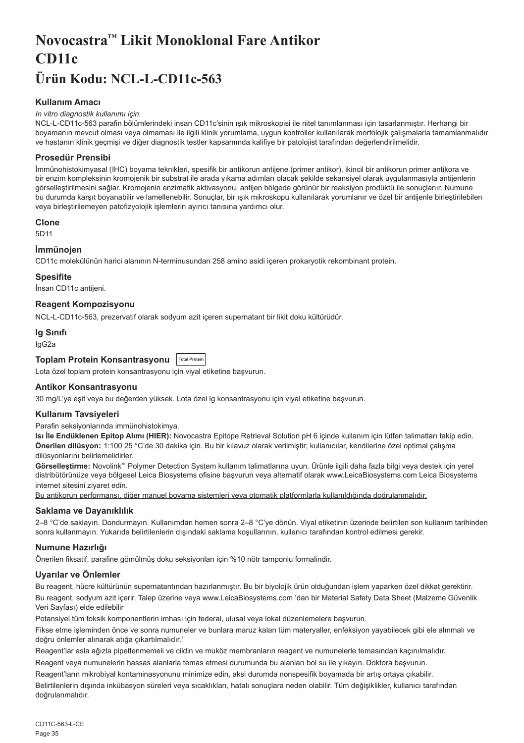# <span id="page-35-0"></span>**Novocastra™ Likit Monoklonal Fare Antikor CD11c Ürün Kodu: NCL-L-CD11c-563**

# **Kullanım Amacı**

#### *In vitro diagnostik kullanımı için.*

NCL-L-CD11c-563 parafin bölümlerindeki insan CD11c'sinin ışık mikroskopisi ile nitel tanımlanması için tasarlanmıştır. Herhangi bir boyamanın mevcut olması veya olmaması ile ilgili klinik yorumlama, uygun kontroller kullanılarak morfolojik çalışmalarla tamamlanmalıdır ve hastanın klinik geçmişi ve diğer diagnostik testler kapsamında kalifiye bir patolojist tarafından değerlendirilmelidir.

#### **Prosedür Prensibi**

İmmünohistokimyasal (IHC) boyama teknikleri, spesifik bir antikorun antijene (primer antikor), ikincil bir antikorun primer antikora ve bir enzim kompleksinin kromojenik bir substrat ile arada yıkama adımları olacak şekilde sekansiyel olarak uygulanmasıyla antijenlerin görselleştirilmesini sağlar. Kromojenin enzimatik aktivasyonu, antijen bölgede görünür bir reaksiyon prodüktü ile sonuçlanır. Numune bu durumda karşıt boyanabilir ve lamellenebilir. Sonuçlar, bir ışık mikroskopu kullanılarak yorumlanır ve özel bir antijenle birleştirilebilen veya birleştirilemeyen patofizyolojik işlemlerin ayırıcı tanısına yardımcı olur.

#### **Clone**

5D11

# **İmmünojen**

CD11c molekülünün harici alanının N-terminusundan 258 amino asidi içeren prokaryotik rekombinant protein.

#### **Spesifite**

İnsan CD11c antijeni.

# **Reagent Kompozisyonu**

NCL-L-CD11c-563, prezervatif olarak sodyum azit içeren supernatant bir likit doku kültürüdür.

#### **Ig Sınıfı**

IgG2a

# **Toplam Protein Konsantrasyonu Total Protein**

Lota özel toplam protein konsantrasyonu için viyal etiketine başvurun.

#### **Antikor Konsantrasyonu**

30 mg/L'ye eşit veya bu değerden yüksek. Lota özel lg konsantrasyonu için viyal etiketine başvurun.

#### **Kullanım Tavsiyeleri**

Parafin seksiyonlarında immünohistokimya.

**Isı İle Endüklenen Epitop Alımı (HIER):** Novocastra Epitope Retrieval Solution pH 6 içinde kullanım için lütfen talimatları takip edin. **Önerilen dilüsyon:** 1:100 25 °C'de 30 dakika için. Bu bir kılavuz olarak verilmiştir; kullanıcılar, kendilerine özel optimal çalışma dilüsyonlarını belirlemelidirler.

**Görselleştirme:** Novolink™ Polymer Detection System kullanım talimatlarına uyun. Ürünle ilgili daha fazla bilgi veya destek için yerel distribütörünüze veya bölgesel Leica Biosystems ofisine başvurun veya alternatif olarak www.LeicaBiosystems.com Leica Biosystems internet sitesini ziyaret edin.

Bu antikorun performansı, diğer manuel boyama sistemleri veya otomatik platformlarla kullanıldığında doğrulanmalıdır.

# **Saklama ve Dayanıklılık**

2–8 °C'de saklayın. Dondurmayın. Kullanımdan hemen sonra 2–8 °C'ye dönün. Viyal etiketinin üzerinde belirtilen son kullanım tarihinden sonra kullanmayın. Yukarıda belirtilenlerin dışındaki saklama koşullarının, kullanıcı tarafından kontrol edilmesi gerekir.

# **Numune Hazırlığı**

Önerilen fiksatif, parafine gömülmüş doku seksiyonları için %10 nötr tamponlu formalindir.

# **Uyarılar ve Önlemler**

Bu reagent, hücre kültürünün supernatantından hazırlanmıştır. Bu bir biyolojik ürün olduğundan işlem yaparken özel dikkat gerektirir. Bu reagent, sodyum azit içerir. Talep üzerine veya www.LeicaBiosystems.com 'dan bir Material Safety Data Sheet (Malzeme Güvenlik Veri Sayfası) elde edilebilir

Potansiyel tüm toksik komponentlerin imhası için federal, ulusal veya lokal düzenlemelere başvurun.

Fikse etme işleminden önce ve sonra numuneler ve bunlara maruz kalan tüm materyaller, enfeksiyon yayabilecek gibi ele alınmalı ve doğru önlemler alınarak atığa çıkartılmalıdır.<sup>1</sup>

Reagent'lar asla ağızla pipetlenmemeli ve cildin ve muköz membranların reagent ve numunelerle temasından kaçınılmalıdır.

Reagent veya numunelerin hassas alanlarla temas etmesi durumunda bu alanları bol su ile yıkayın. Doktora başvurun. Reagent'ların mikrobiyal kontaminasyonunu minimize edin, aksi durumda nonspesifik boyamada bir artış ortaya çıkabilir.

Belirtilenlerin dışında inkübasyon süreleri veya sıcaklıkları, hatalı sonuçlara neden olabilir. Tüm değişiklikler, kullanıcı tarafından doğrulanmalıdır.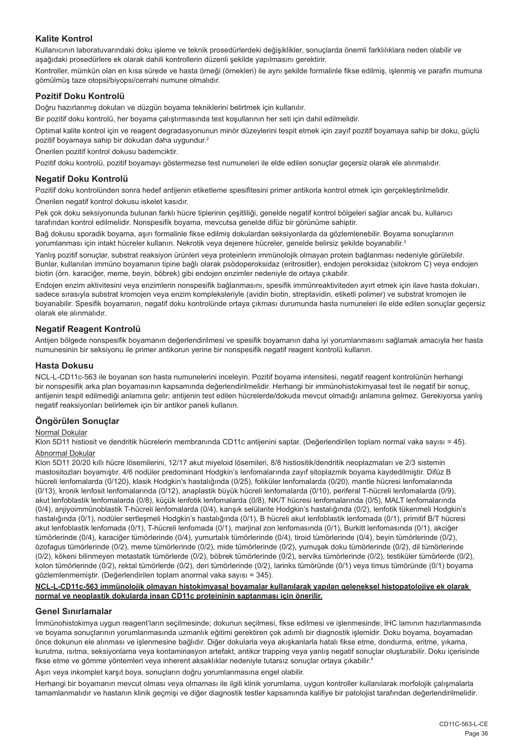# **Kalite Kontrol**

Kullanıcının laboratuvarındaki doku işleme ve teknik prosedürlerdeki değişiklikler, sonuçlarda önemli farklılıklara neden olabilir ve aşağıdaki prosedürlere ek olarak dahili kontrollerin düzenli şekilde yapılmasını gerektirir.

Kontroller, mümkün olan en kısa sürede ve hasta örneği (örnekleri) ile aynı şekilde formalinle fikse edilmiş, işlenmiş ve parafin mumuna gömülmüş taze otopsi/biyopsi/cerrahi numune olmalıdır.

#### **Pozitif Doku Kontrolü**

Doğru hazırlanmış dokuları ve düzgün boyama tekniklerini belirtmek için kullanılır.

Bir pozitif doku kontrolü, her boyama çalıştırmasında test koşullarının her seti için dahil edilmelidir.

Optimal kalite kontrol için ve reagent degradasyonunun minör düzeylerini tespit etmek için zayıf pozitif boyamaya sahip bir doku, güçlü pozitif boyamaya sahip bir dokudan daha uygundur.<sup>2</sup>

Önerilen pozitif kontrol dokusu bademciktir.

Pozitif doku kontrolü, pozitif boyamayı göstermezse test numuneleri ile elde edilen sonuçlar geçersiz olarak ele alınmalıdır.

#### **Negatif Doku Kontrolü**

Pozitif doku kontrolünden sonra hedef antijenin etiketleme spesifitesini primer antikorla kontrol etmek için gerçekleştirilmelidir. Önerilen negatif kontrol dokusu iskelet kasıdır.

Pek çok doku seksiyonunda bulunan farklı hücre tiplerinin çeşitliliği, genelde negatif kontrol bölgeleri sağlar ancak bu, kullanıcı tarafından kontrol edilmelidir. Nonspesifik boyama, mevcutsa genelde difüz bir görünüme sahiptir.

Bağ dokusu sporadik boyama, aşırı formalinle fikse edilmiş dokulardan seksiyonlarda da gözlemlenebilir. Boyama sonuçlarının yorumlanması için intakt hücreler kullanın. Nekrotik veya dejenere hücreler, genelde belirsiz şekilde boyanabilir.<sup>3</sup>

Yanlış pozitif sonuçlar, substrat reaksiyon ürünleri veya proteinlerin immünolojik olmayan protein bağlanması nedeniyle görülebilir. Bunlar, kullanılan immüno boyamanın tipine bağlı olarak psödoperoksidaz (eritrositler), endojen peroksidaz (sitokrom C) veya endojen biotin (örn. karaciğer, meme, beyin, böbrek) gibi endojen enzimler nedeniyle de ortaya çıkabilir.

Endojen enzim aktivitesini veya enzimlerin nonspesifik bağlanmasını, spesifik immünreaktiviteden ayırt etmek için ilave hasta dokuları, sadece sırasıyla substrat kromojen veya enzim kompleksleriyle (avidin biotin, streptavidin, etiketli polimer) ve substrat kromojen ile boyanabilir. Spesifik boyamanın, negatif doku kontrolünde ortaya çıkması durumunda hasta numuneleri ile elde edilen sonuçlar geçersiz olarak ele alınmalıdır.

# **Negatif Reagent Kontrolü**

Antijen bölgede nonspesifik boyamanın değerlendirilmesi ve spesifik boyamanın daha iyi yorumlanmasını sağlamak amacıyla her hasta numunesinin bir seksiyonu ile primer antikorun yerine bir nonspesifik negatif reagent kontrolü kullanın.

#### **Hasta Dokusu**

NCL-L-CD11c-563 ile boyanan son hasta numunelerini inceleyin. Pozitif boyama intensitesi, negatif reagent kontrolünün herhangi bir nonspesifik arka plan boyamasının kapsamında değerlendirilmelidir. Herhangi bir immünohistokimyasal test ile negatif bir sonuç, antijenin tespit edilmediği anlamına gelir; antijenin test edilen hücrelerde/dokuda mevcut olmadığı anlamına gelmez. Gerekiyorsa yanlış negatif reaksiyonları belirlemek için bir antikor paneli kullanın.

# **Öngörülen Sonuçlar**

#### Normal Dokular

Klon 5D11 histiosit ve dendritik hücrelerin membranında CD11c antijenini saptar. (Değerlendirilen toplam normal vaka sayısı = 45). Abnormal Dokular

Klon 5D11 20/20 kıllı hücre lösemilerini, 12/17 akut miyeloid lösemileri, 8/8 histiositik/dendritik neoplazmaları ve 2/3 sistemin mastositozları boyamıştır. 4/6 nodüler predominant Hodgkin's lenfomalarında zayıf sitoplazmik boyama kaydedilmiştir. Difüz B hücreli lenfomalarda (0/120), klasik Hodgkin's hastalığında (0/25), foliküler lenfomalarda (0/20), mantle hücresi lenfomalarında (0/13), kronik lenfosit lenfomalarında (0/12), anaplastik büyük hücreli lenfomalarda (0/10), periferal T-hücreli lenfomalarda (0/9), akut lenfoblastik lenfomalarda (0/8), küçük lenfotik lenfomalarda (0/8), NK/T hücresi lenfomalarında (0/5), MALT lenfomalarında (0/4), anjiyoimmünoblastik T-hücreli lenfomalarda (0/4), karışık selülarite Hodgkin's hastalığında (0/2), lenfotik tükenmeli Hodgkin's hastalığında (0/1), nodüler sertleşmeli Hodgkin's hastalığında (0/1), B hücreli akut lenfoblastik lenfomada (0/1), primitif B/T hücresi akut lenfoblastik lenfomada (0/1), T-hücreli lenfomada (0/1), marjinal zon lenfomasında (0/1), Burkitt lenfomasında (0/1), akciğer tümörlerinde (0/4), karaciğer tümörlerinde (0/4), yumurtalık tümörlerinde (0/4), tiroid tümörlerinde (0/4), beyin tümörlerinde (0/2), özofagus tümörlerinde (0/2), meme tümörlerinde (0/2), mide tümörlerinde (0/2), yumuşak doku tümörlerinde (0/2), dil tümörlerinde (0/2), kökeni bilinmeyen metastatik tümörlerde (0/2), böbrek tümörlerinde (0/2), serviks tümörlerinde (0/2), testiküler tümörlerde (0/2), kolon tümörlerinde (0/2), rektal tümörlerde (0/2), deri tümörlerinde (0/2), larinks tümöründe (0/1) veya timus tümöründe (0/1) boyama gözlemlenmemiştir. (Değerlendirilen toplam anormal vaka sayısı = 345).

#### **NCL-L-CD11c-563 immünolojik olmayan histokimyasal boyamalar kullanılarak yapılan geleneksel histopatolojiye ek olarak normal ve neoplastik dokularda insan CD11c proteininin saptanması için önerilir.**

#### **Genel Sınırlamalar**

İmmünohistokimya uygun reagent'ların seçilmesinde; dokunun seçilmesi, fikse edilmesi ve işlenmesinde; IHC lamının hazırlanmasında ve boyama sonuçlarının yorumlanmasında uzmanlık eğitimi gerektiren çok adımlı bir diagnostik işlemidir. Doku boyama, boyamadan önce dokunun ele alınması ve işlenmesine bağlıdır. Diğer dokularla veya akışkanlarla hatalı fikse etme, dondurma, eritme, yıkama, kurutma, ısıtma, seksiyonlama veya kontaminasyon artefakt, antikor trapping veya yanlış negatif sonuçlar oluşturabilir. Doku içerisinde fikse etme ve gömme yöntemleri veya inherent aksaklıklar nedeniyle tutarsız sonuçlar ortaya çıkabilir. 4

Aşırı veya inkomplet karşıt boya, sonuçların doğru yorumlanmasına engel olabilir.

Herhangi bir boyamanın mevcut olması veya olmaması ile ilgili klinik yorumlama, uygun kontroller kullanılarak morfolojik çalışmalarla tamamlanmalıdır ve hastanın klinik geçmişi ve diğer diagnostik testler kapsamında kalifiye bir patolojist tarafından değerlendirilmelidir.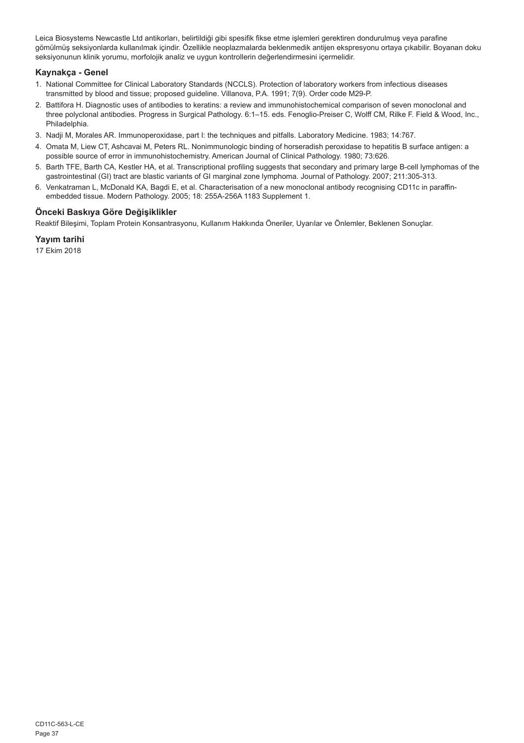Leica Biosystems Newcastle Ltd antikorları, belirtildiği gibi spesifik fikse etme işlemleri gerektiren dondurulmuş veya parafine gömülmüş seksiyonlarda kullanılmak içindir. Özellikle neoplazmalarda beklenmedik antijen ekspresyonu ortaya çıkabilir. Boyanan doku seksiyonunun klinik yorumu, morfolojik analiz ve uygun kontrollerin değerlendirmesini içermelidir.

# **Kaynakça - Genel**

- 1. National Committee for Clinical Laboratory Standards (NCCLS). Protection of laboratory workers from infectious diseases transmitted by blood and tissue; proposed guideline. Villanova, P.A. 1991; 7(9). Order code M29-P.
- 2. Battifora H. Diagnostic uses of antibodies to keratins: a review and immunohistochemical comparison of seven monoclonal and three polyclonal antibodies. Progress in Surgical Pathology. 6:1–15. eds. Fenoglio-Preiser C, Wolff CM, Rilke F. Field & Wood, Inc., Philadelphia.
- 3. Nadji M, Morales AR. Immunoperoxidase, part I: the techniques and pitfalls. Laboratory Medicine. 1983; 14:767.
- 4. Omata M, Liew CT, Ashcavai M, Peters RL. Nonimmunologic binding of horseradish peroxidase to hepatitis B surface antigen: a possible source of error in immunohistochemistry. American Journal of Clinical Pathology. 1980; 73:626.
- 5. Barth TFE, Barth CA, Kestler HA, et al. Transcriptional profiling suggests that secondary and primary large B-cell lymphomas of the gastrointestinal (GI) tract are blastic variants of GI marginal zone lymphoma. Journal of Pathology. 2007; 211:305-313.
- 6. Venkatraman L, McDonald KA, Bagdi E, et al. Characterisation of a new monoclonal antibody recognising CD11c in paraffinembedded tissue. Modern Pathology. 2005; 18: 255A-256A 1183 Supplement 1.

# **Önceki Baskıya Göre Değişiklikler**

Reaktif Bileşimi, Toplam Protein Konsantrasyonu, Kullanım Hakkında Öneriler, Uyarılar ve Önlemler, Beklenen Sonuçlar.

# **Yayım tarihi**

17 Ekim 2018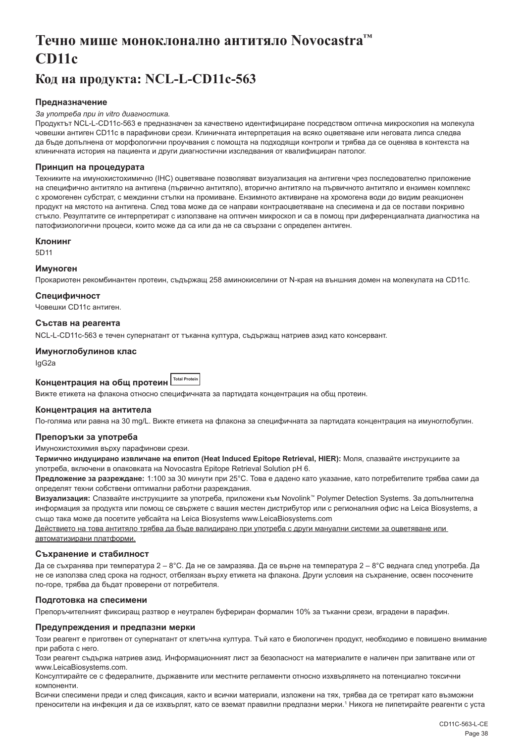# <span id="page-38-0"></span>**Течно мише моноклонално антитяло Novocastra™ CD11c**

# **Код на продукта: NCL-L-CD11c-563**

# **Предназначение**

#### *За употреба при in vitro диагностика.*

Продуктът NCL-L-CD11c-563 е предназначен за качествено идентифициране посредством оптична микроскопия на молекула човешки антиген CD11c в парафинови срези. Клиничната интерпретация на всяко оцветяване или неговата липса следва да бъде допълнена от морфологични проучвания с помощта на подходящи контроли и трябва да се оценява в контекста на клиничната история на пациента и други диагностични изследвания от квалифициран патолог.

#### **Принцип на процедурата**

Техниките на имунохистохимично (IHC) оцветяване позволяват визуализация на антигени чрез последователно приложение на специфично антитяло на антигена (първично антитяло), вторично антитяло на първичното антитяло и ензимен комплекс с хромогенен субстрат, с междинни стъпки на промиване. Ензимното активиране на хромогена води до видим реакционен продукт на мястото на антигена. След това може да се направи контраоцветяване на спесимена и да се постави покривно стъкло. Резултатите се интерпретират с използване на оптичен микроскоп и са в помощ при диференциалната диагностика на патофизиологични процеси, които може да са или да не са свързани с определен антиген.

#### **Клонинг**

5D11

#### **Имуноген**

Прокариотен рекомбинантен протеин, съдържащ 258 аминокиселини от N-края на външния домен на молекулата на CD11c.

# **Специфичност**

Човешки CD11c антиген.

#### **Състав на реагента**

NCL-L-CD11c-563 е течен супернатант от тъканна култура, съдържащ натриев азид като консервант.

#### **Имуноглобулинов клас**

IgG2a

# **Концентрация на общ протеин Total Protein**

Вижте етикета на флакона относно специфичната за партидата концентрация на общ протеин.

#### **Концентрация на антитела**

По-голяма или равна на 30 mg/L. Вижте етикета на флакона за специфичната за партидата концентрация на имуноглобулин.

#### **Препоръки за употреба**

#### Имунохистохимия върху парафинови срези.

**Термично индуцирано извличане на епитоп (Heat Induced Epitope Retrieval, HIER):** Моля, спазвайте инструкциите за употреба, включени в опаковката на Novocastra Epitope Retrieval Solution pH 6.

**Предложение за разреждане:** 1:100 за 30 минути при 25°C. Това е дадено като указание, като потребителите трябва сами да определят техни собствени оптимални работни разреждания.

**Визуализация:** Спазвайте инструкциите за употреба, приложени към Novolink™ Polymer Detection Systems. За допълнителна информация за продукта или помощ се свържете с вашия местен дистрибутор или с регионалния офис на Leica Biosystems, а също така може да посетите уебсайта на Leica Biosystems www.LeicaBiosystems.com

Действието на това антитяло трябва да бъде валидирано при употреба с други мануални системи за оцветяване или автоматизирани платформи.

#### **Съхранение и стабилност**

Да се съхранява при температура 2 – 8°C. Да не се замразява. Да се върне на температура 2 – 8°C веднага след употреба. Да не се използва след срока на годност, отбелязан върху етикета на флакона. Други условия на съхранение, освен посочените по-горе, трябва да бъдат проверени от потребителя.

#### **Подготовка на спесимени**

Препоръчителният фиксиращ разтвор е неутрален буфериран формалин 10% за тъканни срези, вградени в парафин.

#### **Предупреждения и предпазни мерки**

Този реагент е приготвен от супернатант от клетъчна култура. Тъй като е биологичен продукт, необходимо е повишено внимание при работа с него.

Този реагент съдържа натриев азид. Информационният лист за безопасност на материалите е наличен при запитване или от www.LeicaBiosystems.com.

Консултирайте се с федералните, държавните или местните регламенти относно изхвърлянето на потенциално токсични компоненти.

Всички спесимени преди и след фиксация, както и всички материали, изложени на тях, трябва да се третират като възможни преносители на инфекция и да се изхвърлят, като се вземат правилни предпазни мерки.1 Никога не пипетирайте реагенти с уста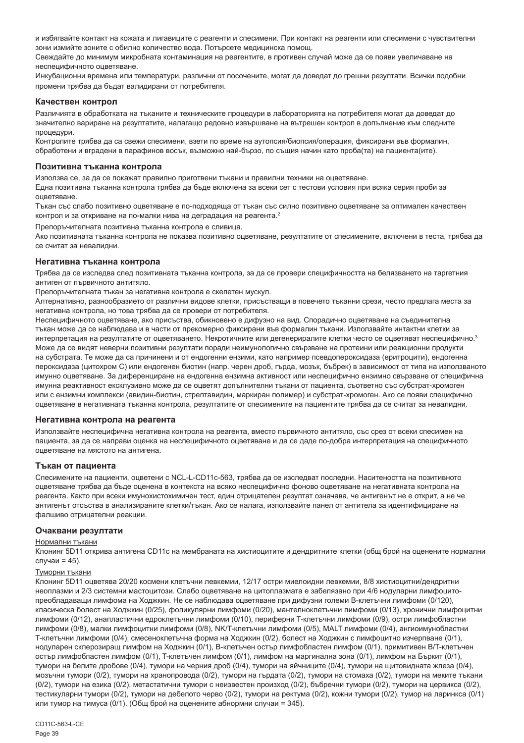и избягвайте контакт на кожата и лигавиците с реагенти и спесимени. При контакт на реагенти или спесимени с чувствителни зони измийте зоните с обилно количество вода. Потърсете медицинска помощ.

Свеждайте до минимум микробната контаминация на реагентите, в противен случай може да се появи увеличаване на неспецифичното оцветяване.

Инкубационни времена или температури, различни от посочените, могат да доведат до грешни резултати. Всички подобни промени трябва да бъдат валидирани от потребителя.

#### **Качествен контрол**

Различията в обработката на тъканите и техническите процедури в лабораторията на потребителя могат да доведат до значително вариране на резултатите, налагащо редовно извършване на вътрешен контрол в допълнение към следните процедури.

Контролите трябва да са свежи спесимени, взети по време на аутопсия/биопсия/операция, фиксирани във формалин, обработени и вградени в парафинов восък, възможно най-бързо, по същия начин като проба(та) на пациента(ите).

#### **Позитивна тъканна контрола**

Използва се, за да се покажат правилно приготвени тъкани и правилни техники на оцветяване.

Една позитивна тъканна контрола трябва да бъде включена за всеки сет с тестови условия при всяка серия проби за оцветяване.

Тъкан със слабо позитивно оцветяване е по-подходяща от тъкан със силно позитивно оцветяване за оптимален качествен контрол и за откриване на по-малки нива на деградация на реагента.<sup>2</sup>

Препоръчителната позитивна тъканна контрола е сливица.

Ако позитивната тъканна контрола не показва позитивно оцветяване, резултатите от спесимените, включени в теста, трябва да се считат за невалидни.

#### **Негативна тъканна контрола**

Трябва да се изследва след позитивната тъканна контрола, за да се провери специфичността на белязването на таргетния антиген от първичното антитяло.

Препоръчителната тъкан за негативна контрола e скелетен мускул.

Алтернативно, разнообразието от различни видове клетки, присъстващи в повечето тъканни срези, често предлага места за негативна контрола, но това трябва да се провери от потребителя.

Неспецифичното оцветяване, ако присъства, обикновено е дифузно на вид. Спорадично оцветяване на съединителна тъкан може да се наблюдава и в части от прекомерно фиксирани във формалин тъкани. Използвайте интактни клетки за интерпретация на резултатите от оцветяването. Некротичните или дегенериралите клетки често се оцветяват неспецифично.<sup>3</sup> Може да се видят неверни позитивни резултати поради неимунологично свързване на протеини или реакционни продукти на субстрата. Те може да са причинени и от ендогенни ензими, като например псевдопероксидаза (еритроцити), ендогенна пероксидаза (цитохром C) или ендогенен биотин (напр. черен дроб, гърда, мозък, бъбрек) в зависимост от типа на използваното имунно оцветяване. За диференциране на ендогенна ензимна активност или неспецифично ензимно свързване от специфична имунна реактивност ексклузивно може да се оцветят допълнителни тъкани от пациента, съответно със субстрат-хромоген или с ензимни комплекси (авидин-биотин, стрептавидин, маркиран полимер) и субстрат-хромоген. Ако се появи специфично оцветяване в негативната тъканна контрола, резултатите от спесимените на пациентите трябва да се считат за невалидни.

#### **Негативна контрола на реагента**

Използвайте неспецифична негативна контрола на реагента, вместо първичното антитяло, със срез от всеки спесимен на пациента, за да се направи оценка на неспецифичното оцветяване и да се даде по-добра интерпретация на специфичното оцветяване на мястото на антигена.

#### **Тъкан от пациента**

Спесимените на пациенти, оцветени с NCL-L-CD11c-563, трябва да се изследват последни. Наситеността на позитивното оцветяване трябва да бъде оценена в контекста на всяко неспецифично фоново оцветяване на негативната контрола на реагента. Както при всеки имунохистохимичен тест, един отрицателен резултат означава, че антигенът не е открит, а не че антигенът отсъства в анализираните клетки/тъкан. Ако се налага, използвайте панел от антитела за идентифициране на фалшиво отрицателни реакции.

#### **Очаквани резултати**

#### Нормални тъкани

Клонинг 5D11 открива антигена CD11c на мембраната на хистиоцитите и дендритните клетки (общ брой на оценените нормални случаи = 45).

#### Туморни тъкани

Клонинг 5D11 оцветява 20/20 космени клетъчни левкемии, 12/17 остри миелоидни левкемии, 8/8 хистиоцитни/дендритни неоплазми и 2/3 системни мастоцитози. Слабо оцветяване на цитоплазмата е забелязано при 4/6 нодуларни лимфоцитопреобладаващи лимфома на Ходжкин. Не се наблюдава оцветяване при дифузни големи B-клетъчни лимфоми (0/120), класическа болест на Ходжкин (0/25), фоликулярни лимфоми (0/20), мантелноклетъчни лимфоми (0/13), хронични лимфоцитни лимфоми (0/12), анапластични едроклетъчни лимфоми (0/10), периферни T-клетъчни лимфоми (0/9), остри лимфобластни лимфоми (0/8), малки лимфоцитни лимфоми (0/8), NK/T-клетъчни лимфоми (0/5), MALT лимфоми (0/4), ангиоимунобластни T-клетъчни лимфоми (0/4), смесеноклетъчна форма на Ходжкин (0/2), болест на Ходжкин с лимфоцитно изчерпване (0/1), нодуларен склерозиращ лимфом на Ходжкин (0/1), B-клетъчен остър лимфобластен лимфом (0/1), примитивен B/T-клетъчен остър лимфобластен лимфом (0/1), T-клетъчен лимфом (0/1), лимфом на маргинална зона (0/1), лимфом на Бъркит (0/1), тумори на белите дробове (0/4), тумори на черния дроб (0/4), тумори на яйчниците (0/4), тумори на щитовидната жлеза (0/4), мозъчни тумори (0/2), тумори на хранопровода (0/2), тумори на гърдата (0/2), тумори на стомаха (0/2), тумори на меките тъкани (0/2), тумори на езика (0/2), метастатични тумори с неизвестен произход (0/2), бъбречни тумори (0/2), тумори на цервикса (0/2), тестикуларни тумори (0/2), тумори на дебелото черво (0/2), тумори на ректума (0/2), кожни тумори (0/2), тумор на ларинкса (0/1) или тумор на тимуса (0/1). (Общ брой на оценените абнормни случаи = 345).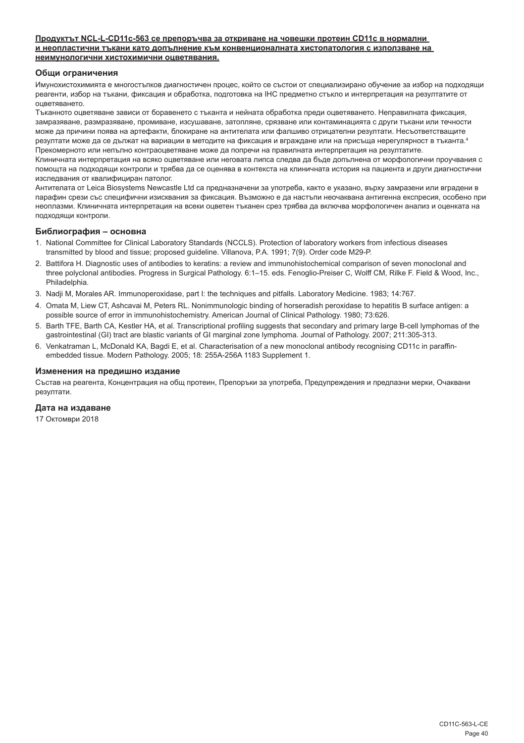#### **Продуктът NCL-L-CD11c-563 се препоръчва за откриване на човешки протеин CD11c в нормални и неопластични тъкани като допълнение към конвенционалната хистопатология с използване на неимунологични хистохимични оцветявания.**

#### **Общи ограничения**

Имунохистохимията е многостъпков диагностичен процес, който се състои от специализирано обучение за избор на подходящи реагенти, избор на тъкани, фиксация и обработка, подготовка на IHC предметно стъкло и интерпретация на резултатите от оцветяването.

Тъканното оцветяване зависи от боравенето с тъканта и нейната обработка преди оцветяването. Неправилната фиксация, замразяване, размразяване, промиване, изсушаване, затопляне, срязване или контаминацията с други тъкани или течности може да причини поява на артефакти, блокиране на антителата или фалшиво отрицателни резултати. Несъответстващите резултати може да се дължат на вариации в методите на фиксация и вграждане или на присъща нерегулярност в тъканта.4 Прекомерното или непълно контраоцветяване може да попречи на правилната интерпретация на резултатите.

Клиничната интерпретация на всяко оцветяване или неговата липса следва да бъде допълнена от морфологични проучвания с помощта на подходящи контроли и трябва да се оценява в контекста на клиничната история на пациента и други диагностични изследвания от квалифициран патолог.

Антителата от Leica Biosystems Newcastle Ltd са предназначени за употреба, както е указано, върху замразени или вградени в парафин срези със специфични изисквания за фиксация. Възможно е да настъпи неочаквана антигенна експресия, особено при неоплазми. Клиничната интерпретация на всеки оцветен тъканен срез трябва да включва морфологичен анализ и оценката на подходящи контроли.

#### **Библиография – основна**

- 1. National Committee for Clinical Laboratory Standards (NCCLS). Protection of laboratory workers from infectious diseases transmitted by blood and tissue; proposed guideline. Villanova, P.A. 1991; 7(9). Order code M29-P.
- 2. Battifora H. Diagnostic uses of antibodies to keratins: a review and immunohistochemical comparison of seven monoclonal and three polyclonal antibodies. Progress in Surgical Pathology. 6:1–15. eds. Fenoglio-Preiser C, Wolff CM, Rilke F. Field & Wood, Inc., Philadelphia.
- 3. Nadji M, Morales AR. Immunoperoxidase, part I: the techniques and pitfalls. Laboratory Medicine. 1983; 14:767.
- 4. Omata M, Liew CT, Ashcavai M, Peters RL. Nonimmunologic binding of horseradish peroxidase to hepatitis B surface antigen: a possible source of error in immunohistochemistry. American Journal of Clinical Pathology. 1980; 73:626.
- 5. Barth TFE, Barth CA, Kestler HA, et al. Transcriptional profiling suggests that secondary and primary large B-cell lymphomas of the gastrointestinal (GI) tract are blastic variants of GI marginal zone lymphoma. Journal of Pathology. 2007; 211:305-313.
- 6. Venkatraman L, McDonald KA, Bagdi E, et al. Characterisation of a new monoclonal antibody recognising CD11c in paraffinembedded tissue. Modern Pathology. 2005; 18: 255A-256A 1183 Supplement 1.

#### **Изменения на предишно издание**

Състав на реагента, Концентрация на общ протеин, Препоръки за употреба, Предупреждения и предпазни мерки, Очаквани резултати.

# **Дата на издаване**

17 Октомври 2018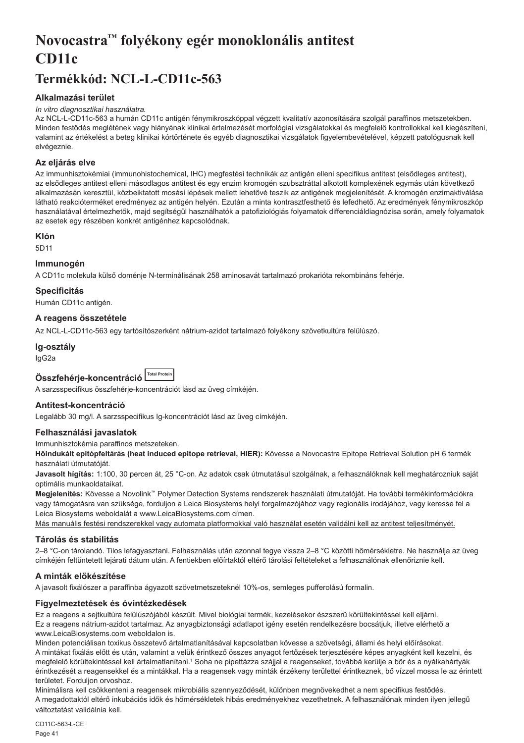# <span id="page-41-0"></span>**Novocastra™ folyékony egér monoklonális antitest CD11c**

# **Termékkód: NCL-L-CD11c-563**

# **Alkalmazási terület**

#### *In vitro diagnosztikai használatra.*

Az NCL-L-CD11c-563 a humán CD11c antigén fénymikroszkóppal végzett kvalitatív azonosítására szolgál paraffinos metszetekben. Minden festődés meglétének vagy hiányának klinikai értelmezését morfológiai vizsgálatokkal és megfelelő kontrollokkal kell kiegészíteni, valamint az értékelést a beteg klinikai kórtörténete és egyéb diagnosztikai vizsgálatok figyelembevételével, képzett patológusnak kell elvégeznie.

# **Az eljárás elve**

Az immunhisztokémiai (immunohistochemical, IHC) megfestési technikák az antigén elleni specifikus antitest (elsődleges antitest), az elsődleges antitest elleni másodlagos antitest és egy enzim kromogén szubsztráttal alkotott komplexének egymás után következő alkalmazásán keresztül, közbeiktatott mosási lépések mellett lehetővé teszik az antigének megjelenítését. A kromogén enzimaktiválása látható reakcióterméket eredményez az antigén helyén. Ezután a minta kontrasztfesthető és lefedhető. Az eredmények fénymikroszkóp használatával értelmezhetők, majd segítségül használhatók a patofiziológiás folyamatok differenciáldiagnózisa során, amely folyamatok az esetek egy részében konkrét antigénhez kapcsolódnak.

# **Klón**

5D11

# **Immunogén**

A CD11c molekula külső doménje N-terminálisának 258 aminosavát tartalmazó prokarióta rekombináns fehérje.

#### **Specificitás**

Humán CD11c antigén.

# **A reagens összetétele**

Az NCL-L-CD11c-563 egy tartósítószerként nátrium-azidot tartalmazó folyékony szövetkultúra felülúszó.

#### **Ig-osztály**

IgG2a

| Összfehérje-koncentráció Motal Protein |  |
|----------------------------------------|--|
|                                        |  |

A sarzsspecifikus összfehérje-koncentrációt lásd az üveg címkéjén.

# **Antitest-koncentráció**

Legalább 30 mg/l. A sarzsspecifikus Ig-koncentrációt lásd az üveg címkéjén.

# **Felhasználási javaslatok**

Immunhisztokémia paraffinos metszeteken.

**Hőindukált epitópfeltárás (heat induced epitope retrieval, HIER):** Kövesse a Novocastra Epitope Retrieval Solution pH 6 termék használati útmutatóját.

**Javasolt hígítás:** 1:100, 30 percen át, 25 °C-on. Az adatok csak útmutatásul szolgálnak, a felhasználóknak kell meghatározniuk saját optimális munkaoldataikat.

**Megjelenítés:** Kövesse a Novolink™ Polymer Detection Systems rendszerek használati útmutatóját. Ha további termékinformációkra vagy támogatásra van szüksége, forduljon a Leica Biosystems helyi forgalmazójához vagy regionális irodájához, vagy keresse fel a Leica Biosystems weboldalát a www.LeicaBiosystems.com címen.

Más manuális festési rendszerekkel vagy automata platformokkal való használat esetén validálni kell az antitest teljesítményét.

#### **Tárolás és stabilitás**

2–8 °C-on tárolandó. Tilos lefagyasztani. Felhasználás után azonnal tegye vissza 2–8 °C közötti hőmérsékletre. Ne használja az üveg címkéjén feltüntetett lejárati dátum után. A fentiekben előírtaktól eltérő tárolási feltételeket a felhasználónak ellenőriznie kell.

# **A minták előkészítése**

A javasolt fixálószer a paraffinba ágyazott szövetmetszeteknél 10%-os, semleges pufferolású formalin.

# **Figyelmeztetések és óvintézkedések**

Ez a reagens a sejtkultúra felülúszójából készült. Mivel biológiai termék, kezelésekor észszerű körültekintéssel kell eljárni. Ez a reagens nátrium-azidot tartalmaz. Az anyagbiztonsági adatlapot igény esetén rendelkezésre bocsátjuk, illetve elérhető a www.LeicaBiosystems.com weboldalon is.

Minden potenciálisan toxikus összetevő ártalmatlanításával kapcsolatban kövesse a szövetségi, állami és helyi előírásokat. A mintákat fixálás előtt és után, valamint a velük érintkező összes anyagot fertőzések terjesztésére képes anyagként kell kezelni, és megfelelő körültekintéssel kell ártalmatlanítani.1 Soha ne pipettázza szájjal a reagenseket, továbbá kerülje a bőr és a nyálkahártyák érintkezését a reagensekkel és a mintákkal. Ha a reagensek vagy minták érzékeny területtel érintkeznek, bő vízzel mossa le az érintett területet. Forduljon orvoshoz.

Minimálisra kell csökkenteni a reagensek mikrobiális szennyeződését, különben megnövekedhet a nem specifikus festődés. A megadottaktól eltérő inkubációs idők és hőmérsékletek hibás eredményekhez vezethetnek. A felhasználónak minden ilyen jellegű változtatást validálnia kell.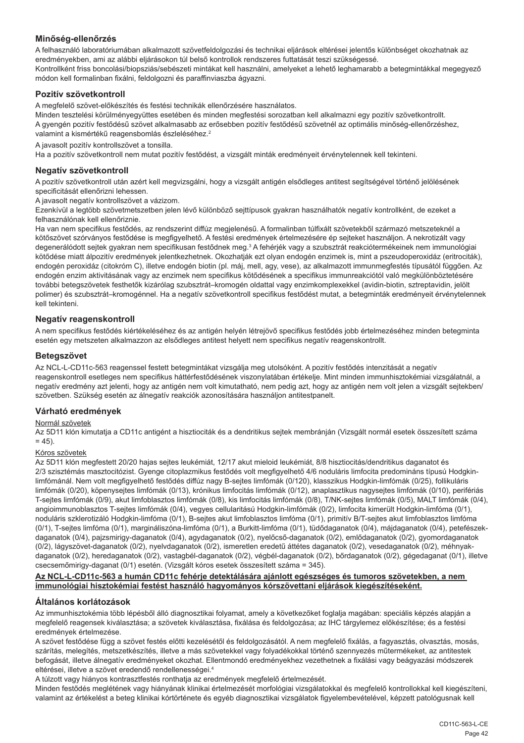# **Minőség-ellenőrzés**

A felhasználó laboratóriumában alkalmazott szövetfeldolgozási és technikai eljárások eltérései jelentős különbséget okozhatnak az eredményekben, ami az alábbi eljárásokon túl belső kontrollok rendszeres futtatását teszi szükségessé. Kontrollként friss boncolási/biopsziás/sebészeti mintákat kell használni, amelyeket a lehető leghamarabb a betegmintákkal megegyező módon kell formalinban fixálni, feldolgozni és paraffinviaszba ágyazni.

# **Pozitív szövetkontroll**

A megfelelő szövet-előkészítés és festési technikák ellenőrzésére használatos.

Minden tesztelési körülményegyüttes esetében és minden megfestési sorozatban kell alkalmazni egy pozitív szövetkontrollt. A gyengén pozitív festődésű szövet alkalmasabb az erősebben pozitív festődésű szövetnél az optimális minőség-ellenőrzéshez, valamint a kismértékű reagensbomlás észleléséhez.<sup>2</sup>

A javasolt pozitív kontrollszövet a tonsilla.

Ha a pozitív szövetkontroll nem mutat pozitív festődést, a vizsgált minták eredményeit érvénytelennek kell tekinteni.

# **Negatív szövetkontroll**

A pozitív szövetkontroll után azért kell megvizsgálni, hogy a vizsgált antigén elsődleges antitest segítségével történő jelölésének specificitását ellenőrizni lehessen.

A javasolt negatív kontrollszövet a vázizom.

Ezenkívül a legtöbb szövetmetszetben jelen lévő különböző sejttípusok gyakran használhatók negatív kontrollként, de ezeket a felhasználónak kell ellenőriznie.

Ha van nem specifikus festődés, az rendszerint diffúz megjelenésű. A formalinban túlfixált szövetekből származó metszeteknél a kötőszövet szórványos festődése is megfigyelhető. A festési eredmények értelmezésére ép sejteket használjon. A nekrotizált vagy degenerálódott sejtek gyakran nem specifikusan festődnek meg.<sup>3</sup> A fehérjék vagy a szubsztrát reakciótermékeinek nem immunológiai kötődése miatt álpozitív eredmények jelentkezhetnek. Okozhatják ezt olyan endogén enzimek is, mint a pszeudoperoxidáz (eritrociták), endogén peroxidáz (citokróm C), illetve endogén biotin (pl. máj, mell, agy, vese), az alkalmazott immunmegfestés típusától függően. Az endogén enzim aktivitásának vagy az enzimek nem specifikus kötődésének a specifikus immunreakciótól való megkülönböztetésére további betegszövetek festhetők kizárólag szubsztrát–kromogén oldattal vagy enzimkomplexekkel (avidin-biotin, sztreptavidin, jelölt polimer) és szubsztrát–kromogénnel. Ha a negatív szövetkontroll specifikus festődést mutat, a betegminták eredményeit érvénytelennek kell tekinteni.

# **Negatív reagenskontroll**

A nem specifikus festődés kiértékeléséhez és az antigén helyén létrejövő specifikus festődés jobb értelmezéséhez minden betegminta esetén egy metszeten alkalmazzon az elsődleges antitest helyett nem specifikus negatív reagenskontrollt.

# **Betegszövet**

Az NCL-L-CD11c-563 reagenssel festett betegmintákat vizsgálja meg utolsóként. A pozitív festődés intenzitását a negatív reagenskontroll esetleges nem specifikus háttérfestődésének viszonylatában értékelje. Mint minden immunhisztokémiai vizsgálatnál, a negatív eredmény azt jelenti, hogy az antigén nem volt kimutatható, nem pedig azt, hogy az antigén nem volt jelen a vizsgált sejtekben/ szövetben. Szükség esetén az álnegatív reakciók azonosítására használjon antitestpanelt.

# **Várható eredmények**

# Normál szövetek

Az 5D11 klón kimutatja a CD11c antigént a hisztiociták és a dendritikus sejtek membránján (Vizsgált normál esetek összesített száma  $= 45$ ).

# Kóros szövetek

Az 5D11 klón megfestett 20/20 hajas sejtes leukémiát, 12/17 akut mieloid leukémiát, 8/8 hisztiocitás/dendritikus daganatot és 2/3 szisztémás masztocitózist. Gyenge citoplazmikus festődés volt megfigyelhető 4/6 noduláris limfocita predomináns típusú Hodgkinlimfómánál. Nem volt megfigyelhető festődés diffúz nagy B-sejtes limfómák (0/120), klasszikus Hodgkin-limfómák (0/25), follikuláris limfómák (0/20), köpenysejtes limfómák (0/13), krónikus limfocitás limfómák (0/12), anaplasztikus nagysejtes limfómák (0/10), perifériás T-sejtes limfómák (0/9), akut limfoblasztos limfómák (0/8), kis limfocitás limfómák (0/8), T/NK-sejtes limfómák (0/5), MALT limfómák (0/4), angioimmunoblasztos T-sejtes limfómák (0/4), vegyes cellularitású Hodgkin-limfómák (0/2), limfocita kimerült Hodgkin-limfóma (0/1), noduláris szklerotizáló Hodgkin-limfóma (0/1), B-sejtes akut limfoblasztos limfóma (0/1), primitív B/T-sejtes akut limfoblasztos limfóma (0/1), T-sejtes limfóma (0/1), margináliszóna-limfóma (0/1), a Burkitt-limfóma (0/1), tüdődaganatok (0/4), májdaganatok (0/4), petefészekdaganatok (0/4), pajzsmirigy-daganatok (0/4), agydaganatok (0/2), nyelőcső-daganatok (0/2), emlődaganatok (0/2), gyomordaganatok (0/2), lágyszövet-daganatok (0/2), nyelvdaganatok (0/2), ismeretlen eredetű áttétes daganatok (0/2), vesedaganatok (0/2), méhnyakdaganatok (0/2), heredaganatok (0/2), vastagbél-daganatok (0/2), végbél-daganatok (0/2), bőrdaganatok (0/2), gégedaganat (0/1), illetve csecsemőmirigy-daganat (0/1) esetén. (Vizsgált kóros esetek összesített száma = 345).

#### **Az NCL-L-CD11c-563 a humán CD11c fehérje detektálására ajánlott egészséges és tumoros szövetekben, a nem immunológiai hisztokémiai festést használó hagyományos kórszövettani eljárások kiegészítéseként.**

# **Általános korlátozások**

Az immunhisztokémia több lépésből álló diagnosztikai folyamat, amely a következőket foglalja magában: speciális képzés alapján a megfelelő reagensek kiválasztása; a szövetek kiválasztása, fixálása és feldolgozása; az IHC tárgylemez előkészítése; és a festési eredmények értelmezése.

A szövet festődése függ a szövet festés előtti kezelésétől és feldolgozásától. A nem megfelelő fixálás, a fagyasztás, olvasztás, mosás, szárítás, melegítés, metszetkészítés, illetve a más szövetekkel vagy folyadékokkal történő szennyezés műtermékeket, az antitestek befogását, illetve álnegatív eredményeket okozhat. Ellentmondó eredményekhez vezethetnek a fixálási vagy beágyazási módszerek eltérései, illetve a szövet eredendő rendellenességei.4

A túlzott vagy hiányos kontrasztfestés ronthatja az eredmények megfelelő értelmezését.

Minden festődés meglétének vagy hiányának klinikai értelmezését morfológiai vizsgálatokkal és megfelelő kontrollokkal kell kiegészíteni, valamint az értékelést a beteg klinikai kórtörténete és egyéb diagnosztikai vizsgálatok figyelembevételével, képzett patológusnak kell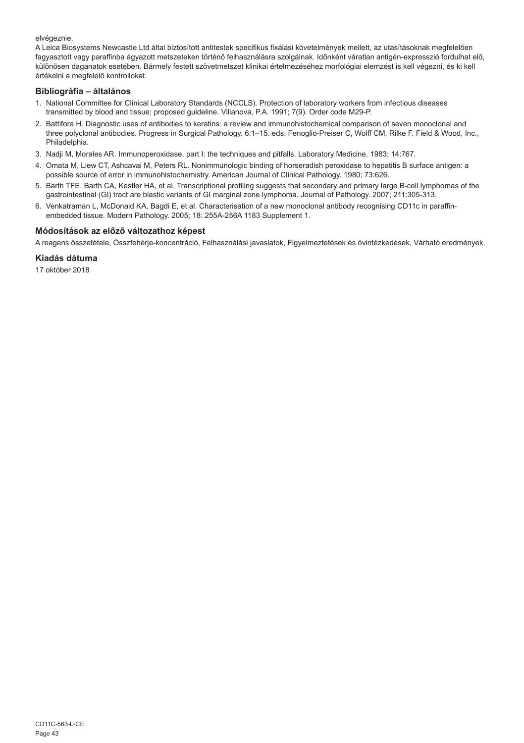elvégeznie.

A Leica Biosystems Newcastle Ltd által biztosított antitestek specifikus fixálási követelmények mellett, az utasításoknak megfelelően fagyasztott vagy paraffinba ágyazott metszeteken történő felhasználásra szolgálnak. Időnként váratlan antigén-expresszió fordulhat elő, különösen daganatok esetében. Bármely festett szövetmetszet klinikai értelmezéséhez morfológiai elemzést is kell végezni, és ki kell értékelni a megfelelő kontrollokat.

# **Bibliográfia – általános**

- 1. National Committee for Clinical Laboratory Standards (NCCLS). Protection of laboratory workers from infectious diseases transmitted by blood and tissue; proposed guideline. Villanova, P.A. 1991; 7(9). Order code M29-P.
- 2. Battifora H. Diagnostic uses of antibodies to keratins: a review and immunohistochemical comparison of seven monoclonal and three polyclonal antibodies. Progress in Surgical Pathology. 6:1–15. eds. Fenoglio-Preiser C, Wolff CM, Rilke F. Field & Wood, Inc., Philadelphia.
- 3. Nadji M, Morales AR. Immunoperoxidase, part I: the techniques and pitfalls. Laboratory Medicine. 1983; 14:767.
- 4. Omata M, Liew CT, Ashcavai M, Peters RL. Nonimmunologic binding of horseradish peroxidase to hepatitis B surface antigen: a possible source of error in immunohistochemistry. American Journal of Clinical Pathology. 1980; 73:626.
- 5. Barth TFE, Barth CA, Kestler HA, et al. Transcriptional profiling suggests that secondary and primary large B-cell lymphomas of the gastrointestinal (GI) tract are blastic variants of GI marginal zone lymphoma. Journal of Pathology. 2007; 211:305-313.
- 6. Venkatraman L, McDonald KA, Bagdi E, et al. Characterisation of a new monoclonal antibody recognising CD11c in paraffinembedded tissue. Modern Pathology. 2005; 18: 255A-256A 1183 Supplement 1.

# **Módosítások az előző változathoz képest**

A reagens összetétele, Összfehérje-koncentráció, Felhasználási javaslatok, Figyelmeztetések és óvintézkedések, Várható eredmények.

# **Kiadás dátuma**

17 október 2018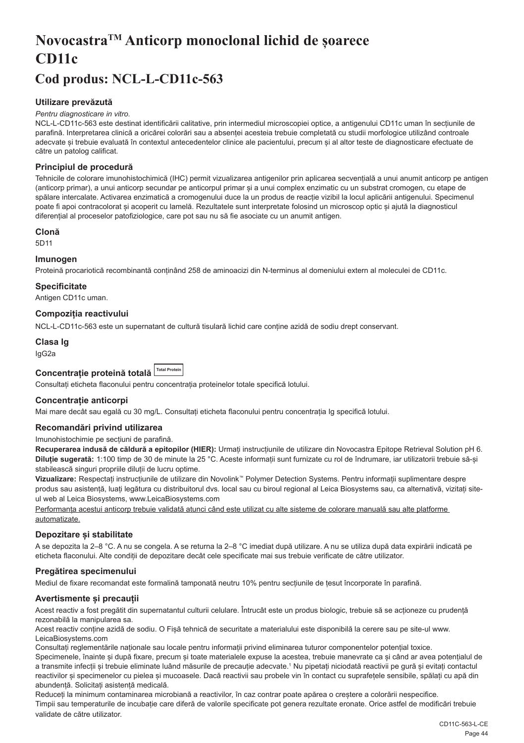# <span id="page-44-0"></span>**NovocastraTM Anticorp monoclonal lichid de șoarece CD11c**

# **Cod produs: NCL-L-CD11c-563**

# **Utilizare prevăzută**

#### *Pentru diagnosticare in vitro.*

NCL-L-CD11c-563 este destinat identificării calitative, prin intermediul microscopiei optice, a antigenului CD11c uman în secțiunile de parafină. Interpretarea clinică a oricărei colorări sau a absenței acesteia trebuie completată cu studii morfologice utilizând controale adecvate și trebuie evaluată în contextul antecedentelor clinice ale pacientului, precum și al altor teste de diagnosticare efectuate de către un patolog calificat.

#### **Principiul de procedură**

Tehnicile de colorare imunohistochimică (IHC) permit vizualizarea antigenilor prin aplicarea secvențială a unui anumit anticorp pe antigen (anticorp primar), a unui anticorp secundar pe anticorpul primar și a unui complex enzimatic cu un substrat cromogen, cu etape de spălare intercalate. Activarea enzimatică a cromogenului duce la un produs de reacție vizibil la locul aplicării antigenului. Specimenul poate fi apoi contracolorat și acoperit cu lamelă. Rezultatele sunt interpretate folosind un microscop optic și ajută la diagnosticul diferențial al proceselor patofiziologice, care pot sau nu să fie asociate cu un anumit antigen.

# **Clonă**

5D11

#### **Imunogen**

Proteină procariotică recombinantă conținând 258 de aminoacizi din N-terminus al domeniului extern al moleculei de CD11c.

#### **Specificitate**

Antigen CD11c uman.

# **Compoziția reactivului**

NCL-L-CD11c-563 este un supernatant de cultură tisulară lichid care conține azidă de sodiu drept conservant.

# **Clasa Ig**

IgG2a

| Concentrație proteină totală Total Protein |  |
|--------------------------------------------|--|
|                                            |  |

Consultați eticheta flaconului pentru concentrația proteinelor totale specifică lotului.

#### **Concentrație anticorpi**

Mai mare decât sau egală cu 30 mg/L. Consultați eticheta flaconului pentru concentrația Ig specifică lotului.

# **Recomandări privind utilizarea**

Imunohistochimie pe secțiuni de parafină.

**Recuperarea indusă de căldură a epitopilor (HIER):** Urmați instrucțiunile de utilizare din Novocastra Epitope Retrieval Solution pH 6. **Diluție sugerată:** 1:100 timp de 30 de minute la 25 °C. Aceste informații sunt furnizate cu rol de îndrumare, iar utilizatorii trebuie să-și stabilească singuri propriile diluții de lucru optime.

**Vizualizare:** Respectați instrucțiunile de utilizare din Novolink™ Polymer Detection Systems. Pentru informații suplimentare despre produs sau asistență, luați legătura cu distribuitorul dvs. local sau cu biroul regional al Leica Biosystems sau, ca alternativă, vizitați siteul web al Leica Biosystems, www.LeicaBiosystems.com

Performanța acestui anticorp trebuie validată atunci când este utilizat cu alte sisteme de colorare manuală sau alte platforme automatizate.

# **Depozitare și stabilitate**

A se depozita la 2–8 °C. A nu se congela. A se returna la 2–8 °C imediat după utilizare. A nu se utiliza după data expirării indicată pe eticheta flaconului. Alte condiții de depozitare decât cele specificate mai sus trebuie verificate de către utilizator.

#### **Pregătirea specimenului**

Mediul de fixare recomandat este formalină tamponată neutru 10% pentru secțiunile de țesut încorporate în parafină.

# **Avertismente și precauții**

Acest reactiv a fost pregătit din supernatantul culturii celulare. Întrucât este un produs biologic, trebuie să se actioneze cu prudentă rezonabilă la manipularea sa.

Acest reactiv conține azidă de sodiu. O Fișă tehnică de securitate a materialului este disponibilă la cerere sau pe site-ul www. LeicaBiosystems.com

Consultați reglementările naționale sau locale pentru informații privind eliminarea tuturor componentelor potențial toxice.

Specimenele, înainte și după fixare, precum și toate materialele expuse la acestea, trebuie manevrate ca și când ar avea potențialul de a transmite infecții și trebuie eliminate luând măsurile de precauție adecvate.1 Nu pipetați niciodată reactivii pe gură și evitați contactul reactivilor și specimenelor cu pielea și mucoasele. Dacă reactivii sau probele vin în contact cu suprafețele sensibile, spălați cu apă din abundență. Solicitați asistență medicală.

Reduceți la minimum contaminarea microbiană a reactivilor, în caz contrar poate apărea o creștere a colorării nespecifice. Timpii sau temperaturile de incubație care diferă de valorile specificate pot genera rezultate eronate. Orice astfel de modificări trebuie validate de către utilizator.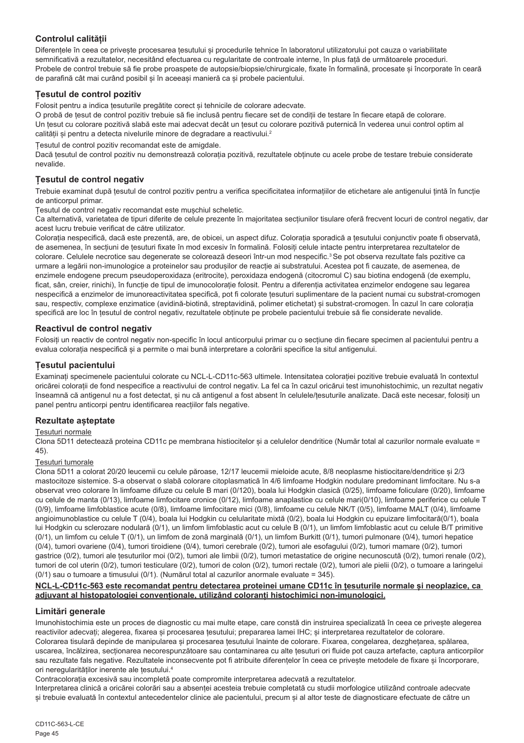# **Controlul calității**

Diferențele în ceea ce privește procesarea țesutului și procedurile tehnice în laboratorul utilizatorului pot cauza o variabilitate semnificativă a rezultatelor, necesitând efectuarea cu regularitate de controale interne, în plus față de următoarele proceduri. Probele de control trebuie să fie probe proaspete de autopsie/biopsie/chirurgicale, fixate în formalină, procesate și încorporate în ceară de parafină cât mai curând posibil și în aceeași manieră ca și probele pacientului.

# **Țesutul de control pozitiv**

Folosit pentru a indica țesuturile pregătite corect și tehnicile de colorare adecvate.

O probă de țesut de control pozitiv trebuie să fie inclusă pentru fiecare set de condiții de testare în fiecare etapă de colorare. Un țesut cu colorare pozitivă slabă este mai adecvat decât un țesut cu colorare pozitivă puternică în vederea unui control optim al calității și pentru a detecta nivelurile minore de degradare a reactivului.<sup>2</sup>

Țesutul de control pozitiv recomandat este de amigdale.

Dacă țesutul de control pozitiv nu demonstrează colorația pozitivă, rezultatele obținute cu acele probe de testare trebuie considerate nevalide.

# **Țesutul de control negativ**

Trebuie examinat după țesutul de control pozitiv pentru a verifica specificitatea informațiilor de etichetare ale antigenului țintă în funcție de anticorpul primar.

Țesutul de control negativ recomandat este mușchiul scheletic.

Ca alternativă, varietatea de tipuri diferite de celule prezente în majoritatea secțiunilor tisulare oferă frecvent locuri de control negativ, dar acest lucru trebuie verificat de către utilizator.

Colorația nespecifică, dacă este prezentă, are, de obicei, un aspect difuz. Colorația sporadică a țesutului conjunctiv poate fi observată, de asemenea, în secțiuni de țesuturi fixate în mod excesiv în formalină. Folosiți celule intacte pentru interpretarea rezultatelor de colorare. Celulele necrotice sau degenerate se colorează deseori într-un mod nespecific.<sup>3</sup> Se pot observa rezultate fals pozitive ca urmare a legării non-imunologice a proteinelor sau produșilor de reacție ai substratului. Acestea pot fi cauzate, de asemenea, de enzimele endogene precum pseudoperoxidaza (eritrocite), peroxidaza endogenă (citocromul C) sau biotina endogenă (de exemplu, ficat, sân, creier, rinichi), în funcție de tipul de imunocolorație folosit. Pentru a diferenția activitatea enzimelor endogene sau legarea nespecifică a enzimelor de imunoreactivitatea specifică, pot fi colorate tesuturi suplimentare de la pacient numai cu substrat-cromogen sau, respectiv, complexe enzimatice (avidină-biotină, streptavidină, polimer etichetat) și substrat-cromogen. În cazul în care colorația specifică are loc în țesutul de control negativ, rezultatele obținute pe probele pacientului trebuie să fie considerate nevalide.

# **Reactivul de control negativ**

Folosiți un reactiv de control negativ non-specific în locul anticorpului primar cu o secțiune din fiecare specimen al pacientului pentru a evalua colorația nespecifică și a permite o mai bună interpretare a colorării specifice la situl antigenului.

# **Țesutul pacientului**

Examinați specimenele pacientului colorate cu NCL-L-CD11c-563 ultimele. Intensitatea colorației pozitive trebuie evaluată în contextul oricărei colorații de fond nespecifice a reactivului de control negativ. La fel ca în cazul oricărui test imunohistochimic, un rezultat negativ înseamnă că antigenul nu a fost detectat, și nu că antigenul a fost absent în celulele/țesuturile analizate. Dacă este necesar, folosiți un panel pentru anticorpi pentru identificarea reacțiilor fals negative.

# **Rezultate așteptate**

# Țesuturi normale

Clona 5D11 detectează proteina CD11c pe membrana histiocitelor și a celulelor dendritice (Număr total al cazurilor normale evaluate = 45).

# Țesuturi tumorale

Clona 5D11 a colorat 20/20 leucemii cu celule păroase, 12/17 leucemii mieloide acute, 8/8 neoplasme histiocitare/dendritice și 2/3 mastocitoze sistemice. S-a observat o slabă colorare citoplasmatică în 4/6 limfoame Hodgkin nodulare predominant limfocitare. Nu s-a observat vreo colorare în limfoame difuze cu celule B mari (0/120), boala lui Hodgkin clasică (0/25), limfoame foliculare (0/20), limfoame cu celule de manta (0/13), limfoame limfocitare cronice (0/12), limfoame anaplastice cu celule mari(0/10), limfoame periferice cu celule T (0/9), limfoame limfoblastice acute (0/8), limfoame limfocitare mici (0/8), limfoame cu celule NK/T (0/5), limfoame MALT (0/4), limfoame angioimunoblastice cu celule T (0/4), boala lui Hodgkin cu celularitate mixtă (0/2), boala lui Hodgkin cu epuizare limfocitară(0/1), boala lui Hodgkin cu sclerozare nodulară (0/1), un limfom limfoblastic acut cu celule B (0/1), un limfom limfoblastic acut cu celule B/T primitive (0/1), un limfom cu celule T (0/1), un limfom de zonă marginală (0/1), un limfom Burkitt (0/1), tumori pulmonare (0/4), tumori hepatice (0/4), tumori ovariene (0/4), tumori tiroidiene (0/4), tumori cerebrale (0/2), tumori ale esofagului (0/2), tumori mamare (0/2), tumori gastrice (0/2), tumori ale țesuturilor moi (0/2), tumori ale limbii (0/2), tumori metastatice de origine necunoscută (0/2), tumori renale (0/2), tumori de col uterin (0/2), tumori testiculare (0/2), tumori de colon (0/2), tumori rectale (0/2), tumori ale pielii (0/2), o tumoare a laringelui (0/1) sau o tumoare a timusului (0/1). (Numărul total al cazurilor anormale evaluate = 345).

#### **NCL-L-CD11c-563 este recomandat pentru detectarea proteinei umane CD11c în țesuturile normale și neoplazice, ca adjuvant al histopatologiei convenționale, utilizând coloranți histochimici non-imunologici.**

# **Limitări generale**

Imunohistochimia este un proces de diagnostic cu mai multe etape, care constă din instruirea specializată în ceea ce privește alegerea reactivilor adecvați; alegerea, fixarea și procesarea țesutului; prepararea lamei IHC; și interpretarea rezultatelor de colorare. Colorarea tisulară depinde de manipularea și procesarea tesutului înainte de colorare. Fixarea, congelarea, dezghetarea, spălarea, uscarea, încălzirea, secționarea necorespunzătoare sau contaminarea cu alte țesuturi ori fluide pot cauza artefacte, captura anticorpilor sau rezultate fals negative. Rezultatele inconsecvente pot fi atribuite diferentelor în ceea ce privește metodele de fixare și încorporare. ori neregularităților inerente ale țesutului.4

Contracolorația excesivă sau incompletă poate compromite interpretarea adecvată a rezultatelor.

Interpretarea clinică a oricărei colorări sau a absenței acesteia trebuie completată cu studii morfologice utilizând controale adecvate și trebuie evaluată în contextul antecedentelor clinice ale pacientului, precum și al altor teste de diagnosticare efectuate de către un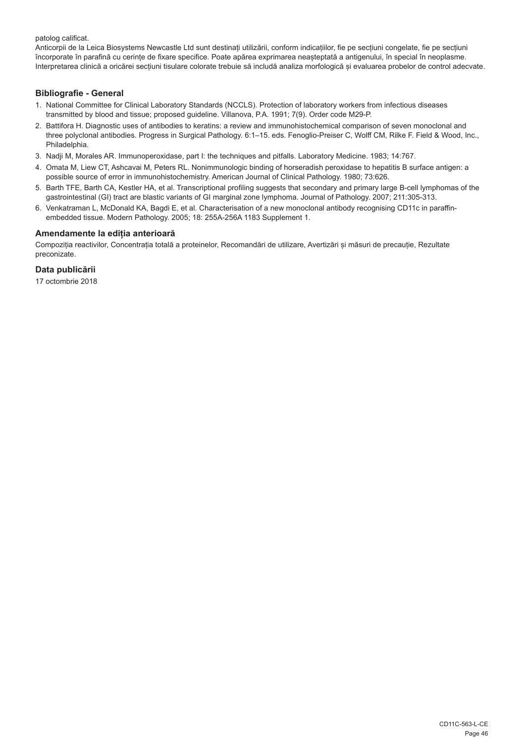patolog calificat.

Anticorpii de la Leica Biosystems Newcastle Ltd sunt destinați utilizării, conform indicațiilor, fie pe secțiuni congelate, fie pe secțiuni încorporate în parafină cu cerințe de fixare specifice. Poate apărea exprimarea neașteptată a antigenului, în special în neoplasme. Interpretarea clinică a oricărei secțiuni tisulare colorate trebuie să includă analiza morfologică și evaluarea probelor de control adecvate.

# **Bibliografie - General**

- 1. National Committee for Clinical Laboratory Standards (NCCLS). Protection of laboratory workers from infectious diseases transmitted by blood and tissue; proposed guideline. Villanova, P.A. 1991; 7(9). Order code M29-P.
- 2. Battifora H. Diagnostic uses of antibodies to keratins: a review and immunohistochemical comparison of seven monoclonal and three polyclonal antibodies. Progress in Surgical Pathology. 6:1–15. eds. Fenoglio-Preiser C, Wolff CM, Rilke F. Field & Wood, Inc., Philadelphia.
- 3. Nadji M, Morales AR. Immunoperoxidase, part I: the techniques and pitfalls. Laboratory Medicine. 1983; 14:767.
- 4. Omata M, Liew CT, Ashcavai M, Peters RL. Nonimmunologic binding of horseradish peroxidase to hepatitis B surface antigen: a possible source of error in immunohistochemistry. American Journal of Clinical Pathology. 1980; 73:626.
- 5. Barth TFE, Barth CA, Kestler HA, et al. Transcriptional profiling suggests that secondary and primary large B-cell lymphomas of the gastrointestinal (GI) tract are blastic variants of GI marginal zone lymphoma. Journal of Pathology. 2007; 211:305-313.
- 6. Venkatraman L, McDonald KA, Bagdi E, et al. Characterisation of a new monoclonal antibody recognising CD11c in paraffinembedded tissue. Modern Pathology. 2005; 18: 255A-256A 1183 Supplement 1.

#### **Amendamente la ediția anterioară**

Compoziția reactivilor, Concentrația totală a proteinelor, Recomandări de utilizare, Avertizări și măsuri de precauție, Rezultate preconizate.

# **Data publicării**

17 octombrie 2018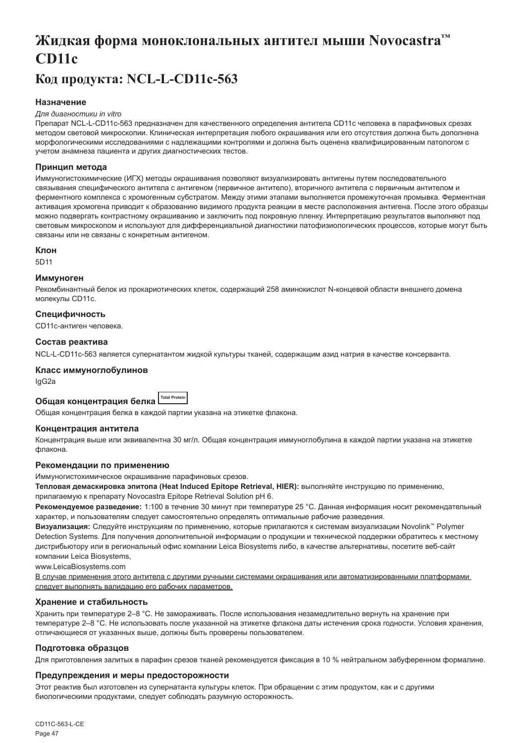# <span id="page-47-0"></span>**Жидкая форма моноклональных антител мыши Novocastra™ CD11c**

# **Код продукта: NCL-L-CD11c-563**

# **Назначение**

#### *Для диагностики in vitro*

Препарат NCL-L-CD11c-563 предназначен для качественного определения антитела CD11c человека в парафиновых срезах методом световой микроскопии. Клиническая интерпретация любого окрашивания или его отсутствия должна быть дополнена морфологическими исследованиями с надлежащими контролями и должна быть оценена квалифицированным патологом с учетом анамнеза пациента и других диагностических тестов.

#### **Принцип метода**

Иммуногистохимические (ИГХ) методы окрашивания позволяют визуализировать антигены путем последовательного связывания специфического антитела с антигеном (первичное антитело), вторичного антитела с первичным антителом и ферментного комплекса с хромогенным субстратом. Между этими этапами выполняется промежуточная промывка. Ферментная активация хромогена приводит к образованию видимого продукта реакции в месте расположения антигена. После этого образцы можно подвергать контрастному окрашиванию и заключить под покровную пленку. Интерпретацию результатов выполняют под световым микроскопом и используют для дифференциальной диагностики патофизиологических процессов, которые могут быть связаны или не связаны с конкретным антигеном.

# **Клон**

5D11

#### **Иммуноген**

Рекомбинантный белок из прокариотических клеток, содержащий 258 аминокислот N-концевой области внешнего домена молекулы CD11c.

#### **Специфичность**

CD11c-антиген человека.

#### **Состав реактива**

NCL-L-CD11c-563 является супернатантом жидкой культуры тканей, содержащим азид натрия в качестве консерванта.

#### **Класс иммуноглобулинов**

IgG2a

# **Общая концентрация белка Total Protein**

Общая концентрация белка в каждой партии указана на этикетке флакона.

#### **Концентрация антитела**

Концентрация выше или эквивалентна 30 мг/л. Общая концентрация иммуноглобулина в каждой партии указана на этикетке флакона.

#### **Рекомендации по применению**

Иммуногистохимическое окрашивание парафиновых срезов.

**Тепловая демаскировка эпитопа (Heat Induced Epitope Retrieval, HIER):** выполняйте инструкцию по применению,

прилагаемую к препарату Novocastra Epitope Retrieval Solution pH 6.

**Рекомендуемое разведение:** 1:100 в течение 30 минут при температуре 25 °C. Данная информация носит рекомендательный характер, и пользователям следует самостоятельно определять оптимальные рабочие разведения.

**Визуализация:** Следуйте инструкциям по применению, которые прилагаются к системам визуализации Novolink™ Polymer Detection Systems. Для получения дополнительной информации о продукции и технической поддержки обратитесь к местному дистрибьютору или в региональный офис компании Leica Biosystems либо, в качестве альтернативы, посетите веб-сайт компании Leica Biosystems,

www.LeicaBiosystems.com

В случае применения этого антитела с другими ручными системами окрашивания или автоматизированными платформами следует выполнять валидацию его рабочих параметров.

#### **Хранение и стабильность**

Хранить при температуре 2–8 °C. Не замораживать. После использования незамедлительно вернуть на хранение при температуре 2–8 °C. Не использовать после указанной на этикетке флакона даты истечения срока годности. Условия хранения, отличающиеся от указанных выше, должны быть проверены пользователем.

#### **Подготовка образцов**

Для приготовления залитых в парафин срезов тканей рекомендуется фиксация в 10 % нейтральном забуференном формалине.

#### **Предупреждения и меры предосторожности**

Этот реактив был изготовлен из супернатанта культуры клеток. При обращении с этим продуктом, как и с другими биологическими продуктами, следует соблюдать разумную осторожность.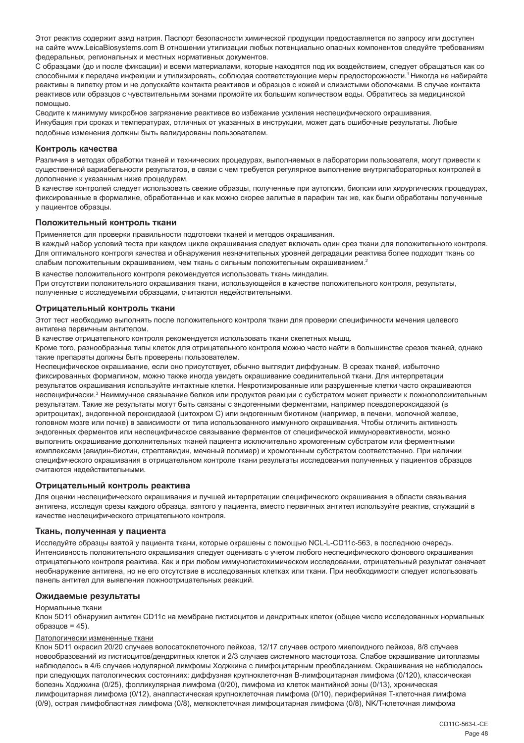Этот реактив содержит азид натрия. Паспорт безопасности химической продукции предоставляется по запросу или доступен на сайте www.LeicaBiosystems.com В отношении утилизации любых потенциально опасных компонентов следуйте требованиям федеральных, региональных и местных нормативных документов.

С образцами (до и после фиксации) и всеми материалами, которые находятся под их воздействием, следует обращаться как со способными к передаче инфекции и утилизировать, соблюдая соответствующие меры предосторожности.<sup>1</sup>Никогда не набирайте реактивы в пипетку ртом и не допускайте контакта реактивов и образцов с кожей и слизистыми оболочками. В случае контакта реактивов или образцов с чувствительными зонами промойте их большим количеством воды. Обратитесь за медицинской помощью.

Сводите к минимуму микробное загрязнение реактивов во избежание усиления неспецифического окрашивания. Инкубация при сроках и температурах, отличных от указанных в инструкции, может дать ошибочные результаты. Любые подобные изменения должны быть валидированы пользователем.

#### **Контроль качества**

Различия в методах обработки тканей и технических процедурах, выполняемых в лаборатории пользователя, могут привести к существенной вариабельности результатов, в связи с чем требуется регулярное выполнение внутрилабораторных контролей в дополнение к указанным ниже процедурам.

В качестве контролей следует использовать свежие образцы, полученные при аутопсии, биопсии или хирургических процедурах, фиксированные в формалине, обработанные и как можно скорее залитые в парафин так же, как были обработаны полученные у пациентов образцы.

#### **Положительный контроль ткани**

Применяется для проверки правильности подготовки тканей и методов окрашивания.

В каждый набор условий теста при каждом цикле окрашивания следует включать один срез ткани для положительного контроля. Для оптимального контроля качества и обнаружения незначительных уровней деградации реактива более подходит ткань со слабым положительным окрашиванием, чем ткань с сильным положительным окрашиванием.<sup>2</sup>

В качестве положительного контроля рекомендуется использовать ткань миндалин.

При отсутствии положительного окрашивания ткани, использующейся в качестве положительного контроля, результаты, полученные с исследуемыми образцами, считаются недействительными.

#### **Отрицательный контроль ткани**

Этот тест необходимо выполнять после положительного контроля ткани для проверки специфичности мечения целевого антигена первичным антителом.

В качестве отрицательного контроля рекомендуется использовать ткани скелетных мышц.

Кроме того, разнообразные типы клеток для отрицательного контроля можно часто найти в большинстве срезов тканей, однако такие препараты должны быть проверены пользователем.

Неспецифическое окрашивание, если оно присутствует, обычно выглядит диффузным. В срезах тканей, избыточно фиксированных формалином, можно также иногда увидеть окрашивание соединительной ткани. Для интерпретации результатов окрашивания используйте интактные клетки. Некротизированные или разрушенные клетки часто окрашиваются неспецифически.<sup>з</sup> Неиммунное связывание белков или продуктов реакции с субстратом может привести к ложноположительным результатам. Такие же результаты могут быть связаны с эндогенными ферментами, например псевдопероксидазой (в эритроцитах), эндогенной пероксидазой (цитохром C) или эндогенным биотином (например, в печени, молочной железе, головном мозге или почке) в зависимости от типа использованного иммунного окрашивания. Чтобы отличить активность эндогенных ферментов или неспецифическое связывание ферментов от специфической иммунореактивности, можно выполнить окрашивание дополнительных тканей пациента исключительно хромогенным субстратом или ферментными комплексами (авидин-биотин, стрептавидин, меченый полимер) и хромогенным субстратом соответственно. При наличии специфического окрашивания в отрицательном контроле ткани результаты исследования полученных у пациентов образцов считаются недействительными.

#### **Отрицательный контроль реактива**

Для оценки неспецифического окрашивания и лучшей интерпретации специфического окрашивания в области связывания антигена, исследуя срезы каждого образца, взятого у пациента, вместо первичных антител используйте реактив, служащий в качестве неспецифического отрицательного контроля.

#### **Ткань, полученная у пациента**

Исследуйте образцы взятой у пациента ткани, которые окрашены с помощью NCL-L-CD11c-563, в последнюю очередь. Интенсивность положительного окрашивания следует оценивать с учетом любого неспецифического фонового окрашивания отрицательного контроля реактива. Как и при любом иммуногистохимическом исследовании, отрицательный результат означает необнаружение антигена, но не его отсутствие в исследованных клетках или ткани. При необходимости следует использовать панель антител для выявления ложноотрицательных реакций.

#### **Ожидаемые результаты**

#### Нормальные ткани

Клон 5D11 обнаружил антиген CD11c на мембране гистиоцитов и дендритных клеток (общее число исследованных нормальных образцов = 45).

# Патологически измененные ткани

Клон 5D11 окрасил 20/20 случаев волосатоклеточного лейкоза, 12/17 случаев острого миелоидного лейкоза, 8/8 случаев новообразований из гистиоцитов/дендритных клеток и 2/3 случаев системного мастоцитоза. Слабое окрашивание цитоплазмы наблюдалось в 4/6 случаев нодулярной лимфомы Ходжкина с лимфоцитарным преобладанием. Окрашивания не наблюдалось при следующих патологических состояниях: диффузная крупноклеточная В-лимфоцитарная лимфома (0/120), классическая болезнь Ходжкина (0/25), фолликулярная лимфома (0/20), лимфома из клеток мантийной зоны (0/13), хроническая лимфоцитарная лимфома (0/12), анапластическая крупноклеточная лимфома (0/10), периферийная T-клеточная лимфома (0/9), острая лимфобластная лимфома (0/8), мелкоклеточная лимфоцитарная лимфома (0/8), NK/T-клеточная лимфома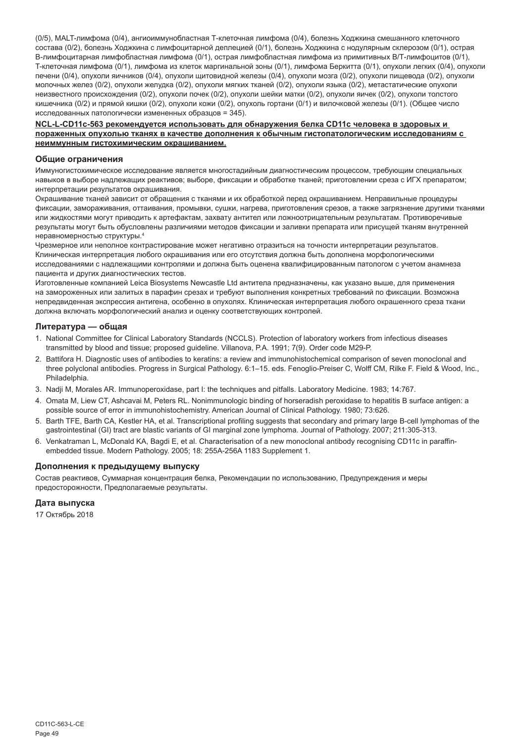(0/5), MALT-лимфома (0/4), ангиоиммунобластная Т-клеточная лимфома (0/4), болезнь Ходжкина смешанного клеточного состава (0/2), болезнь Ходжкина с лимфоцитарной деплецией (0/1), болезнь Ходжкина с нодулярным склерозом (0/1), острая В-лимфоцитарная лимфобластная лимфома (0/1), острая лимфобластная лимфома из примитивных В/Т-лимфоцитов (0/1), T-клеточная лимфома (0/1), лимфома из клеток маргинальной зоны (0/1), лимфома Беркитта (0/1), опухоли легких (0/4), опухоли печени (0/4), опухоли яичников (0/4), опухоли щитовидной железы (0/4), опухоли мозга (0/2), опухоли пищевода (0/2), опухоли молочных желез (0/2), опухоли желудка (0/2), опухоли мягких тканей (0/2), опухоли языка (0/2), метастатические опухоли неизвестного происхождения (0/2), опухоли почек (0/2), опухоли шейки матки (0/2), опухоли яичек (0/2), опухоли толстого кишечника (0/2) и прямой кишки (0/2), опухоли кожи (0/2), опухоль гортани (0/1) и вилочковой железы (0/1). (Общее число исследованных патологически измененных образцов = 345).

#### **NCL-L-CD11c-563 рекомендуется использовать для обнаружения белка CD11c человека в здоровых и пораженных опухолью тканях в качестве дополнения к обычным гистопатологическим исследованиям с неиммунным гистохимическим окрашиванием.**

#### **Общие ограничения**

Иммуногистохимическое исследование является многостадийным диагностическим процессом, требующим специальных навыков в выборе надлежащих реактивов; выборе, фиксации и обработке тканей; приготовлении среза с ИГХ препаратом; интерпретации результатов окрашивания.

Окрашивание тканей зависит от обращения с тканями и их обработкой перед окрашиванием. Неправильные процедуры фиксации, замораживания, оттаивания, промывки, сушки, нагрева, приготовления срезов, а также загрязнение другими тканями или жидкостями могут приводить к артефактам, захвату антител или ложноотрицательным результатам. Противоречивые результаты могут быть обусловлены различиями методов фиксации и заливки препарата или присущей тканям внутренней неравномерностью структуры.4

Чрезмерное или неполное контрастирование может негативно отразиться на точности интерпретации результатов. Клиническая интерпретация любого окрашивания или его отсутствия должна быть дополнена морфологическими исследованиями с надлежащими контролями и должна быть оценена квалифицированным патологом с учетом анамнеза пациента и других диагностических тестов.

Изготовленные компанией Leica Biosystems Newcastle Ltd антитела предназначены, как указано выше, для применения на замороженных или залитых в парафин срезах и требуют выполнения конкретных требований по фиксации. Возможна непредвиденная экспрессия антигена, особенно в опухолях. Клиническая интерпретация любого окрашенного среза ткани должна включать морфологический анализ и оценку соответствующих контролей.

#### **Литература — общая**

- 1. National Committee for Clinical Laboratory Standards (NCCLS). Protection of laboratory workers from infectious diseases transmitted by blood and tissue; proposed guideline. Villanova, P.A. 1991; 7(9). Order code M29-P.
- 2. Battifora H. Diagnostic uses of antibodies to keratins: a review and immunohistochemical comparison of seven monoclonal and three polyclonal antibodies. Progress in Surgical Pathology. 6:1–15. eds. Fenoglio-Preiser C, Wolff CM, Rilke F. Field & Wood, Inc., Philadelphia.
- 3. Nadji M, Morales AR. Immunoperoxidase, part I: the techniques and pitfalls. Laboratory Medicine. 1983; 14:767.
- 4. Omata M, Liew CT, Ashcavai M, Peters RL. Nonimmunologic binding of horseradish peroxidase to hepatitis B surface antigen: a possible source of error in immunohistochemistry. American Journal of Clinical Pathology. 1980; 73:626.
- 5. Barth TFE, Barth CA, Kestler HA, et al. Transcriptional profiling suggests that secondary and primary large B-cell lymphomas of the gastrointestinal (GI) tract are blastic variants of GI marginal zone lymphoma. Journal of Pathology. 2007; 211:305-313.
- 6. Venkatraman L, McDonald KA, Bagdi E, et al. Characterisation of a new monoclonal antibody recognising CD11c in paraffinembedded tissue. Modern Pathology. 2005; 18: 255A-256A 1183 Supplement 1.

# **Дополнения к предыдущему выпуску**

Состав реактивов, Суммарная концентрация белка, Рекомендации по использованию, Предупреждения и меры предосторожности, Предполагаемые результаты.

# **Дата выпуска**

17 Октябрь 2018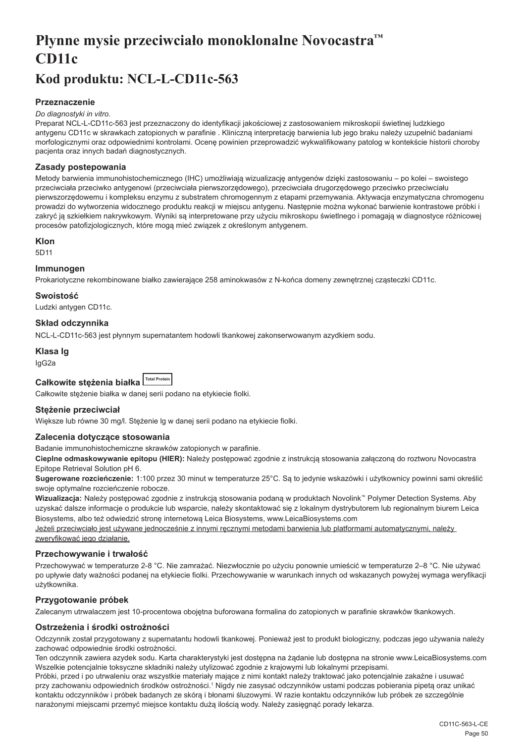# <span id="page-50-0"></span>**Płynne mysie przeciwciało monoklonalne Novocastra™ CD11c**

# **Kod produktu: NCL-L-CD11c-563**

# **Przeznaczenie**

#### *Do diagnostyki in vitro.*

Preparat NCL-L-CD11c-563 jest przeznaczony do identyfikacji jakościowej z zastosowaniem mikroskopii świetlnej ludzkiego antygenu CD11c w skrawkach zatopionych w parafinie . Kliniczną interpretację barwienia lub jego braku należy uzupełnić badaniami morfologicznymi oraz odpowiednimi kontrolami. Ocenę powinien przeprowadzić wykwalifikowany patolog w kontekście historii choroby pacjenta oraz innych badań diagnostycznych.

#### **Zasady postepowania**

Metody barwienia immunohistochemicznego (IHC) umożliwiają wizualizację antygenów dzięki zastosowaniu – po kolei – swoistego przeciwciała przeciwko antygenowi (przeciwciała pierwszorzędowego), przeciwciała drugorzędowego przeciwko przeciwciału pierwszorzędowemu i kompleksu enzymu z substratem chromogennym z etapami przemywania. Aktywacja enzymatyczna chromogenu prowadzi do wytworzenia widocznego produktu reakcji w miejscu antygenu. Następnie można wykonać barwienie kontrastowe próbki i zakryć ją szkiełkiem nakrywkowym. Wyniki są interpretowane przy użyciu mikroskopu świetlnego i pomagają w diagnostyce różnicowej procesów patofizjologicznych, które mogą mieć związek z określonym antygenem.

#### **Klon**

5D11

#### **Immunogen**

Prokariotyczne rekombinowane białko zawierające 258 aminokwasów z N-końca domeny zewnętrznej cząsteczki CD11c.

# **Swoistość**

Ludzki antygen CD11c.

# **Skład odczynnika**

NCL-L-CD11c-563 jest płynnym supernatantem hodowli tkankowej zakonserwowanym azydkiem sodu.

# **Klasa Ig**

IgG2a

| Całkowite steżenia białka Total Protein |  |
|-----------------------------------------|--|

Całkowite stężenie białka w danej serii podano na etykiecie fiolki.

# **Stężenie przeciwciał**

Większe lub równe 30 mg/l. Stężenie lg w danej serii podano na etykiecie fiolki.

# **Zalecenia dotyczące stosowania**

Badanie immunohistochemiczne skrawków zatopionych w parafinie.

**Cieplne odmaskowywanie epitopu (HIER):** Należy postępować zgodnie z instrukcją stosowania załączoną do roztworu Novocastra Epitope Retrieval Solution pH 6.

**Sugerowane rozcieńczenie:** 1:100 przez 30 minut w temperaturze 25°C. Są to jedynie wskazówki i użytkownicy powinni sami określić swoje optymalne rozcieńczenie robocze.

**Wizualizacja:** Należy postępować zgodnie z instrukcją stosowania podaną w produktach Novolink™ Polymer Detection Systems. Aby uzyskać dalsze informacje o produkcie lub wsparcie, należy skontaktować się z lokalnym dystrybutorem lub regionalnym biurem Leica Biosystems, albo też odwiedzić stronę internetową Leica Biosystems, www.LeicaBiosystems.com

Jeżeli przeciwciało jest używane jednocześnie z innymi ręcznymi metodami barwienia lub platformami automatycznymi, należy zweryfikować jego działanie.

#### **Przechowywanie i trwałość**

Przechowywać w temperaturze 2-8 °C. Nie zamrażać. Niezwłocznie po użyciu ponownie umieścić w temperaturze 2–8 °C. Nie używać po upływie daty ważności podanej na etykiecie fiolki. Przechowywanie w warunkach innych od wskazanych powyżej wymaga weryfikacji użytkownika.

# **Przygotowanie próbek**

Zalecanym utrwalaczem jest 10-procentowa obojętna buforowana formalina do zatopionych w parafinie skrawków tkankowych.

# **Ostrzeżenia i środki ostrożności**

Odczynnik został przygotowany z supernatantu hodowli tkankowej. Ponieważ jest to produkt biologiczny, podczas jego używania należy zachować odpowiednie środki ostrożności.

Ten odczynnik zawiera azydek sodu. Karta charakterystyki jest dostępna na żądanie lub dostępna na stronie www.LeicaBiosystems.com Wszelkie potencjalnie toksyczne składniki należy utylizować zgodnie z krajowymi lub lokalnymi przepisami.

Próbki, przed i po utrwaleniu oraz wszystkie materiały mające z nimi kontakt należy traktować jako potencjalnie zakaźne i usuwać przy zachowaniu odpowiednich środków ostrożności.1 Nigdy nie zasysać odczynników ustami podczas pobierania pipetą oraz unikać kontaktu odczynników i próbek badanych ze skórą i błonami śluzowymi. W razie kontaktu odczynników lub próbek ze szczególnie narażonymi miejscami przemyć miejsce kontaktu dużą ilością wody. Należy zasięgnąć porady lekarza.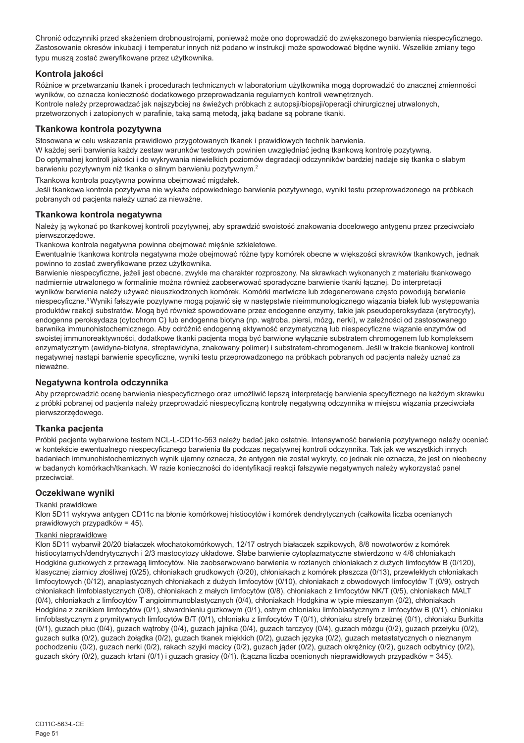Chronić odczynniki przed skażeniem drobnoustrojami, ponieważ może ono doprowadzić do zwiększonego barwienia niespecyficznego. Zastosowanie okresów inkubacji i temperatur innych niż podano w instrukcji może spowodować błędne wyniki. Wszelkie zmiany tego typu muszą zostać zweryfikowane przez użytkownika.

### **Kontrola jakości**

Różnice w przetwarzaniu tkanek i procedurach technicznych w laboratorium użytkownika mogą doprowadzić do znacznej zmienności wyników, co oznacza konieczność dodatkowego przeprowadzania regularnych kontroli wewnętrznych. Kontrole należy przeprowadzać jak najszybciej na świeżych próbkach z autopsji/biopsji/operacji chirurgicznej utrwalonych, przetworzonych i zatopionych w parafinie, taką samą metodą, jaką badane są pobrane tkanki.

#### **Tkankowa kontrola pozytywna**

Stosowana w celu wskazania prawidłowo przygotowanych tkanek i prawidłowych technik barwienia.

W każdej serii barwienia każdy zestaw warunków testowych powinien uwzględniać jedną tkankową kontrolę pozytywną. Do optymalnej kontroli jakości i do wykrywania niewielkich poziomów degradacji odczynników bardziej nadaje się tkanka o słabym barwieniu pozytywnym niż tkanka o silnym barwieniu pozytywnym.<sup>2</sup>

Tkankowa kontrola pozytywna powinna obejmować migdałek.

Jeśli tkankowa kontrola pozytywna nie wykaże odpowiedniego barwienia pozytywnego, wyniki testu przeprowadzonego na próbkach pobranych od pacjenta należy uznać za nieważne.

#### **Tkankowa kontrola negatywna**

Należy ją wykonać po tkankowej kontroli pozytywnej, aby sprawdzić swoistość znakowania docelowego antygenu przez przeciwciało pierwszorzędowe.

Tkankowa kontrola negatywna powinna obejmować mięśnie szkieletowe.

Ewentualnie tkankowa kontrola negatywna może obejmować różne typy komórek obecne w większości skrawków tkankowych, jednak powinno to zostać zweryfikowane przez użytkownika.

Barwienie niespecyficzne, jeżeli jest obecne, zwykle ma charakter rozproszony. Na skrawkach wykonanych z materiału tkankowego nadmiernie utrwalonego w formalinie można również zaobserwować sporadyczne barwienie tkanki łącznej. Do interpretacji wyników barwienia należy używać nieuszkodzonych komórek. Komórki martwicze lub zdegenerowane często powodują barwienie niespecyficzne.<sup>3</sup>Wyniki fałszywie pozytywne mogą pojawić się w następstwie nieimmunologicznego wiązania białek lub występowania produktów reakcji substratów. Mogą być również spowodowane przez endogenne enzymy, takie jak pseudoperoksydaza (erytrocyty), endogenna peroksydaza (cytochrom C) lub endogenna biotyna (np. wątroba, piersi, mózg, nerki), w zależności od zastosowanego barwnika immunohistochemicznego. Aby odróżnić endogenną aktywność enzymatyczną lub niespecyficzne wiązanie enzymów od swoistej immunoreaktywności, dodatkowe tkanki pacjenta mogą być barwione wyłącznie substratem chromogenem lub kompleksem enzymatycznym (awidyna-biotyna, streptawidyna, znakowany polimer) i substratem-chromogenem. Jeśli w trakcie tkankowej kontroli negatywnej nastąpi barwienie specyficzne, wyniki testu przeprowadzonego na próbkach pobranych od pacjenta należy uznać za nieważne.

# **Negatywna kontrola odczynnika**

Aby przeprowadzić ocenę barwienia niespecyficznego oraz umożliwić lepszą interpretację barwienia specyficznego na każdym skrawku z próbki pobranej od pacjenta należy przeprowadzić niespecyficzną kontrolę negatywną odczynnika w miejscu wiązania przeciwciała pierwszorzędowego.

#### **Tkanka pacjenta**

Próbki pacjenta wybarwione testem NCL-L-CD11c-563 należy badać jako ostatnie. Intensywność barwienia pozytywnego należy oceniać w kontekście ewentualnego niespecyficznego barwienia tła podczas negatywnej kontroli odczynnika. Tak jak we wszystkich innych badaniach immunohistochemicznych wynik ujemny oznacza, że antygen nie został wykryty, co jednak nie oznacza, że jest on nieobecny w badanych komórkach/tkankach. W razie konieczności do identyfikacji reakcji fałszywie negatywnych należy wykorzystać panel przeciwciał.

# **Oczekiwane wyniki**

#### Tkanki prawidłowe

Klon 5D11 wykrywa antygen CD11c na błonie komórkowej histiocytów i komórek dendrytycznych (całkowita liczba ocenianych prawidłowych przypadków = 45).

#### Tkanki nieprawidłowe

Klon 5D11 wybarwił 20/20 białaczek włochatokomórkowych, 12/17 ostrych białaczek szpikowych, 8/8 nowotworów z komórek histiocytarnych/dendrytycznych i 2/3 mastocytozy układowe. Słabe barwienie cytoplazmatyczne stwierdzono w 4/6 chłoniakach Hodgkina guzkowych z przewagą limfocytów. Nie zaobserwowano barwienia w rozlanych chłoniakach z dużych limfocytów B (0/120), klasycznej ziarnicy złośliwej (0/25), chłoniakach grudkowych (0/20), chłoniakach z komórek płaszcza (0/13), przewlekłych chłoniakach limfocytowych (0/12), anaplastycznych chłoniakach z dużych limfocytów (0/10), chłoniakach z obwodowych limfocytów T (0/9), ostrych chłoniakach limfoblastycznych (0/8), chłoniakach z małych limfocytów (0/8), chłoniakach z limfocytów NK/T (0/5), chłoniakach MALT (0/4), chłoniakach z limfocytów T angioimmunoblastycznych (0/4), chłoniakach Hodgkina w typie mieszanym (0/2), chłoniakach Hodgkina z zanikiem limfocytów (0/1), stwardnieniu guzkowym (0/1), ostrym chłoniaku limfoblastycznym z limfocytów B (0/1), chłoniaku limfoblastycznym z prymitywnych limfocytów B/T (0/1), chłoniaku z limfocytów T (0/1), chłoniaku strefy brzeżnej (0/1), chłoniaku Burkitta (0/1), guzach płuc (0/4), guzach wątroby (0/4), guzach jajnika (0/4), guzach tarczycy (0/4), guzach mózgu (0/2), guzach przełyku (0/2), guzach sutka (0/2), guzach żołądka (0/2), guzach tkanek miękkich (0/2), guzach języka (0/2), guzach metastatycznych o nieznanym pochodzeniu (0/2), guzach nerki (0/2), rakach szyjki macicy (0/2), guzach jąder (0/2), guzach okrężnicy (0/2), guzach odbytnicy (0/2), guzach skóry (0/2), guzach krtani (0/1) i guzach grasicy (0/1). (Łączna liczba ocenionych nieprawidłowych przypadków = 345).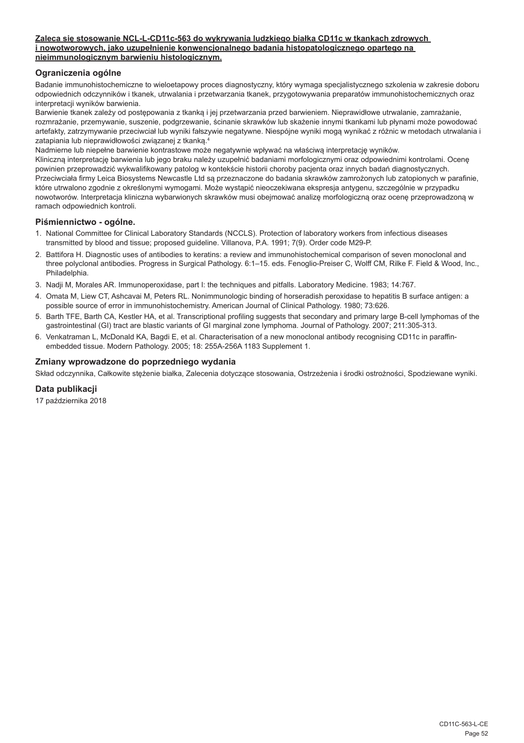#### **Zaleca się stosowanie NCL-L-CD11c-563 do wykrywania ludzkiego białka CD11c w tkankach zdrowych i nowotworowych, jako uzupełnienie konwencjonalnego badania histopatologicznego opartego na nieimmunologicznym barwieniu histologicznym.**

# **Ograniczenia ogólne**

Badanie immunohistochemiczne to wieloetapowy proces diagnostyczny, który wymaga specjalistycznego szkolenia w zakresie doboru odpowiednich odczynników i tkanek, utrwalania i przetwarzania tkanek, przygotowywania preparatów immunohistochemicznych oraz interpretacji wyników barwienia.

Barwienie tkanek zależy od postępowania z tkanką i jej przetwarzania przed barwieniem. Nieprawidłowe utrwalanie, zamrażanie, rozmrażanie, przemywanie, suszenie, podgrzewanie, ścinanie skrawków lub skażenie innymi tkankami lub płynami może powodować artefakty, zatrzymywanie przeciwciał lub wyniki fałszywie negatywne. Niespójne wyniki mogą wynikać z różnic w metodach utrwalania i zatapiania lub nieprawidłowości związanej z tkanką.4

Nadmierne lub niepełne barwienie kontrastowe może negatywnie wpływać na właściwą interpretację wyników. Kliniczną interpretację barwienia lub jego braku należy uzupełnić badaniami morfologicznymi oraz odpowiednimi kontrolami. Ocenę powinien przeprowadzić wykwalifikowany patolog w kontekście historii choroby pacjenta oraz innych badań diagnostycznych. Przeciwciała firmy Leica Biosystems Newcastle Ltd są przeznaczone do badania skrawków zamrożonych lub zatopionych w parafinie, które utrwalono zgodnie z określonymi wymogami. Może wystąpić nieoczekiwana ekspresja antygenu, szczególnie w przypadku nowotworów. Interpretacja kliniczna wybarwionych skrawków musi obejmować analizę morfologiczną oraz ocenę przeprowadzoną w ramach odpowiednich kontroli.

# **Piśmiennictwo - ogólne.**

- 1. National Committee for Clinical Laboratory Standards (NCCLS). Protection of laboratory workers from infectious diseases transmitted by blood and tissue; proposed guideline. Villanova, P.A. 1991; 7(9). Order code M29-P.
- 2. Battifora H. Diagnostic uses of antibodies to keratins: a review and immunohistochemical comparison of seven monoclonal and three polyclonal antibodies. Progress in Surgical Pathology. 6:1–15. eds. Fenoglio-Preiser C, Wolff CM, Rilke F. Field & Wood, Inc., Philadelphia.
- 3. Nadji M, Morales AR. Immunoperoxidase, part I: the techniques and pitfalls. Laboratory Medicine. 1983; 14:767.
- 4. Omata M, Liew CT, Ashcavai M, Peters RL. Nonimmunologic binding of horseradish peroxidase to hepatitis B surface antigen: a possible source of error in immunohistochemistry. American Journal of Clinical Pathology. 1980; 73:626.
- 5. Barth TFE, Barth CA, Kestler HA, et al. Transcriptional profiling suggests that secondary and primary large B-cell lymphomas of the gastrointestinal (GI) tract are blastic variants of GI marginal zone lymphoma. Journal of Pathology. 2007; 211:305-313.
- 6. Venkatraman L, McDonald KA, Bagdi E, et al. Characterisation of a new monoclonal antibody recognising CD11c in paraffinembedded tissue. Modern Pathology. 2005; 18: 255A-256A 1183 Supplement 1.

# **Zmiany wprowadzone do poprzedniego wydania**

Skład odczynnika, Całkowite stężenie białka, Zalecenia dotyczące stosowania, Ostrzeżenia i środki ostrożności, Spodziewane wyniki.

# **Data publikacji**

17 października 2018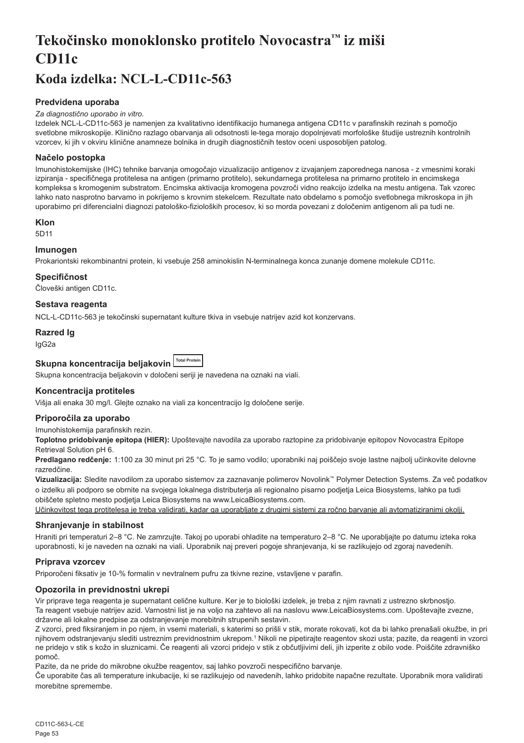# <span id="page-53-0"></span>**Tekočinsko monoklonsko protitelo Novocastra™ iz miši CD11c**

# **Koda izdelka: NCL-L-CD11c-563**

# **Predvidena uporaba**

#### *Za diagnostično uporabo in vitro.*

Izdelek NCL-L-CD11c-563 je namenjen za kvalitativno identifikacijo humanega antigena CD11c v parafinskih rezinah s pomočjo svetlobne mikroskopije. Klinično razlago obarvanja ali odsotnosti le-tega morajo dopolnjevati morfološke študije ustreznih kontrolnih vzorcev, ki jih v okviru klinične anamneze bolnika in drugih diagnostičnih testov oceni usposobljen patolog.

# **Načelo postopka**

Imunohistokemijske (IHC) tehnike barvanja omogočajo vizualizacijo antigenov z izvajanjem zaporednega nanosa - z vmesnimi koraki izpiranja - specifičnega protitelesa na antigen (primarno protitelo), sekundarnega protitelesa na primarno protitelo in encimskega kompleksa s kromogenim substratom. Encimska aktivacija kromogena povzroči vidno reakcijo izdelka na mestu antigena. Tak vzorec lahko nato nasprotno barvamo in pokrijemo s krovnim stekelcem. Rezultate nato obdelamo s pomočjo svetlobnega mikroskopa in jih uporabimo pri diferencialni diagnozi patološko-fizioloških procesov, ki so morda povezani z določenim antigenom ali pa tudi ne.

# **Klon**

5D11

# **Imunogen**

Prokariontski rekombinantni protein, ki vsebuje 258 aminokislin N-terminalnega konca zunanje domene molekule CD11c.

#### **Specifičnost**

Človeški antigen CD11c.

# **Sestava reagenta**

NCL-L-CD11c-563 je tekočinski supernatant kulture tkiva in vsebuje natrijev azid kot konzervans.

#### **Razred Ig**

IgG2a

# Skupna koncentracija beljakovin **ITOtal Protein**

Skupna koncentracija beljakovin v določeni seriji je navedena na oznaki na viali.

# **Koncentracija protiteles**

Višja ali enaka 30 mg/l. Glejte oznako na viali za koncentracijo Ig določene serije.

# **Priporočila za uporabo**

Imunohistokemija parafinskih rezin.

**Toplotno pridobivanje epitopa (HIER):** Upoštevajte navodila za uporabo raztopine za pridobivanje epitopov Novocastra Epitope Retrieval Solution pH 6.

**Predlagano redčenje:** 1:100 za 30 minut pri 25 °C. To je samo vodilo; uporabniki naj poiščejo svoje lastne najbolj učinkovite delovne razredčine.

**Vizualizacija:** Sledite navodilom za uporabo sistemov za zaznavanje polimerov Novolink™ Polymer Detection Systems. Za več podatkov o izdelku ali podporo se obrnite na svojega lokalnega distributerja ali regionalno pisarno podjetja Leica Biosystems, lahko pa tudi obiščete spletno mesto podjetja Leica Biosystems na www.LeicaBiosystems.com.

Učinkovitost tega protitelesa je treba validirati, kadar ga uporabljate z drugimi sistemi za ročno barvanje ali avtomatiziranimi okolji.

# **Shranjevanje in stabilnost**

Hraniti pri temperaturi 2–8 °C. Ne zamrzujte. Takoj po uporabi ohladite na temperaturo 2–8 °C. Ne uporabljajte po datumu izteka roka uporabnosti, ki je naveden na oznaki na viali. Uporabnik naj preveri pogoje shranjevanja, ki se razlikujejo od zgoraj navedenih.

# **Priprava vzorcev**

Priporočeni fiksativ je 10-% formalin v nevtralnem pufru za tkivne rezine, vstavljene v parafin.

# **Opozorila in previdnostni ukrepi**

Vir priprave tega reagenta je supernatant celične kulture. Ker je to biološki izdelek, je treba z njim ravnati z ustrezno skrbnostjo. Ta reagent vsebuje natrijev azid. Varnostni list je na voljo na zahtevo ali na naslovu www.LeicaBiosystems.com. Upoštevajte zvezne, državne ali lokalne predpise za odstranjevanje morebitnih strupenih sestavin.

Z vzorci, pred fiksiranjem in po njem, in vsemi materiali, s katerimi so prišli v stik, morate rokovati, kot da bi lahko prenašali okužbe, in pri njihovem odstranjevanju slediti ustreznim previdnostnim ukrepom.1 Nikoli ne pipetirajte reagentov skozi usta; pazite, da reagenti in vzorci ne pridejo v stik s kožo in sluznicami. Če reagenti ali vzorci pridejo v stik z občutljivimi deli, jih izperite z obilo vode. Poiščite zdravniško pomoč.

Pazite, da ne pride do mikrobne okužbe reagentov, saj lahko povzroči nespecifično barvanje.

Če uporabite čas ali temperature inkubacije, ki se razlikujejo od navedenih, lahko pridobite napačne rezultate. Uporabnik mora validirati morebitne spremembe.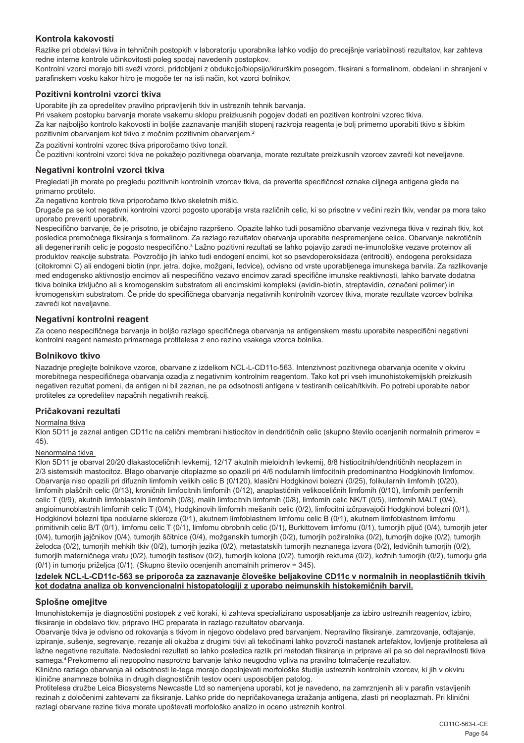# **Kontrola kakovosti**

Razlike pri obdelavi tkiva in tehničnih postopkih v laboratoriju uporabnika lahko vodijo do precejšnje variabilnosti rezultatov, kar zahteva redne interne kontrole učinkovitosti poleg spodaj navedenih postopkov.

Kontrolni vzorci morajo biti sveži vzorci, pridobljeni z obdukcijo/biopsijo/kirurškim posegom, fiksirani s formalinom, obdelani in shranjeni v parafinskem vosku kakor hitro je mogoče ter na isti način, kot vzorci bolnikov.

# **Pozitivni kontrolni vzorci tkiva**

Uporabite jih za opredelitev pravilno pripravljenih tkiv in ustreznih tehnik barvanja.

Pri vsakem postopku barvanja morate vsakemu sklopu preizkusnih pogojev dodati en pozitiven kontrolni vzorec tkiva. Za kar najboljšo kontrolo kakovosti in boljše zaznavanje manjših stopenj razkroja reagenta je bolj primerno uporabiti tkivo s šibkim pozitivnim obarvanjem kot tkivo z močnim pozitivnim obarvanjem.<sup>2</sup>

Za pozitivni kontrolni vzorec tkiva priporočamo tkivo tonzil.

Če pozitivni kontrolni vzorci tkiva ne pokažejo pozitivnega obarvanja, morate rezultate preizkusnih vzorcev zavreči kot neveljavne.

#### **Negativni kontrolni vzorci tkiva**

Pregledati jih morate po pregledu pozitivnih kontrolnih vzorcev tkiva, da preverite specifičnost oznake ciljnega antigena glede na primarno protitelo.

Za negativno kontrolo tkiva priporočamo tkivo skeletnih mišic.

Drugače pa se kot negativni kontrolni vzorci pogosto uporablja vrsta različnih celic, ki so prisotne v večini rezin tkiv, vendar pa mora tako uporabo preveriti uporabnik.

Nespecifično barvanje, če je prisotno, je običajno razpršeno. Opazite lahko tudi posamično obarvanje vezivnega tkiva v rezinah tkiv, kot posledica premočnega fiksiranja s formalinom. Za razlago rezultatov obarvanja uporabite nespremenjene celice. Obarvanje nekrotičnih ali degeneriranih celic je pogosto nespecifično.<sup>3</sup> Lažno pozitivni rezultati se lahko pojavijo zaradi ne-imunološke vezave proteinov ali produktov reakcije substrata. Povzročijo jih lahko tudi endogeni encimi, kot so psevdoperoksidaza (eritrociti), endogena peroksidaza (citokromni C) ali endogeni biotin (npr. jetra, dojke, možgani, ledvice), odvisno od vrste uporabljenega imunskega barvila. Za razlikovanje med endogensko aktivnostjo encimov ali nespecifično vezavo encimov zaradi specifične imunske reaktivnosti, lahko barvate dodatna tkiva bolnika izključno ali s kromogenskim substratom ali encimskimi kompleksi (avidin-biotin, streptavidin, označeni polimer) in kromogenskim substratom. Če pride do specifičnega obarvanja negativnih kontrolnih vzorcev tkiva, morate rezultate vzorcev bolnika zavreči kot neveljavne.

# **Negativni kontrolni reagent**

Za oceno nespecifičnega barvanja in boljšo razlago specifičnega obarvanja na antigenskem mestu uporabite nespecifični negativni kontrolni reagent namesto primarnega protitelesa z eno rezino vsakega vzorca bolnika.

#### **Bolnikovo tkivo**

Nazadnje preglejte bolnikove vzorce, obarvane z izdelkom NCL-L-CD11c-563. Intenzivnost pozitivnega obarvanja ocenite v okviru morebitnega nespecifičnega obarvanja ozadja z negativnim kontrolnim reagentom. Tako kot pri vseh imunohistokemijskih preizkusih negativen rezultat pomeni, da antigen ni bil zaznan, ne pa odsotnosti antigena v testiranih celicah/tkivih. Po potrebi uporabite nabor protiteles za opredelitev napačnih negativnih reakcij.

# **Pričakovani rezultati**

#### Normalna tkiva

Klon 5D11 je zaznal antigen CD11c na celični membrani histiocitov in dendritičnih celic (skupno število ocenjenih normalnih primerov = 45).

#### Nenormalna tkiva

Klon 5D11 je obarval 20/20 dlakastoceličnih levkemij, 12/17 akutnih mieloidnih levkemij, 8/8 histiocitnih/dendritičnih neoplazem in 2/3 sistemskih mastocitoz. Blago obarvanje citoplazme so opazili pri 4/6 nodularnih limfocitnih predominantno Hodgkinovih limfomov. Obarvanja niso opazili pri difuznih limfomih velikih celic B (0/120), klasični Hodgkinovi bolezni (0/25), folikularnih limfomih (0/20), limfomih plaščnih celic (0/13), kroničnih limfocitnih limfomih (0/12), anaplastičnih velikoceličnih limfomih (0/10), limfomih perifernih celic T (0/9), akutnih limfoblastnih limfomih (0/8), malih limfocitnih limfomih (0/8), limfomih celic NK/T (0/5), limfomih MALT (0/4), angioimunoblastnih limfomih celic T (0/4), Hodgkinovih limfomih mešanih celic (0/2), limfocitni izčrpavajoči Hodgkinovi bolezni (0/1), Hodgkinovi bolezni tipa nodularne skleroze (0/1), akutnem limfoblastnem limfomu celic B (0/1), akutnem limfoblastnem limfomu primitivnih celic B/T (0/1), limfomu celic T (0/1), limfomu obrobnih celic (0/1), Burkittovem limfomu (0/1), tumorjih pljuč (0/4), tumorjih jeter (0/4), tumorjih jajčnikov (0/4), tumorjih ščitnice (0/4), možganskih tumorjih (0/2), tumorjih požiralnika (0/2), tumorjih dojke (0/2), tumorjih želodca (0/2), tumorjih mehkih tkiv (0/2), tumorjih jezika (0/2), metastatskih tumorjih neznanega izvora (0/2), ledvičnih tumorjih (0/2), tumorjih materničnega vratu (0/2), tumorjih testisov (0/2), tumorjih kolona (0/2), tumorjih rektuma (0/2), kožnih tumorjih (0/2), tumorju grla (0/1) in tumorju priželjca (0/1). (Skupno število ocenjenih anomalnih primerov = 345).

#### **Izdelek NCL-L-CD11c-563 se priporoča za zaznavanje človeške beljakovine CD11c v normalnih in neoplastičnih tkivih kot dodatna analiza ob konvencionalni histopatologiji z uporabo neimunskih histokemičnih barvil.**

#### **Splošne omejitve**

Imunohistokemija je diagnostični postopek z več koraki, ki zahteva specializirano usposabljanje za izbiro ustreznih reagentov, izbiro, fiksiranje in obdelavo tkiv, pripravo IHC preparata in razlago rezultatov obarvanja.

Obarvanje tkiva je odvisno od rokovanja s tkivom in njegovo obdelavo pred barvanjem. Nepravilno fiksiranje, zamrzovanje, odtajanje, izpiranje, sušenje, segrevanje, rezanje ali okužba z drugimi tkivi ali tekočinami lahko povzroči nastanek artefaktov, lovljenje protitelesa ali lažne negativne rezultate. Nedosledni rezultati so lahko posledica razlik pri metodah fiksiranja in priprave ali pa so del nepravilnosti tkiva samega.4 Prekomerno ali nepopolno nasprotno barvanje lahko neugodno vpliva na pravilno tolmačenje rezultatov.

Klinično razlago obarvanja ali odsotnosti le-tega morajo dopolnjevati morfološke študije ustreznih kontrolnih vzorcev, ki jih v okviru klinične anamneze bolnika in drugih diagnostičnih testov oceni usposobljen patolog.

Protitelesa družbe Leica Biosystems Newcastle Ltd so namenjena uporabi, kot je navedeno, na zamrznjenih ali v parafin vstavljenih rezinah z določenimi zahtevami za fiksiranje. Lahko pride do nepričakovanega izražanja antigena, zlasti pri neoplazmah. Pri klinični razlagi obarvane rezine tkiva morate upoštevati morfološko analizo in oceno ustreznih kontrol.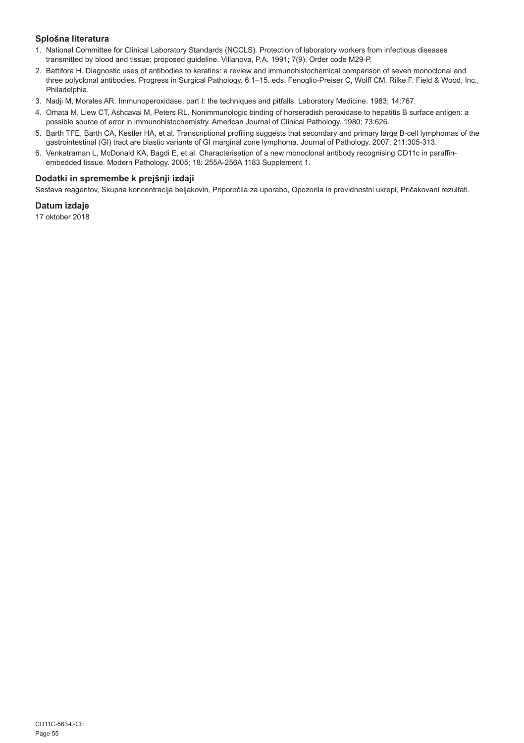# **Splošna literatura**

- 1. National Committee for Clinical Laboratory Standards (NCCLS). Protection of laboratory workers from infectious diseases transmitted by blood and tissue; proposed guideline. Villanova, P.A. 1991; 7(9). Order code M29-P.
- 2. Battifora H. Diagnostic uses of antibodies to keratins: a review and immunohistochemical comparison of seven monoclonal and three polyclonal antibodies. Progress in Surgical Pathology. 6:1–15. eds. Fenoglio-Preiser C, Wolff CM, Rilke F. Field & Wood, Inc., Philadelphia.
- 3. Nadji M, Morales AR. Immunoperoxidase, part I: the techniques and pitfalls. Laboratory Medicine. 1983; 14:767.
- 4. Omata M, Liew CT, Ashcavai M, Peters RL. Nonimmunologic binding of horseradish peroxidase to hepatitis B surface antigen: a possible source of error in immunohistochemistry. American Journal of Clinical Pathology. 1980; 73:626.
- 5. Barth TFE, Barth CA, Kestler HA, et al. Transcriptional profiling suggests that secondary and primary large B-cell lymphomas of the gastrointestinal (GI) tract are blastic variants of GI marginal zone lymphoma. Journal of Pathology. 2007; 211:305-313.
- 6. Venkatraman L, McDonald KA, Bagdi E, et al. Characterisation of a new monoclonal antibody recognising CD11c in paraffinembedded tissue. Modern Pathology. 2005; 18: 255A-256A 1183 Supplement 1.

# **Dodatki in spremembe k prejšnji izdaji**

Sestava reagentov, Skupna koncentracija beljakovin, Priporočila za uporabo, Opozorila in previdnostni ukrepi, Pričakovani rezultati.

# **Datum izdaje**

17 oktober 2018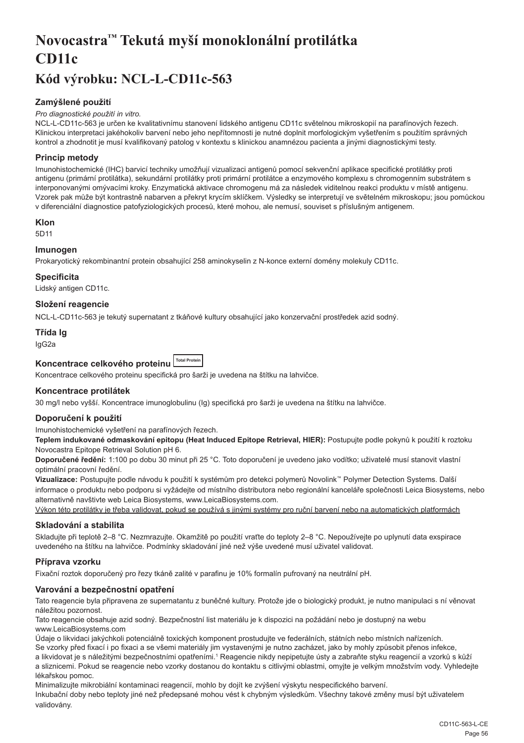# <span id="page-56-0"></span>**Novocastra™ Tekutá myší monoklonální protilátka CD11c**

# **Kód výrobku: NCL-L-CD11c-563**

# **Zamýšlené použití**

#### *Pro diagnostické použití in vitro.*

NCL-L-CD11c-563 je určen ke kvalitativnímu stanovení lidského antigenu CD11c světelnou mikroskopií na parafínových řezech. Klinickou interpretaci jakéhokoliv barvení nebo jeho nepřítomnosti je nutné doplnit morfologickým vyšetřením s použitím správných kontrol a zhodnotit je musí kvalifikovaný patolog v kontextu s klinickou anamnézou pacienta a jinými diagnostickými testy.

# **Princip metody**

Imunohistochemické (IHC) barvicí techniky umožňují vizualizaci antigenů pomocí sekvenční aplikace specifické protilátky proti antigenu (primární protilátka), sekundární protilátky proti primární protilátce a enzymového komplexu s chromogenním substrátem s interponovanými omývacími kroky. Enzymatická aktivace chromogenu má za následek viditelnou reakci produktu v místě antigenu. Vzorek pak může být kontrastně nabarven a překryt krycím sklíčkem. Výsledky se interpretují ve světelném mikroskopu; jsou pomůckou v diferenciální diagnostice patofyziologických procesů, které mohou, ale nemusí, souviset s příslušným antigenem.

# **Klon**

5D11

# **Imunogen**

Prokaryotický rekombinantní protein obsahující 258 aminokyselin z N-konce externí domény molekuly CD11c.

#### **Specificita**

Lidský antigen CD11c.

# **Složení reagencie**

NCL-L-CD11c-563 je tekutý supernatant z tkáňové kultury obsahující jako konzervační prostředek azid sodný.

# **Třída Ig**

IgG2a

# **Koncentrace celkového proteinu Total Protein**

Koncentrace celkového proteinu specifická pro šarži je uvedena na štítku na lahvičce.

# **Koncentrace protilátek**

30 mg/l nebo vyšší. Koncentrace imunoglobulinu (Ig) specifická pro šarži je uvedena na štítku na lahvičce.

# **Doporučení k použití**

Imunohistochemické vyšetření na parafínových řezech.

**Teplem indukované odmaskování epitopu (Heat Induced Epitope Retrieval, HIER):** Postupujte podle pokynů k použití k roztoku Novocastra Epitope Retrieval Solution pH 6.

**Doporučené ředění:** 1:100 po dobu 30 minut při 25 °C. Toto doporučení je uvedeno jako vodítko; uživatelé musí stanovit vlastní optimální pracovní ředění.

**Vizualizace:** Postupujte podle návodu k použití k systémům pro detekci polymerů Novolink™ Polymer Detection Systems. Další informace o produktu nebo podporu si vyžádejte od místního distributora nebo regionální kanceláře společnosti Leica Biosystems, nebo alternativně navštivte web Leica Biosystems, www.LeicaBiosystems.com.

Výkon této protilátky je třeba validovat, pokud se používá s jinými systémy pro ruční barvení nebo na automatických platformách

# **Skladování a stabilita**

Skladujte při teplotě 2–8 °C. Nezmrazujte. Okamžitě po použití vraťte do teploty 2–8 °C. Nepoužívejte po uplynutí data exspirace uvedeného na štítku na lahvičce. Podmínky skladování jiné než výše uvedené musí uživatel validovat.

# **Příprava vzorku**

Fixační roztok doporučený pro řezy tkáně zalité v parafinu je 10% formalín pufrovaný na neutrální pH.

# **Varování a bezpečnostní opatření**

Tato reagencie byla připravena ze supernatantu z buněčné kultury. Protože jde o biologický produkt, je nutno manipulaci s ní věnovat náležitou pozornost.

Tato reagencie obsahuje azid sodný. Bezpečnostní list materiálu je k dispozici na požádání nebo je dostupný na webu www.LeicaBiosystems.com

Údaje o likvidaci jakýchkoli potenciálně toxických komponent prostudujte ve federálních, státních nebo místních nařízeních. Se vzorky před fixací i po fixaci a se všemi materiály jim vystavenými je nutno zacházet, jako by mohly způsobit přenos infekce,

a likvidovat je s náležitými bezpečnostními opatřeními.1 Reagencie nikdy nepipetujte ústy a zabraňte styku reagencií a vzorků s kůží a sliznicemi. Pokud se reagencie nebo vzorky dostanou do kontaktu s citlivými oblastmi, omyjte je velkým množstvím vody. Vyhledejte lékařskou pomoc.

Minimalizujte mikrobiální kontaminaci reagencií, mohlo by dojít ke zvýšení výskytu nespecifického barvení.

Inkubační doby nebo teploty jiné než předepsané mohou vést k chybným výsledkům. Všechny takové změny musí být uživatelem validovány.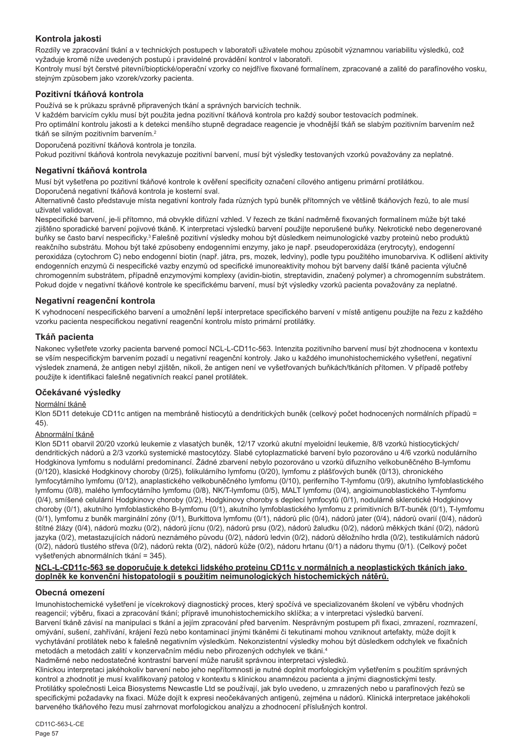# **Kontrola jakosti**

Rozdíly ve zpracování tkání a v technických postupech v laboratoři uživatele mohou způsobit významnou variabilitu výsledků, což vyžaduje kromě níže uvedených postupů i pravidelné provádění kontrol v laboratoři.

Kontroly musí být čerstvé pitevní/bioptické/operační vzorky co nejdříve fixované formalínem, zpracované a zalité do parafínového vosku, stejným způsobem jako vzorek/vzorky pacienta.

# **Pozitivní tkáňová kontrola**

Používá se k průkazu správně připravených tkání a správných barvicích technik.

V každém barvicím cyklu musí být použita jedna pozitivní tkáňová kontrola pro každý soubor testovacích podmínek.

Pro optimální kontrolu jakosti a k detekci menšího stupně degradace reagencie je vhodnější tkáň se slabým pozitivním barvením než tkáň se silným pozitivním barvením.<sup>2</sup>

Doporučená pozitivní tkáňová kontrola je tonzila.

Pokud pozitivní tkáňová kontrola nevykazuje pozitivní barvení, musí být výsledky testovaných vzorků považovány za neplatné.

# **Negativní tkáňová kontrola**

Musí být vyšetřena po pozitivní tkáňové kontrole k ověření specificity označení cílového antigenu primární protilátkou. Doporučená negativní tkáňová kontrola je kosterní sval.

Alternativně často představuje místa negativní kontroly řada různých typů buněk přítomných ve většině tkáňových řezů, to ale musí uživatel validovat.

Nespecifické barvení, je-li přítomno, má obvykle difúzní vzhled. V řezech ze tkání nadměrně fixovaných formalínem může být také zjištěno sporadické barvení pojivové tkáně. K interpretaci výsledků barvení použijte neporušené buňky. Nekrotické nebo degenerované buňky se často barví nespecificky.<sup>3</sup>Falešně pozitivní výsledky mohou být důsledkem neimunologické vazby proteinů nebo produktů reakčního substrátu. Mohou být také způsobeny endogenními enzymy, jako je např. pseudoperoxidáza (erytrocyty), endogenní peroxidáza (cytochrom C) nebo endogenní biotin (např. játra, prs, mozek, ledviny), podle typu použitého imunobarviva. K odlišení aktivity endogenních enzymů či nespecifické vazby enzymů od specifické imunoreaktivity mohou být barveny další tkáně pacienta výlučně chromogenním substrátem, případně enzymovými komplexy (avidin-biotin, streptavidin, značený polymer) a chromogenním substrátem. Pokud dojde v negativní tkáňové kontrole ke specifickému barvení, musí být výsledky vzorků pacienta považovány za neplatné.

# **Negativní reagenční kontrola**

K vyhodnocení nespecifického barvení a umožnění lepší interpretace specifického barvení v místě antigenu použijte na řezu z každého vzorku pacienta nespecifickou negativní reagenční kontrolu místo primární protilátky.

# **Tkáň pacienta**

Nakonec vyšetřete vzorky pacienta barvené pomocí NCL-L-CD11c-563. Intenzita pozitivního barvení musí být zhodnocena v kontextu se vším nespecifickým barvením pozadí u negativní reagenční kontroly. Jako u každého imunohistochemického vyšetření, negativní výsledek znamená, že antigen nebyl zjištěn, nikoli, že antigen není ve vyšetřovaných buňkách/tkáních přítomen. V případě potřeby použijte k identifikaci falešně negativních reakcí panel protilátek.

# **Očekávané výsledky**

# Normální tkáně

Klon 5D11 detekuje CD11c antigen na membráně histiocytů a dendritických buněk (celkový počet hodnocených normálních případů = 45).

# Abnormální tkáně

Klon 5D11 obarvil 20/20 vzorků leukemie z vlasatých buněk, 12/17 vzorků akutní myeloidní leukemie, 8/8 vzorků histiocytických/ dendritických nádorů a 2/3 vzorků systemické mastocytózy. Slabé cytoplazmatické barvení bylo pozorováno u 4/6 vzorků nodulárního Hodgkinova lymfomu s nodulární predominancí. Žádné zbarvení nebylo pozorováno u vzorků difuzního velkobuněčného B-lymfomu (0/120), klasické Hodgkinovy choroby (0/25), folikulárního lymfomu (0/20), lymfomu z plášťových buněk (0/13), chronického lymfocytárního lymfomu (0/12), anaplastického velkobuněčného lymfomu (0/10), periferního T-lymfomu (0/9), akutního lymfoblastického lymfomu (0/8), malého lymfocytárního lymfomu (0/8), NK/T-lymfomu (0/5), MALT lymfomu (0/4), angioimunoblastického T-lymfomu (0/4), smíšené celulární Hodgkinovy choroby (0/2), Hodgkinovy choroby s deplecí lymfocytů (0/1), nodulárně sklerotické Hodgkinovy choroby (0/1), akutního lymfoblastického B-lymfomu (0/1), akutního lymfoblastického lymfomu z primitivních B/T-buněk (0/1), T-lymfomu (0/1), lymfomu z buněk marginální zóny (0/1), Burkittova lymfomu (0/1), nádorů plic (0/4), nádorů jater (0/4), nádorů ovarií (0/4), nádorů štítné žlázy (0/4), nádorů mozku (0/2), nádorů jícnu (0/2), nádorů prsu (0/2), nádorů žaludku (0/2), nádorů měkkých tkání (0/2), nádorů jazyka (0/2), metastazujících nádorů neznámého původu (0/2), nádorů ledvin (0/2), nádorů děložního hrdla (0/2), testikulárních nádorů (0/2), nádorů tlustého střeva (0/2), nádorů rekta (0/2), nádorů kůže (0/2), nádoru hrtanu (0/1) a nádoru thymu (0/1). (Celkový počet vyšetřených abnormálních tkání = 345).

#### **NCL-L-CD11c-563 se doporučuje k detekci lidského proteinu CD11c v normálních a neoplastických tkáních jako doplněk ke konvenční histopatologii s použitím neimunologických histochemických nátěrů.**

# **Obecná omezení**

Imunohistochemické vyšetření je vícekrokový diagnostický proces, který spočívá ve specializovaném školení ve výběru vhodných reagencií; výběru, fixaci a zpracování tkání; přípravě imunohistochemickího sklíčka; a v interpretaci výsledků barvení. Barvení tkáně závisí na manipulaci s tkání a jejím zpracování před barvením. Nesprávným postupem při fixaci, zmrazení, rozmrazení, omývání, sušení, zahřívání, krájení řezů nebo kontaminací jinými tkáněmi či tekutinami mohou vzniknout artefakty, může dojít k vychytávání protilátek nebo k falešně negativním výsledkům. Nekonzistentní výsledky mohou být důsledkem odchylek ve fixačních metodách a metodách zalití v konzervačním médiu nebo přirozených odchylek ve tkáni.4

Nadměrné nebo nedostatečné kontrastní barvení může narušit správnou interpretaci výsledků.

Klinickou interpretaci jakéhokoliv barvení nebo jeho nepřítomnosti je nutné doplnit morfologickým vyšetřením s použitím správných kontrol a zhodnotit je musí kvalifikovaný patolog v kontextu s klinickou anamnézou pacienta a jinými diagnostickými testy. Protilátky společnosti Leica Biosystems Newcastle Ltd se používají, jak bylo uvedeno, u zmrazených nebo u parafínových řezů se specifickými požadavky na fixaci. Může dojít k expresi neočekávaných antigenů, zejména u nádorů. Klinická interpretace jakéhokoli barveného tkáňového řezu musí zahrnovat morfologickou analýzu a zhodnocení příslušných kontrol.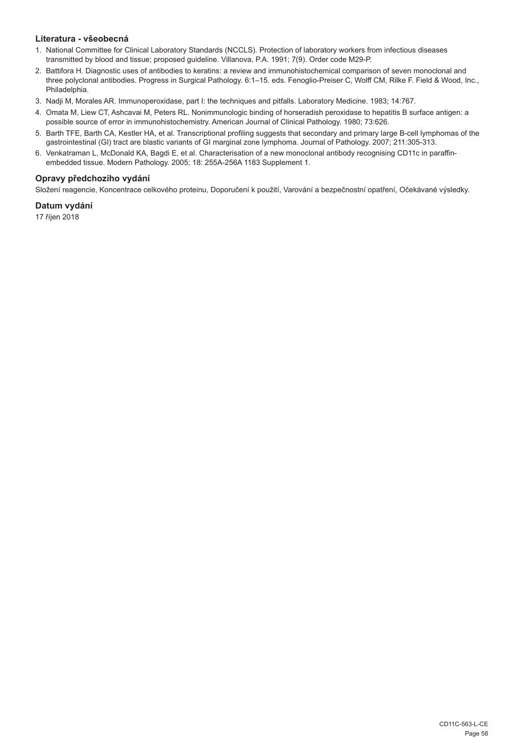# **Literatura - všeobecná**

- 1. National Committee for Clinical Laboratory Standards (NCCLS). Protection of laboratory workers from infectious diseases transmitted by blood and tissue; proposed guideline. Villanova, P.A. 1991; 7(9). Order code M29-P.
- 2. Battifora H. Diagnostic uses of antibodies to keratins: a review and immunohistochemical comparison of seven monoclonal and three polyclonal antibodies. Progress in Surgical Pathology. 6:1–15. eds. Fenoglio-Preiser C, Wolff CM, Rilke F. Field & Wood, Inc., Philadelphia.
- 3. Nadji M, Morales AR. Immunoperoxidase, part I: the techniques and pitfalls. Laboratory Medicine. 1983; 14:767.
- 4. Omata M, Liew CT, Ashcavai M, Peters RL. Nonimmunologic binding of horseradish peroxidase to hepatitis B surface antigen: a possible source of error in immunohistochemistry. American Journal of Clinical Pathology. 1980; 73:626.
- 5. Barth TFE, Barth CA, Kestler HA, et al. Transcriptional profiling suggests that secondary and primary large B-cell lymphomas of the gastrointestinal (GI) tract are blastic variants of GI marginal zone lymphoma. Journal of Pathology. 2007; 211:305-313.
- 6. Venkatraman L, McDonald KA, Bagdi E, et al. Characterisation of a new monoclonal antibody recognising CD11c in paraffinembedded tissue. Modern Pathology. 2005; 18: 255A-256A 1183 Supplement 1.

# **Opravy předchozího vydání**

Složení reagencie, Koncentrace celkového proteinu, Doporučení k použití, Varování a bezpečnostní opatření, Očekávané výsledky.

# **Datum vydání**

17 říjen 2018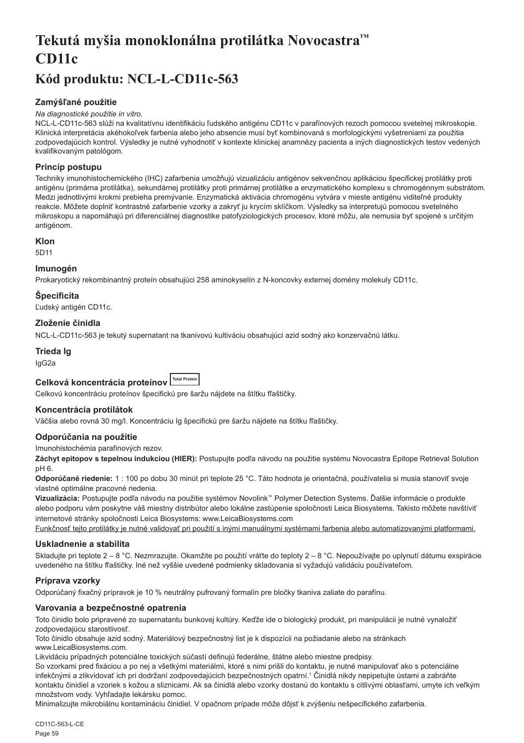# <span id="page-59-0"></span>**Tekutá myšia monoklonálna protilátka Novocastra™ CD11c**

# **Kód produktu: NCL-L-CD11c-563**

# **Zamýšľané použitie**

#### *Na diagnostické použitie in vitro.*

NCL-L-CD11c-563 slúži na kvalitatívnu identifikáciu ľudského antigénu CD11c v parafínových rezoch pomocou svetelnej mikroskopie. Klinická interpretácia akéhokoľvek farbenia alebo jeho absencie musí byť kombinovaná s morfologickými vyšetreniami za použitia zodpovedajúcich kontrol. Výsledky je nutné vyhodnotiť v kontexte klinickej anamnézy pacienta a iných diagnostických testov vedených kvalifikovaným patológom.

# **Princíp postupu**

Techniky imunohistochemického (IHC) zafarbenia umožňujú vizualizáciu antigénov sekvenčnou aplikáciou špecifickej protilátky proti antigénu (primárna protilátka), sekundárnej protilátky proti primárnej protilátke a enzymatického komplexu s chromogénnym substrátom. Medzi jednotlivými krokmi prebieha premývanie. Enzymatická aktivácia chromogénu vytvára v mieste antigénu viditeľné produkty reakcie. Môžete doplniť kontrastné zafarbenie vzorky a zakryť ju krycím sklíčkom. Výsledky sa interpretujú pomocou svetelného mikroskopu a napomáhajú pri diferenciálnej diagnostike patofyziologických procesov, ktoré môžu, ale nemusia byť spojené s určitým antigénom.

# **Klon**

5D11

# **Imunogén**

Prokaryotický rekombinantný proteín obsahujúci 258 aminokyselín z N-koncovky externej domény molekuly CD11c.

# **Špecificita**

Ľudský antigén CD11c.

# **Zloženie činidla**

NCL-L-CD11c-563 je tekutý supernatant na tkanivovú kultiváciu obsahujúci azid sodný ako konzervačnú látku.

# **Trieda Ig**

IgG2a

# Celková koncentrácia proteínov **ITotal Protein**

Celkovú koncentráciu proteínov špecifickú pre šaržu nájdete na štítku fľaštičky.

# **Koncentrácia protilátok**

Väčšia alebo rovná 30 mg/l. Koncentráciu Ig špecifickú pre šaržu nájdete na štítku fľaštičky.

# **Odporúčania na použitie**

Imunohistochémia parafínových rezov.

**Záchyt epitopov s tepelnou indukciou (HIER):** Postupujte podľa návodu na použitie systému Novocastra Epitope Retrieval Solution pH 6.

**Odporúčané riedenie:** 1 : 100 po dobu 30 minút pri teplote 25 °C. Táto hodnota je orientačná, používatelia si musia stanoviť svoje vlastné optimálne pracovné riedenia.

**Vizualizácia:** Postupujte podľa návodu na použitie systémov Novolink™ Polymer Detection Systems. Ďalšie informácie o produkte alebo podporu vám poskytne váš miestny distribútor alebo lokálne zastúpenie spoločnosti Leica Biosystems. Takisto môžete navštíviť internetové stránky spoločnosti Leica Biosystems: www.LeicaBiosystems.com

Funkčnosť tejto protilátky je nutné validovať pri použití s inými manuálnymi systémami farbenia alebo automatizovanými platformami.

# **Uskladnenie a stabilita**

Skladujte pri teplote 2 – 8 °C. Nezmrazujte. Okamžite po použití vráťte do teploty 2 – 8 °C. Nepoužívajte po uplynutí dátumu exspirácie uvedeného na štítku fľaštičky. Iné než vyššie uvedené podmienky skladovania si vyžadujú validáciu používateľom.

# **Príprava vzorky**

Odporúčaný fixačný prípravok je 10 % neutrálny pufrovaný formalín pre bločky tkaniva zaliate do parafínu.

# **Varovania a bezpečnostné opatrenia**

Toto činidlo bolo pripravené zo supernatantu bunkovej kultúry. Keďže ide o biologický produkt, pri manipulácii je nutné vynaložiť zodpovedajúcu starostlivosť.

Toto činidlo obsahuje azid sodný. Materiálový bezpečnostný list je k dispozícii na požiadanie alebo na stránkach www.LeicaBiosystems.com.

Likvidáciu prípadných potenciálne toxických súčastí definujú federálne, štátne alebo miestne predpisy.

So vzorkami pred fixáciou a po nej a všetkými materiálmi, ktoré s nimi prišli do kontaktu, je nutné manipulovať ako s potenciálne infekčnými a zlikvidovať ich pri dodržaní zodpovedajúcich bezpečnostných opatrní.<sup>1</sup> Činidlá nikdy nepipetujte ústami a zabráňte kontaktu činidiel a vzoriek s kožou a sliznicami. Ak sa činidlá alebo vzorky dostanú do kontaktu s citlivými oblasťami, umyte ich veľkým množstvom vody. Vyhľadajte lekársku pomoc.

Minimalizujte mikrobiálnu kontamináciu činidiel. V opačnom prípade môže dôjsť k zvýšeniu nešpecifického zafarbenia.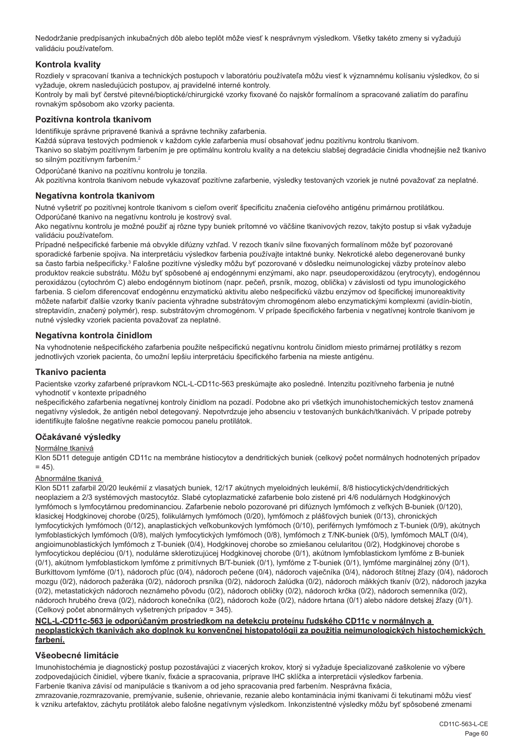Nedodržanie predpísaných inkubačných dôb alebo teplôt môže viesť k nesprávnym výsledkom. Všetky takéto zmeny si vyžadujú validáciu používateľom.

# **Kontrola kvality**

Rozdiely v spracovaní tkaniva a technických postupoch v laboratóriu používateľa môžu viesť k významnému kolísaniu výsledkov, čo si vyžaduje, okrem nasledujúcich postupov, aj pravidelné interné kontroly.

Kontroly by mali byť čerstvé pitevné/bioptické/chirurgické vzorky fixované čo najskôr formalínom a spracované zaliatím do parafínu rovnakým spôsobom ako vzorky pacienta.

# **Pozitívna kontrola tkanivom**

Identifikuje správne pripravené tkanivá a správne techniky zafarbenia.

Každá súprava testových podmienok v každom cykle zafarbenia musí obsahovať jednu pozitívnu kontrolu tkanivom.

Tkanivo so slabým pozitívnym farbením je pre optimálnu kontrolu kvality a na detekciu slabšej degradácie činidla vhodnejšie než tkanivo so silným pozitívnym farbením.<sup>2</sup>

Odporúčané tkanivo na pozitívnu kontrolu je tonzila.

Ak pozitívna kontrola tkanivom nebude vykazovať pozitívne zafarbenie, výsledky testovaných vzoriek je nutné považovať za neplatné.

#### **Negatívna kontrola tkanivom**

Nutné vyšetriť po pozitívnej kontrole tkanivom s cieľom overiť špecificitu značenia cieľového antigénu primárnou protilátkou. Odporúčané tkanivo na negatívnu kontrolu je kostrový sval.

Ako negatívnu kontrolu je možné použiť aj rôzne typy buniek prítomné vo väčšine tkanivových rezov, takýto postup si však vyžaduje validáciu používateľom.

Prípadné nešpecifické farbenie má obvykle difúzny vzhľad. V rezoch tkanív silne fixovaných formalínom môže byť pozorované sporadické farbenie spojiva. Na interpretáciu výsledkov farbenia používajte intaktné bunky. Nekrotické alebo degenerované bunky sa často farbia nešpecificky.<sup>3</sup> Falošne pozitívne výsledky môžu byť pozorované v dôsledku neimunologickej väzby proteínov alebo produktov reakcie substrátu. Môžu byť spôsobené aj endogénnymi enzýmami, ako napr. pseudoperoxidázou (erytrocyty), endogénnou peroxidázou (cytochróm C) alebo endogénnym biotínom (napr. pečeň, prsník, mozog, oblička) v závislosti od typu imunologického farbenia. S cieľom diferencovať endogénnu enzymatickú aktivitu alebo nešpecifickú väzbu enzýmov od špecifickej imunoreaktivity môžete nafarbiť ďalšie vzorky tkanív pacienta výhradne substrátovým chromogénom alebo enzymatickými komplexmi (avidín-biotín, streptavidín, značený polymér), resp. substrátovým chromogénom. V prípade špecifického farbenia v negatívnej kontrole tkanivom je nutné výsledky vzoriek pacienta považovať za neplatné.

#### **Negatívna kontrola činidlom**

Na vyhodnotenie nešpecifického zafarbenia použite nešpecifickú negatívnu kontrolu činidlom miesto primárnej protilátky s rezom jednotlivých vzoriek pacienta, čo umožní lepšiu interpretáciu špecifického farbenia na mieste antigénu.

#### **Tkanivo pacienta**

Pacientske vzorky zafarbené prípravkom NCL-L-CD11c-563 preskúmajte ako posledné. Intenzitu pozitívneho farbenia je nutné vyhodnotiť v kontexte prípadného

nešpecifického zafarbenia negatívnej kontroly činidlom na pozadí. Podobne ako pri všetkých imunohistochemických testov znamená negatívny výsledok, že antigén nebol detegovaný. Nepotvrdzuje jeho absenciu v testovaných bunkách/tkanivách. V prípade potreby identifikujte falošne negatívne reakcie pomocou panelu protilátok.

#### **Očakávané výsledky**

#### Normálne tkanivá

Klon 5D11 deteguje antigén CD11c na membráne histiocytov a dendritických buniek (celkový počet normálnych hodnotených prípadov  $= 45$ ).

#### Abnormálne tkanivá

Klon 5D11 zafarbil 20/20 leukémií z vlasatých buniek, 12/17 akútnych myeloidných leukémií, 8/8 histiocytických/dendritických neoplaziem a 2/3 systémových mastocytóz. Slabé cytoplazmatické zafarbenie bolo zistené pri 4/6 nodulárnych Hodgkinových lymfómoch s lymfocytárnou predominanciou. Zafarbenie nebolo pozorované pri difúznych lymfómoch z veľkých B-buniek (0/120), klasickej Hodgkinovej chorobe (0/25), folikulárnych lymfómoch (0/20), lymfómoch z plášťových buniek (0/13), chronických lymfocytických lymfómoch (0/12), anaplastických veľkobunkových lymfómoch (0/10), periférnych lymfómoch z T-buniek (0/9), akútnych lymfoblastických lymfómoch (0/8), malých lymfocytických lymfómoch (0/8), lymfómoch z T/NK-buniek (0/5), lymfómoch MALT (0/4), angioimunoblastických lymfómoch z T-buniek (0/4), Hodgkinovej chorobe so zmiešanou celularitou (0/2), Hodgkinovej chorobe s lymfocytickou depléciou (0/1), nodulárne sklerotizujúcej Hodgkinovej chorobe (0/1), akútnom lymfoblastickom lymfóme z B-buniek (0/1), akútnom lymfoblastickom lymfóme z primitívnych B/T-buniek (0/1), lymfóme z T-buniek (0/1), lymfóme marginálnej zóny (0/1), Burkittovom lymfóme (0/1), nádoroch pľúc (0/4), nádoroch pečene (0/4), nádoroch vaječníka (0/4), nádoroch štítnej žľazy (0/4), nádoroch mozgu (0/2), nádoroch pažeráka (0/2), nádoroch prsníka (0/2), nádoroch žalúdka (0/2), nádoroch mäkkých tkanív (0/2), nádoroch jazyka (0/2), metastatických nádoroch neznámeho pôvodu (0/2), nádoroch obličky (0/2), nádoroch krčka (0/2), nádoroch semenníka (0/2), nádoroch hrubého čreva (0/2), nádoroch konečníka (0/2), nádoroch kože (0/2), nádore hrtana (0/1) alebo nádore detskej žľazy (0/1). (Celkový počet abnormálnych vyšetrených prípadov = 345).

#### **NCL-L-CD11c-563 je odporúčaným prostriedkom na detekciu proteínu ľudského CD11c v normálnych a neoplastických tkanivách ako doplnok ku konvenčnej histopatológii za použitia neimunologických histochemických farbení.**

#### **Všeobecné limitácie**

Imunohistochémia je diagnostický postup pozostávajúci z viacerých krokov, ktorý si vyžaduje špecializované zaškolenie vo výbere zodpovedajúcich činidiel, výbere tkanív, fixácie a spracovania, príprave IHC sklíčka a interpretácii výsledkov farbenia. Farbenie tkaniva závisí od manipulácie s tkanivom a od jeho spracovania pred farbením. Nesprávna fixácia,

zmrazovanie,rozmrazovanie, premývanie, sušenie, ohrievanie, rezanie alebo kontaminácia inými tkanivami či tekutinami môžu viesť k vzniku artefaktov, záchytu protilátok alebo falošne negatívnym výsledkom. Inkonzistentné výsledky môžu byť spôsobené zmenami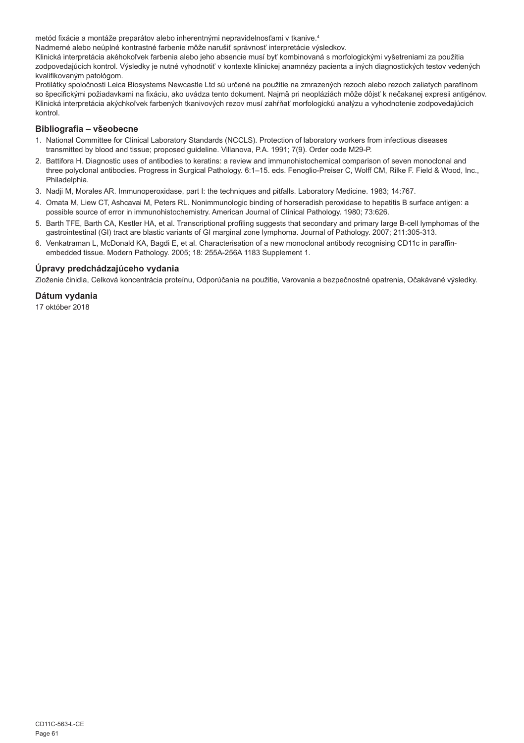metód fixácie a montáže preparátov alebo inherentnými nepravidelnosťami v tkanive.4

Nadmerné alebo neúplné kontrastné farbenie môže narušiť správnosť interpretácie výsledkov.

Klinická interpretácia akéhokoľvek farbenia alebo jeho absencie musí byť kombinovaná s morfologickými vyšetreniami za použitia zodpovedajúcich kontrol. Výsledky je nutné vyhodnotiť v kontexte klinickej anamnézy pacienta a iných diagnostických testov vedených kvalifikovaným patológom.

Protilátky spoločnosti Leica Biosystems Newcastle Ltd sú určené na použitie na zmrazených rezoch alebo rezoch zaliatych parafínom so špecifickými požiadavkami na fixáciu, ako uvádza tento dokument. Najmä pri neopláziách môže dôjsť k nečakanej expresii antigénov. Klinická interpretácia akýchkoľvek farbených tkanivových rezov musí zahŕňať morfologickú analýzu a vyhodnotenie zodpovedajúcich kontrol.

# **Bibliografia – všeobecne**

- 1. National Committee for Clinical Laboratory Standards (NCCLS). Protection of laboratory workers from infectious diseases transmitted by blood and tissue; proposed guideline. Villanova, P.A. 1991; 7(9). Order code M29-P.
- 2. Battifora H. Diagnostic uses of antibodies to keratins: a review and immunohistochemical comparison of seven monoclonal and three polyclonal antibodies. Progress in Surgical Pathology. 6:1–15. eds. Fenoglio-Preiser C, Wolff CM, Rilke F. Field & Wood, Inc., Philadelphia.
- 3. Nadji M, Morales AR. Immunoperoxidase, part I: the techniques and pitfalls. Laboratory Medicine. 1983; 14:767.
- 4. Omata M, Liew CT, Ashcavai M, Peters RL. Nonimmunologic binding of horseradish peroxidase to hepatitis B surface antigen: a possible source of error in immunohistochemistry. American Journal of Clinical Pathology. 1980; 73:626.
- 5. Barth TFE, Barth CA, Kestler HA, et al. Transcriptional profiling suggests that secondary and primary large B-cell lymphomas of the gastrointestinal (GI) tract are blastic variants of GI marginal zone lymphoma. Journal of Pathology. 2007; 211:305-313.
- 6. Venkatraman L, McDonald KA, Bagdi E, et al. Characterisation of a new monoclonal antibody recognising CD11c in paraffinembedded tissue. Modern Pathology. 2005; 18: 255A-256A 1183 Supplement 1.

# **Úpravy predchádzajúceho vydania**

Zloženie činidla, Celková koncentrácia proteínu, Odporúčania na použitie, Varovania a bezpečnostné opatrenia, Očakávané výsledky.

# **Dátum vydania**

17 október 2018